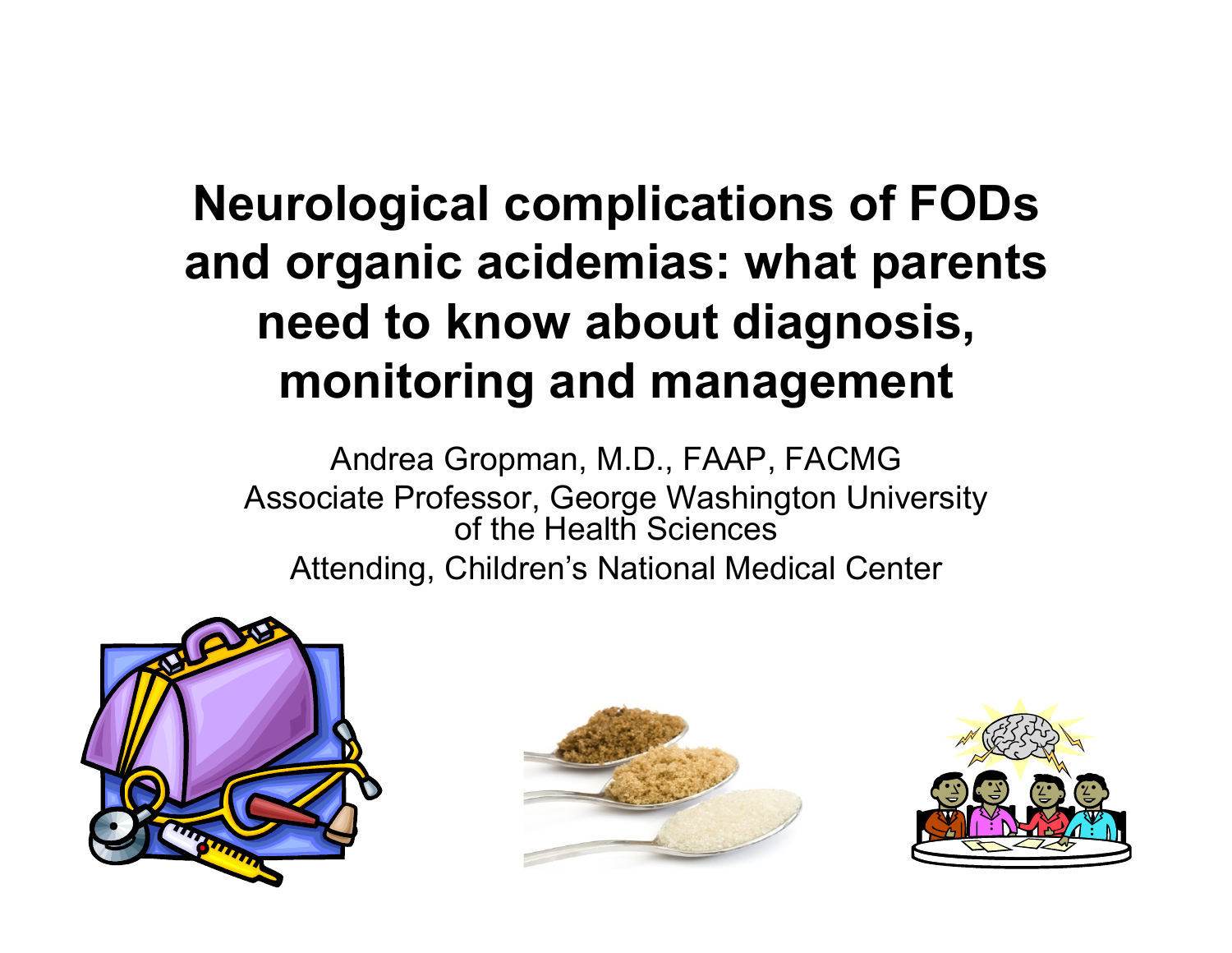#### **Neurological complications of FODs and organic acidemias: what parents need to know about diagnosis, monitoring and management**

Andrea Gropman, M.D., FAAP, FACMG Associate Professor, George Washington University of the Health Sciences Attending, Children's National Medical Center





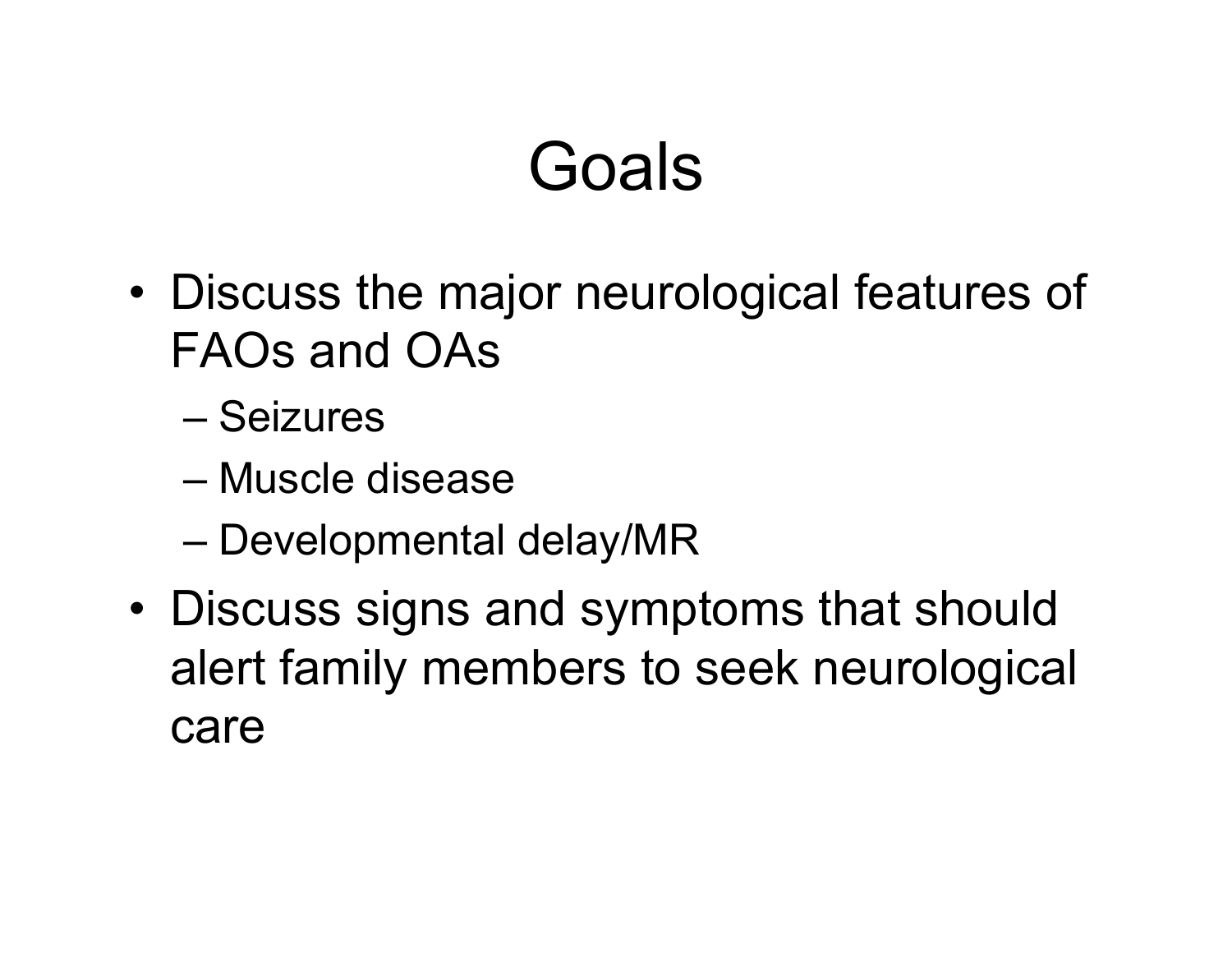# Goals

- Discuss the major neurological features of FAOs and OAs
	- Seizures
	- Muscle disease
	- Developmental delay/MR
- Discuss signs and symptoms that should alert family members to seek neurological care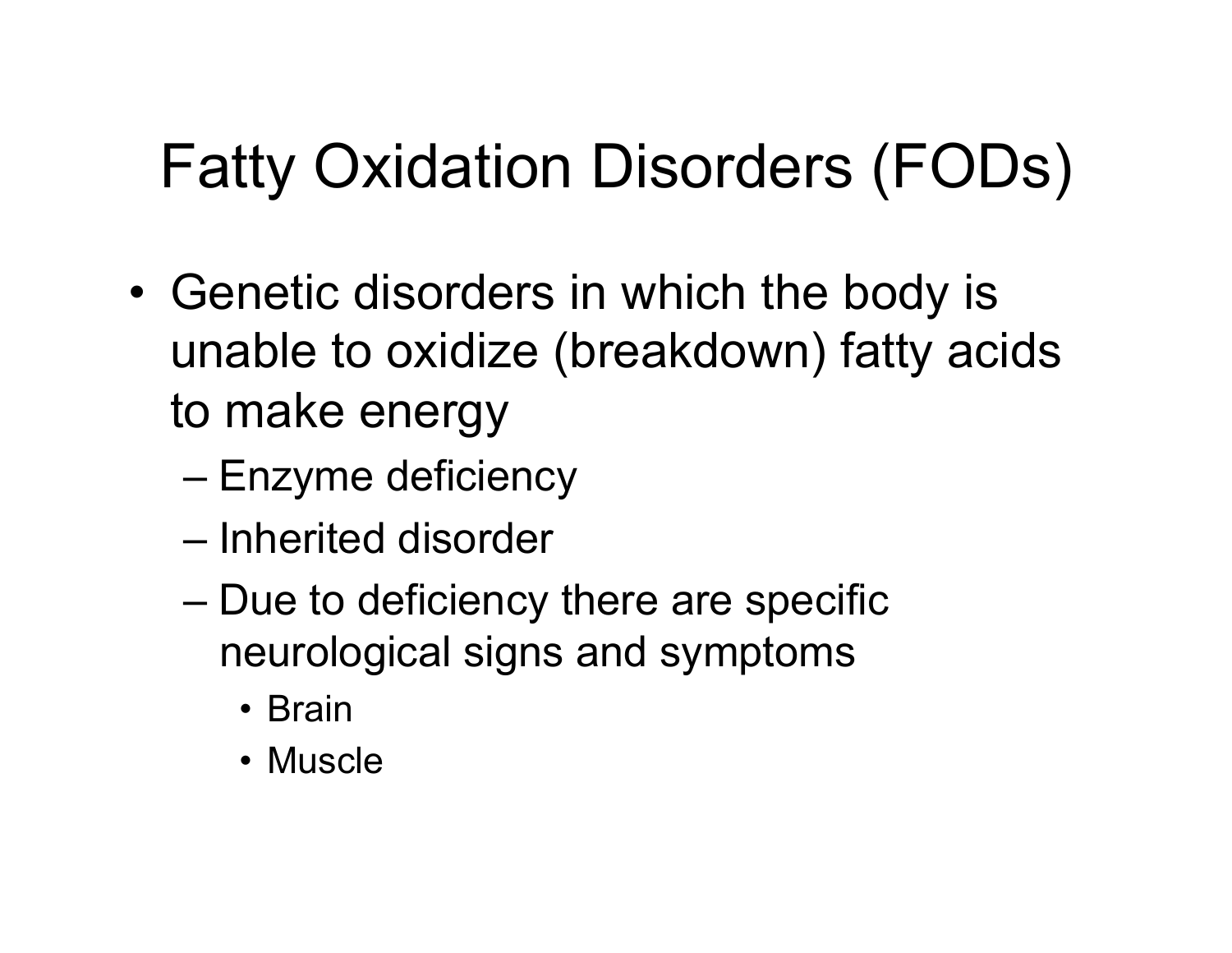### Fatty Oxidation Disorders (FODs)

- Genetic disorders in which the body is unable to oxidize (breakdown) fatty acids to make energy
	- Enzyme deficiency
	- Inherited disorder
	- Due to deficiency there are specific neurological signs and symptoms
		- Brain
		- Muscle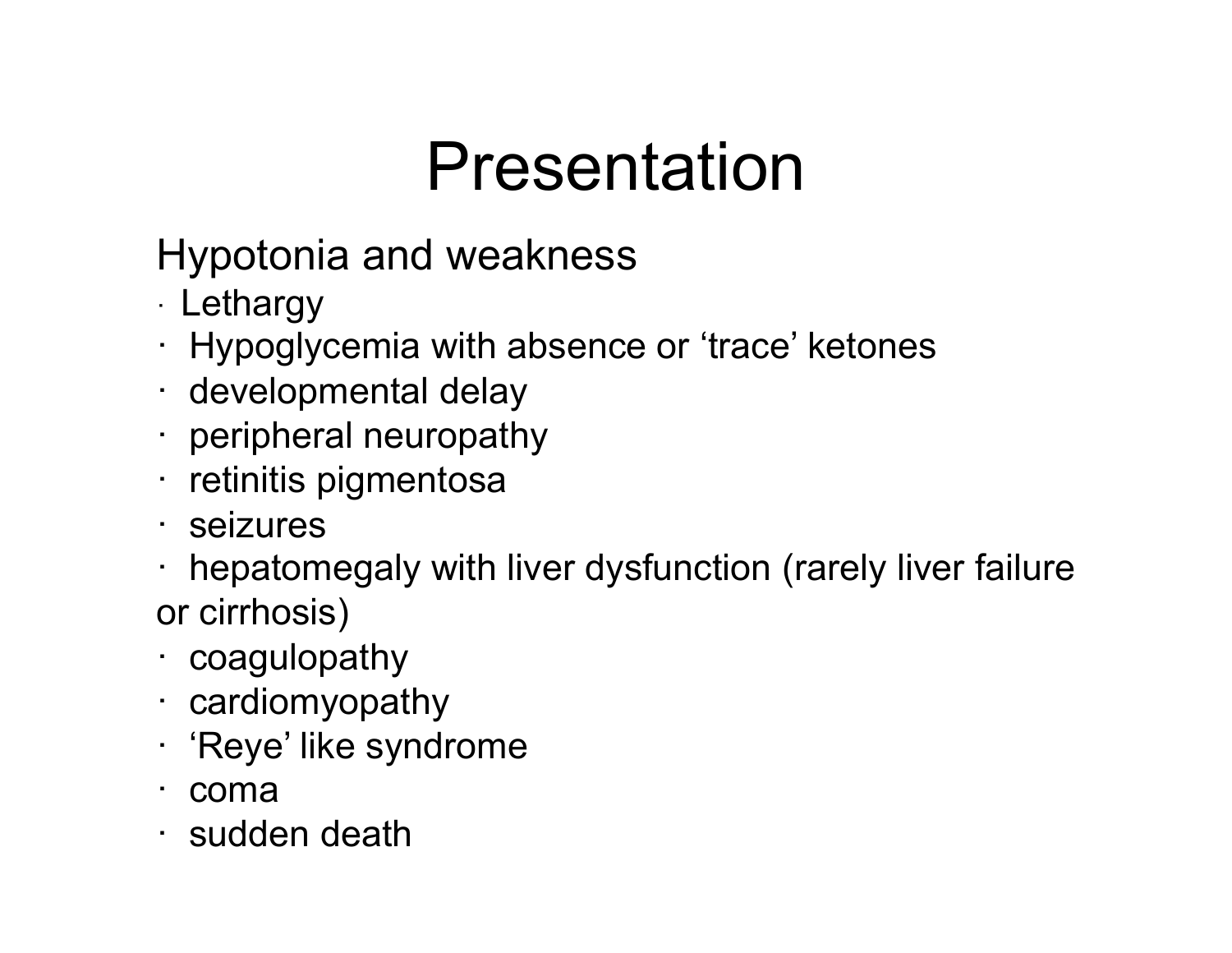# Presentation

Hypotonia and weakness

- · Lethargy
- · Hypoglycemia with absence or 'trace' ketones
- · developmental delay
- · peripheral neuropathy
- · retinitis pigmentosa
- · seizures
- · hepatomegaly with liver dysfunction (rarely liver failure or cirrhosis)
- · coagulopathy
- · cardiomyopathy
- · 'Reye' like syndrome
- · coma
- · sudden death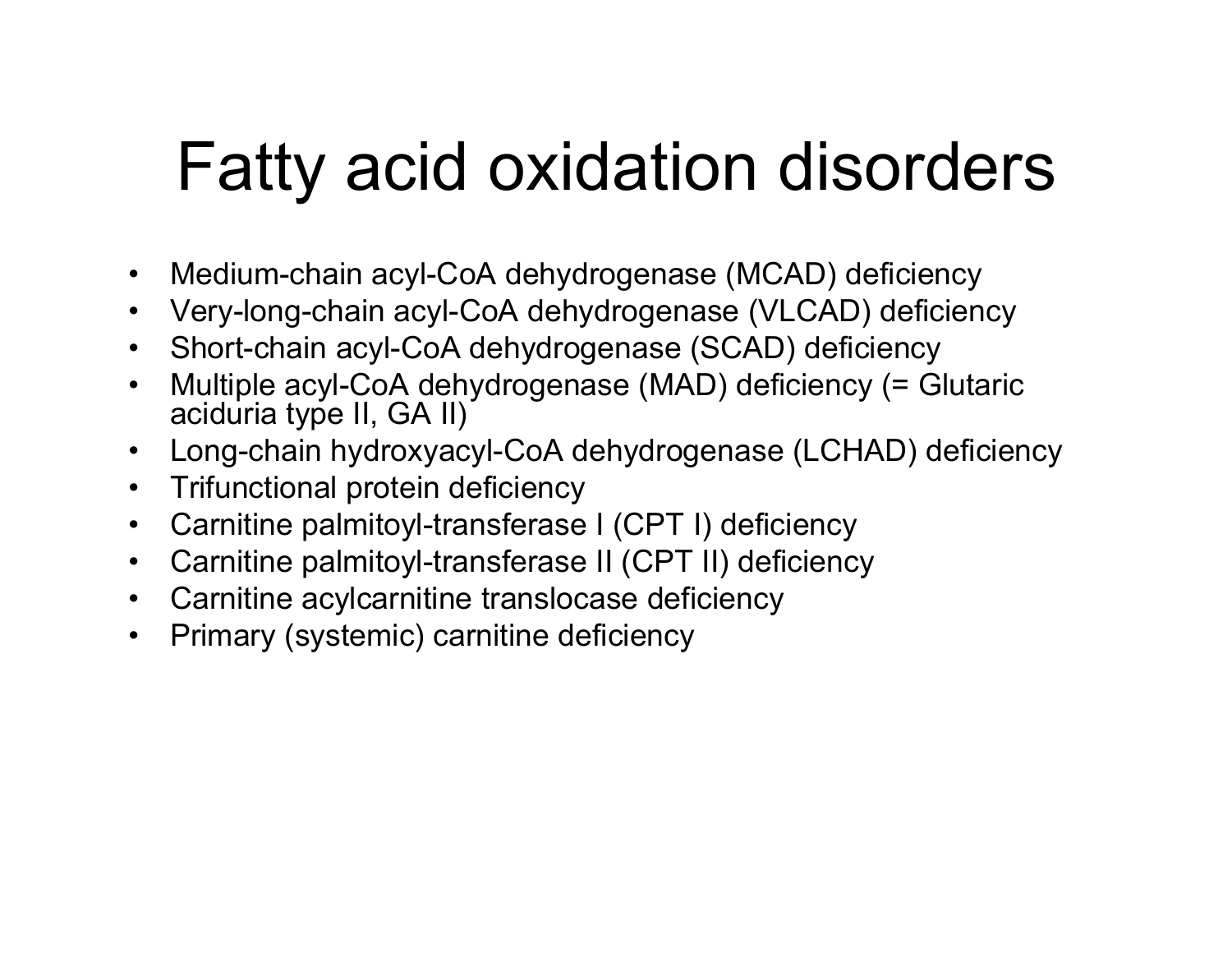# Fatty acid oxidation disorders

- Medium-chain acyl-CoA dehydrogenase (MCAD) deficiency
- Very-long-chain acyl-CoA dehydrogenase (VLCAD) deficiency
- Short-chain acyl-CoA dehydrogenase (SCAD) deficiency
- Multiple acyl-CoA dehydrogenase (MAD) deficiency (= Glutaric aciduria type II, GA II)
- Long-chain hydroxyacyl-CoA dehydrogenase (LCHAD) deficiency
- Trifunctional protein deficiency
- Carnitine palmitoyl-transferase I (CPT I) deficiency
- Carnitine palmitoyl-transferase II (CPT II) deficiency
- Carnitine acylcarnitine translocase deficiency
- Primary (systemic) carnitine deficiency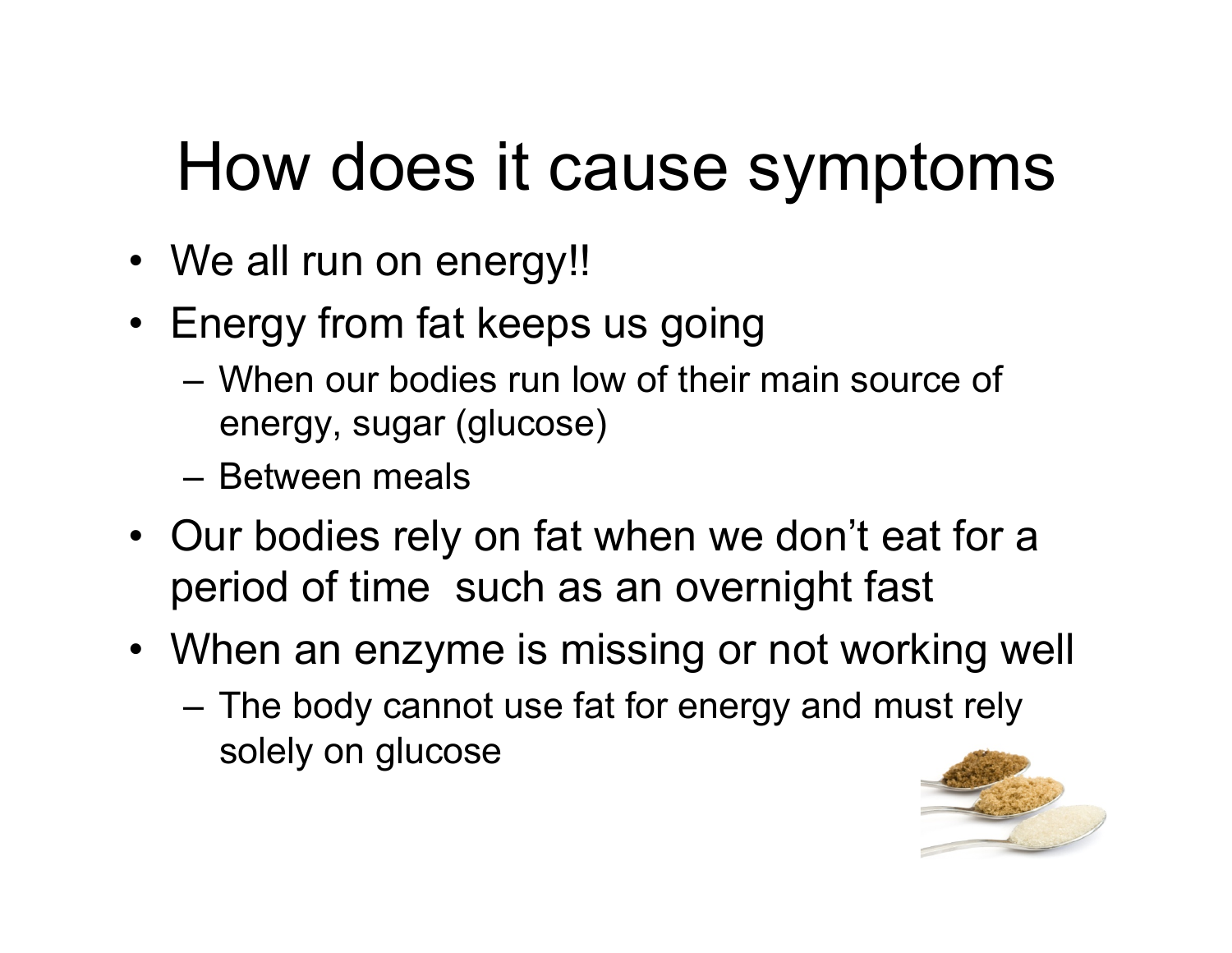# How does it cause symptoms

- We all run on energy!!
- Energy from fat keeps us going
	- When our bodies run low of their main source of energy, sugar (glucose)
	- Between meals
- Our bodies rely on fat when we don't eat for a period of time such as an overnight fast
- When an enzyme is missing or not working well
	- The body cannot use fat for energy and must rely solely on glucose

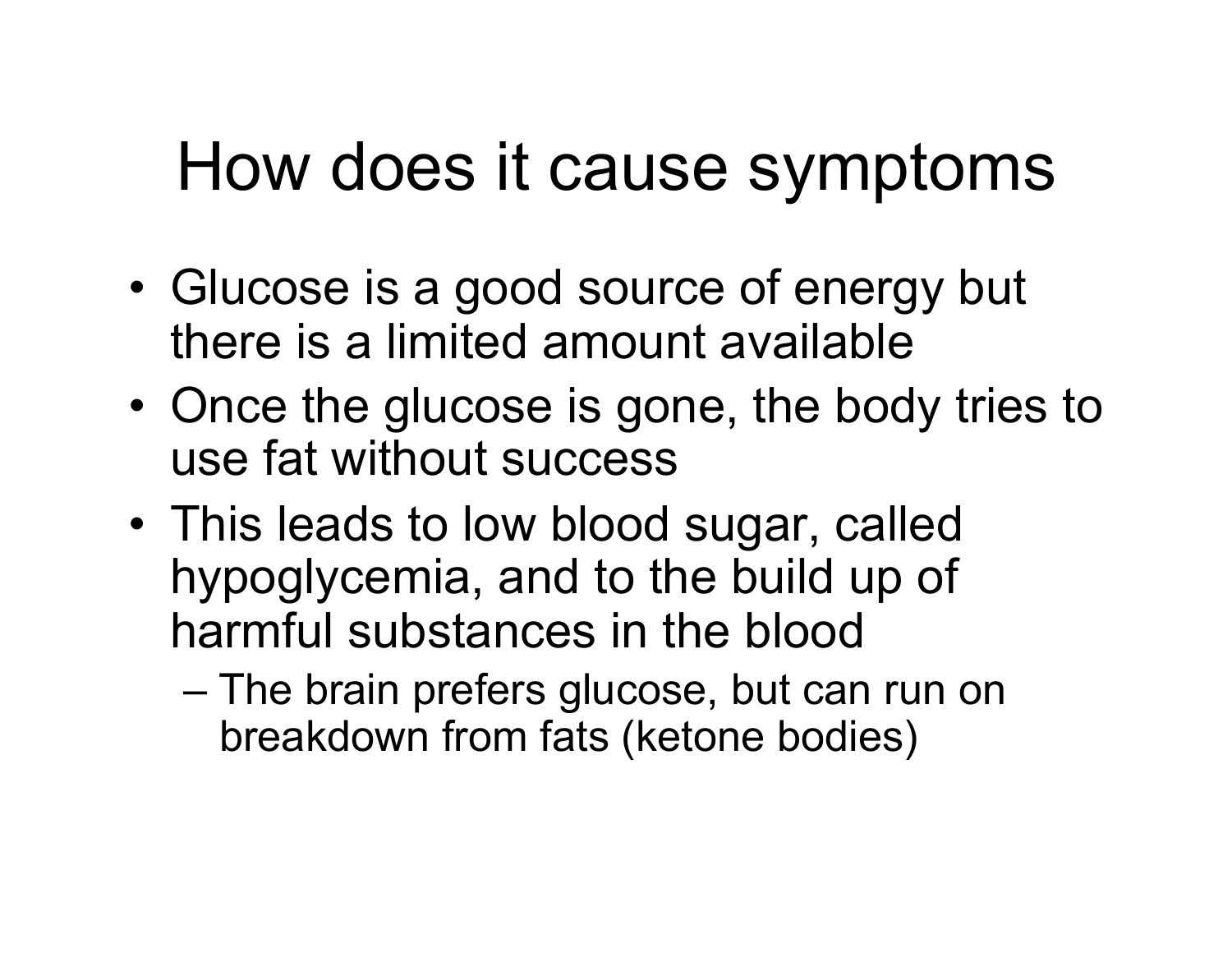# How does it cause symptoms

- Glucose is a good source of energy but there is a limited amount available
- Once the glucose is gone, the body tries to use fat without success
- This leads to low blood sugar, called hypoglycemia, and to the build up of harmful substances in the blood
	- The brain prefers glucose, but can run on breakdown from fats (ketone bodies)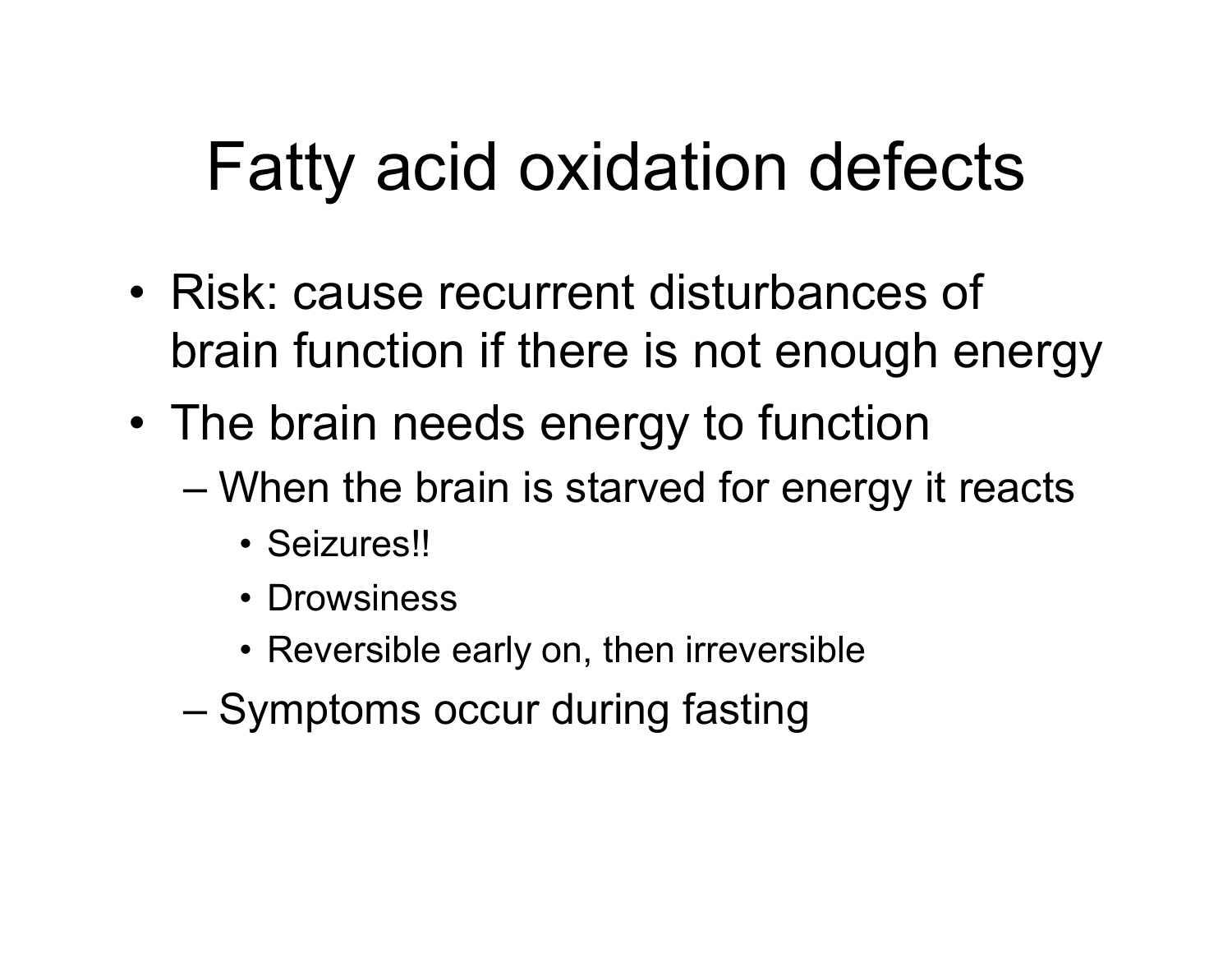# Fatty acid oxidation defects

- Risk: cause recurrent disturbances of brain function if there is not enough energy
- The brain needs energy to function
	- When the brain is starved for energy it reacts
		- Seizures!!
		- Drowsiness
		- Reversible early on, then irreversible
	- Symptoms occur during fasting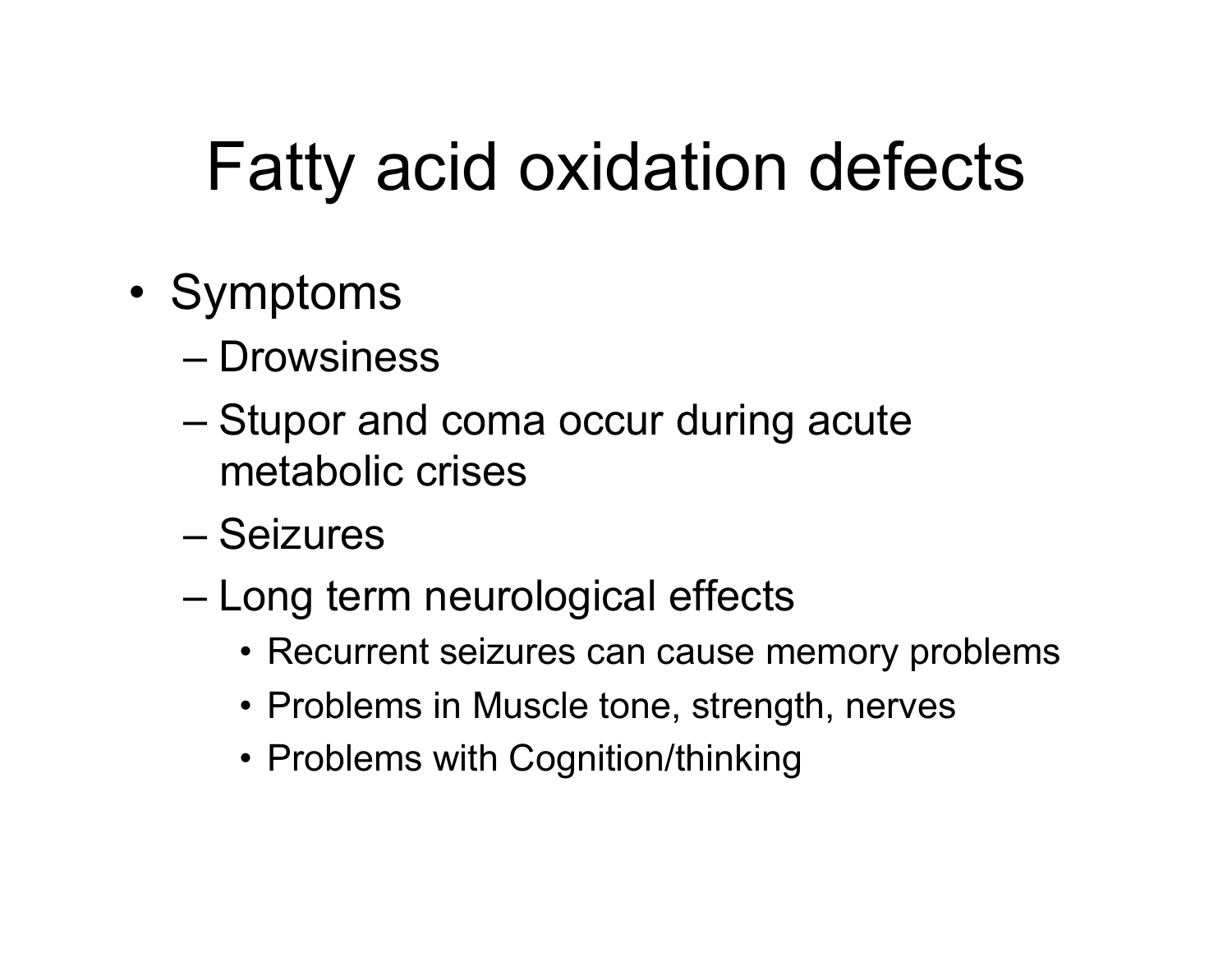# Fatty acid oxidation defects

- Symptoms
	- Drowsiness
	- Stupor and coma occur during acute metabolic crises
	- Seizures
	- Long term neurological effects
		- Recurrent seizures can cause memory problems
		- Problems in Muscle tone, strength, nerves
		- Problems with Cognition/thinking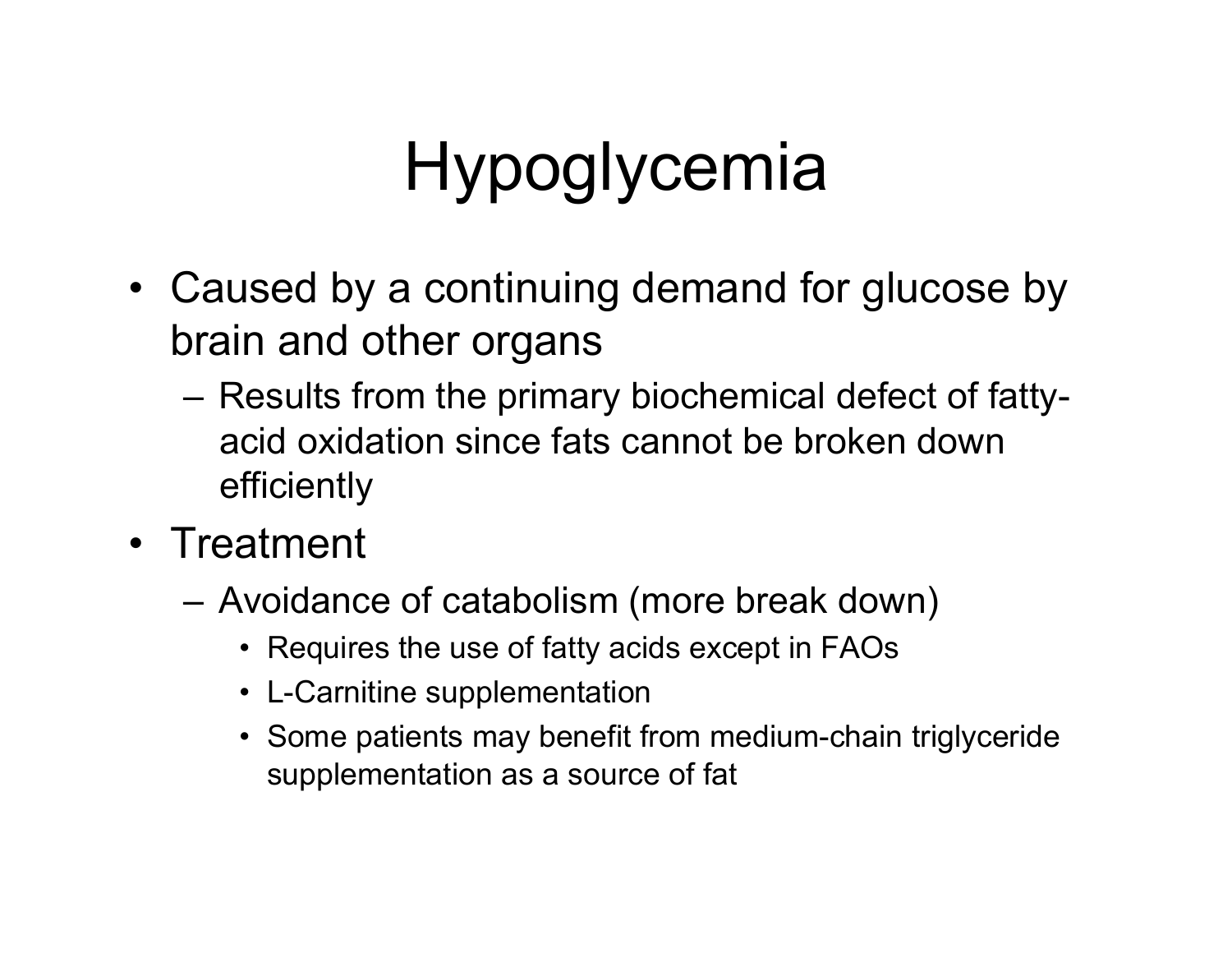# Hypoglycemia

- Caused by a continuing demand for glucose by brain and other organs
	- Results from the primary biochemical defect of fattyacid oxidation since fats cannot be broken down efficiently
- Treatment
	- Avoidance of catabolism (more break down)
		- Requires the use of fatty acids except in FAOs
		- L-Carnitine supplementation
		- Some patients may benefit from medium-chain triglyceride supplementation as a source of fat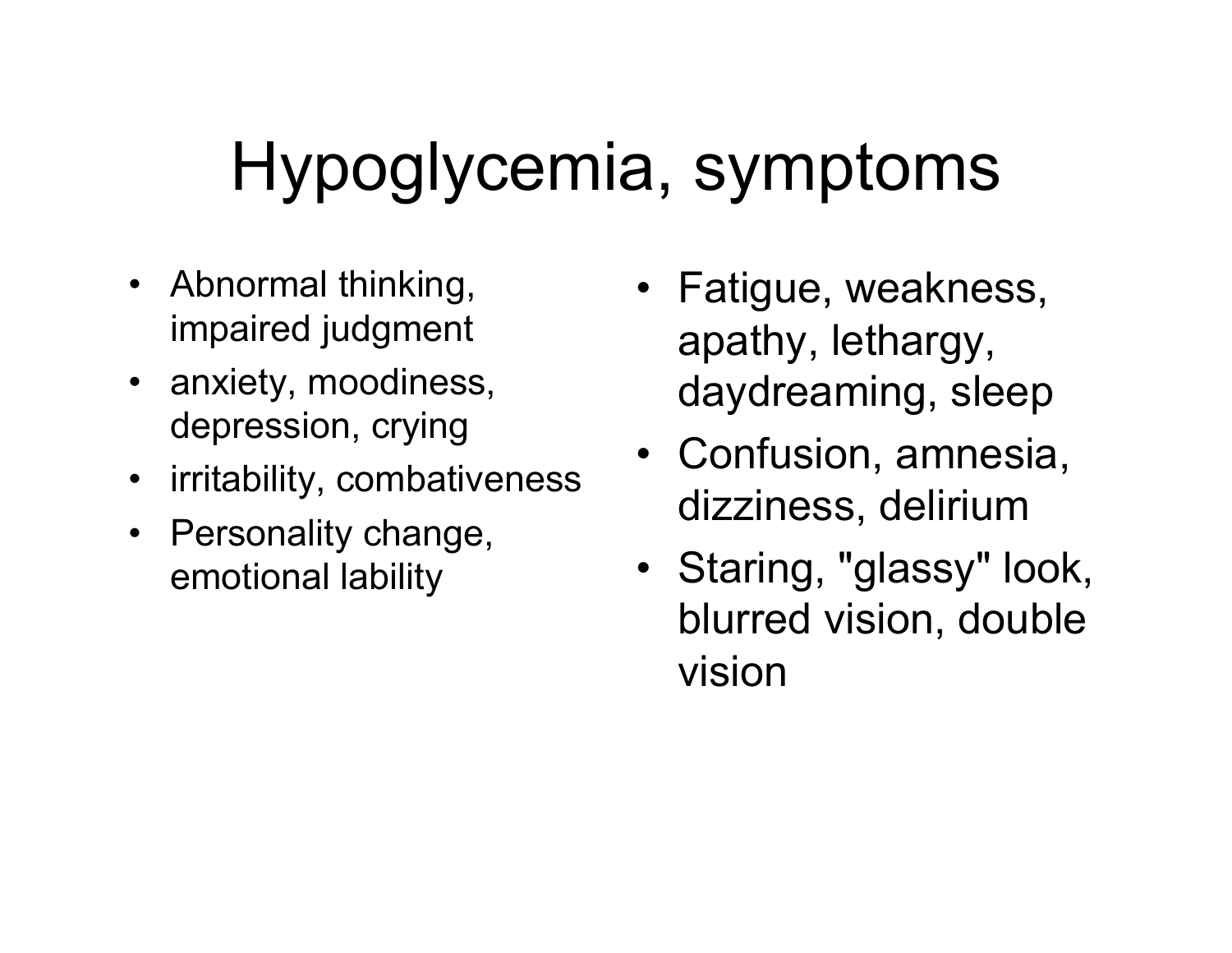# Hypoglycemia, symptoms

- Abnormal thinking, impaired judgment
- anxiety, moodiness, depression, crying
- irritability, combativeness
- Personality change, emotional lability
- Fatigue, weakness, apathy, lethargy, daydreaming, sleep
- Confusion, amnesia, dizziness, delirium
- Staring, "glassy" look, blurred vision, double vision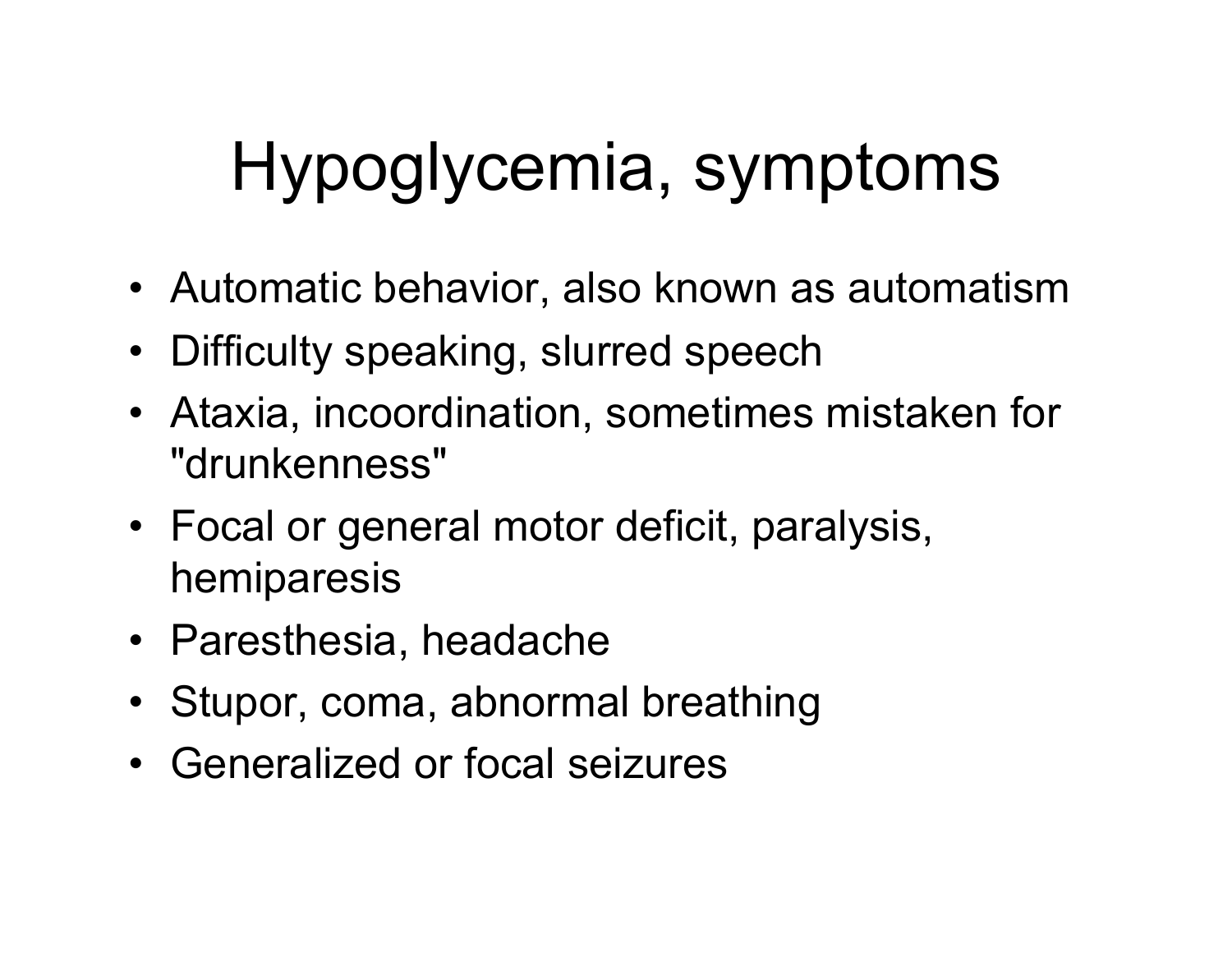# Hypoglycemia, symptoms

- Automatic behavior, also known as automatism
- Difficulty speaking, slurred speech
- Ataxia, incoordination, sometimes mistaken for "drunkenness"
- Focal or general motor deficit, paralysis, hemiparesis
- Paresthesia, headache
- Stupor, coma, abnormal breathing
- Generalized or focal seizures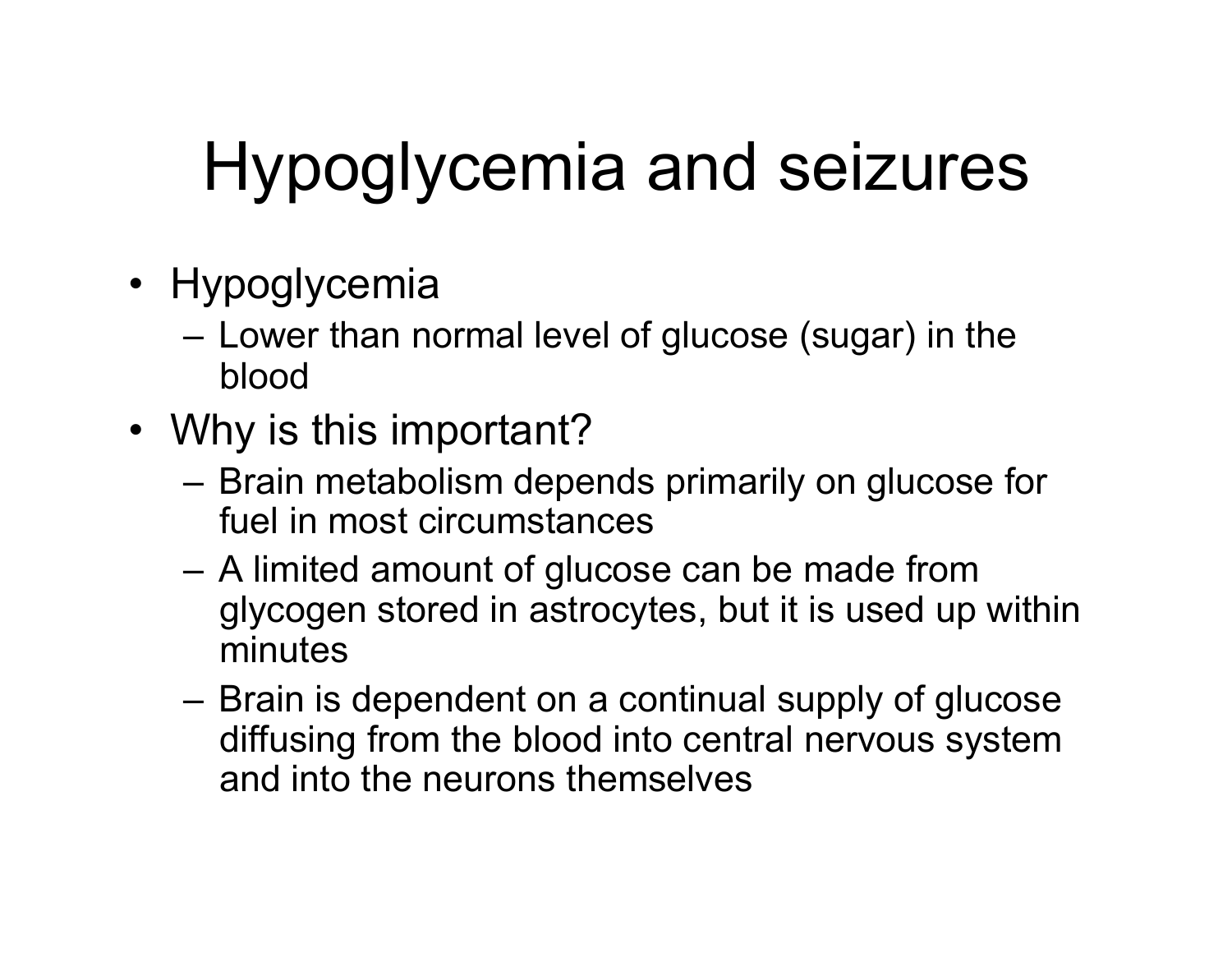- Hypoglycemia
	- Lower than normal level of glucose (sugar) in the blood
- Why is this important?
	- Brain metabolism depends primarily on glucose for fuel in most circumstances
	- A limited amount of glucose can be made from glycogen stored in astrocytes, but it is used up within minutes
	- Brain is dependent on a continual supply of glucose diffusing from the blood into central nervous system and into the neurons themselves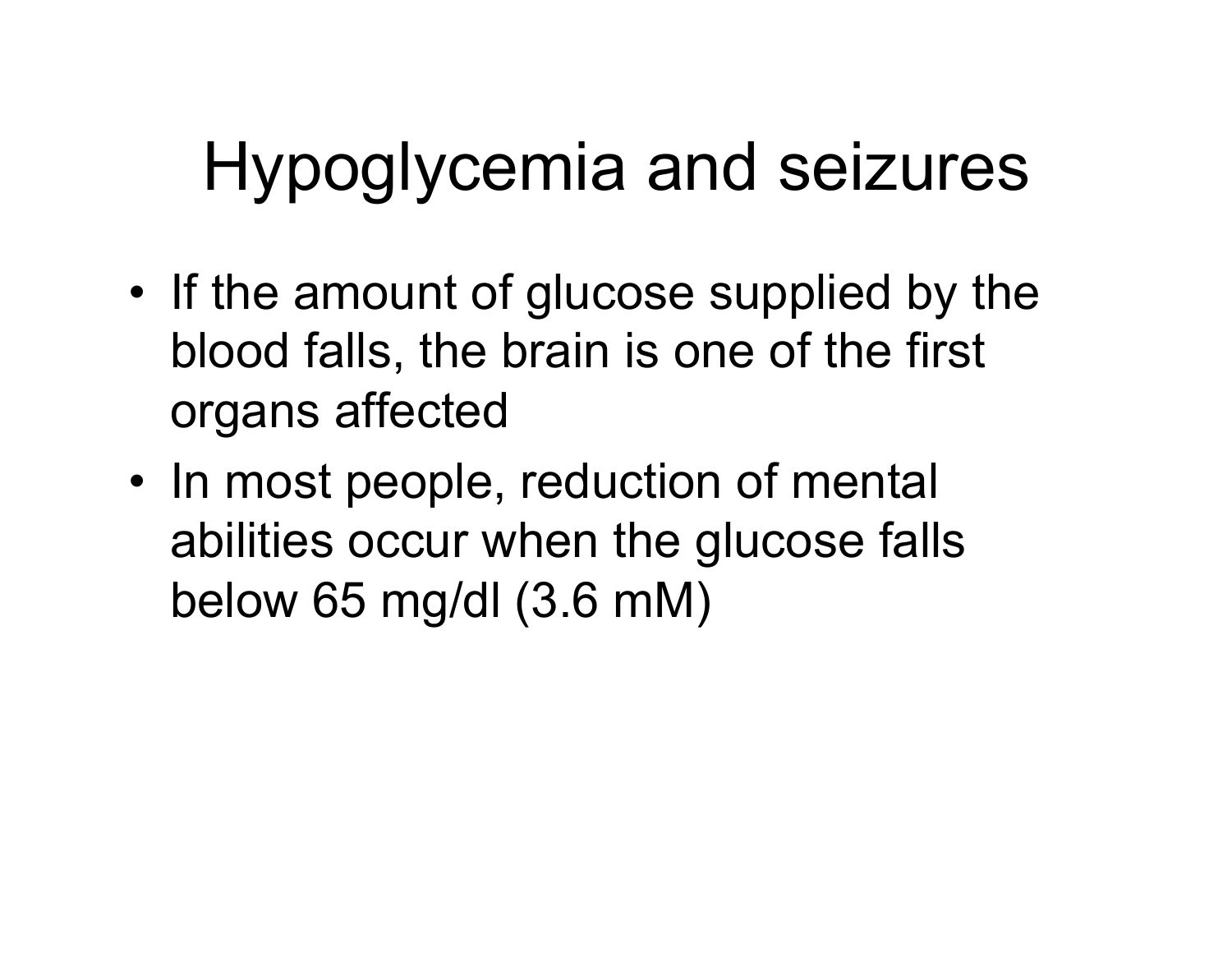- If the amount of glucose supplied by the blood falls, the brain is one of the first organs affected
- In most people, reduction of mental abilities occur when the glucose falls below 65 mg/dl (3.6 mM)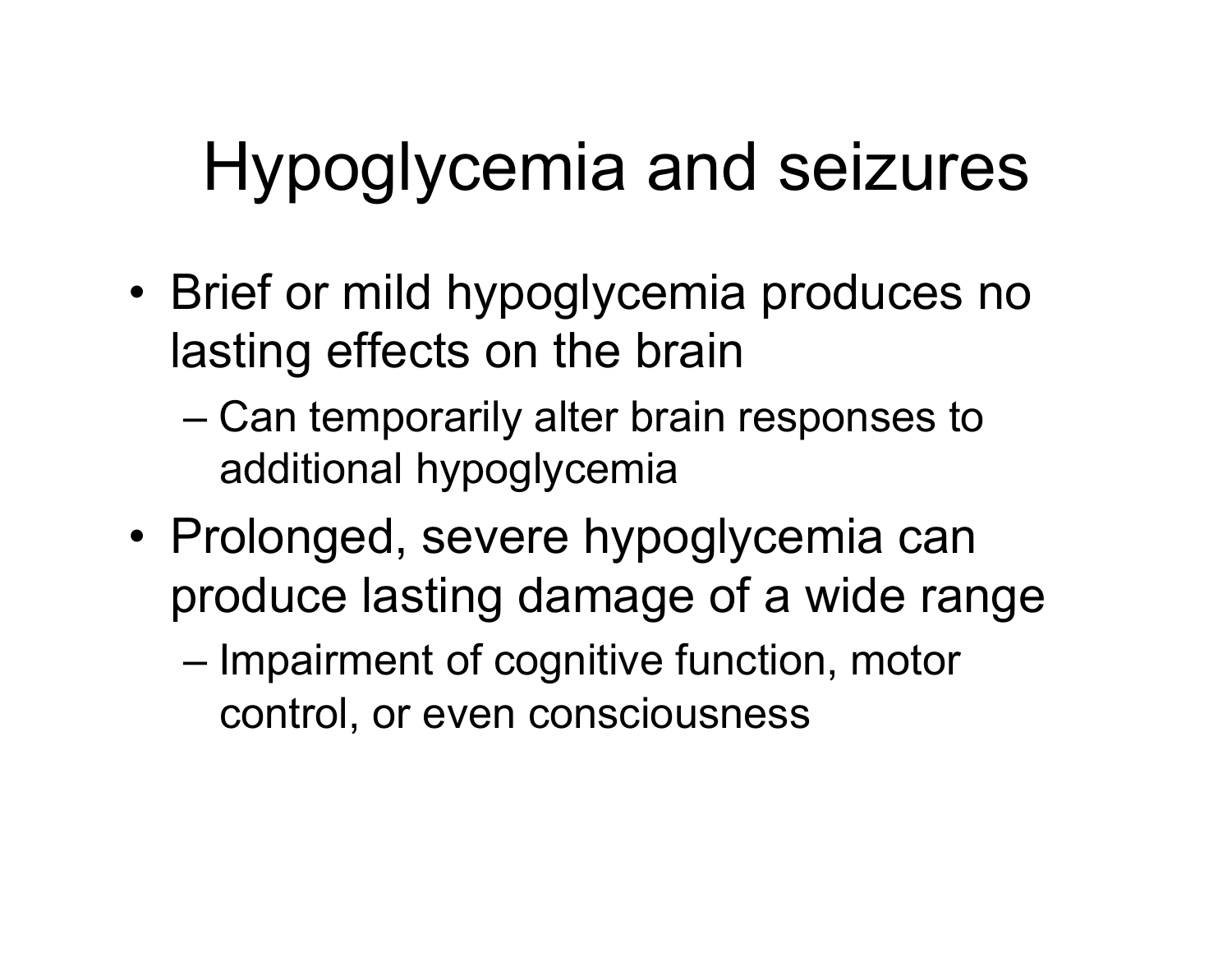- Brief or mild hypoglycemia produces no lasting effects on the brain
	- Can temporarily alter brain responses to additional hypoglycemia
- Prolonged, severe hypoglycemia can produce lasting damage of a wide range
	- Impairment of cognitive function, motor control, or even consciousness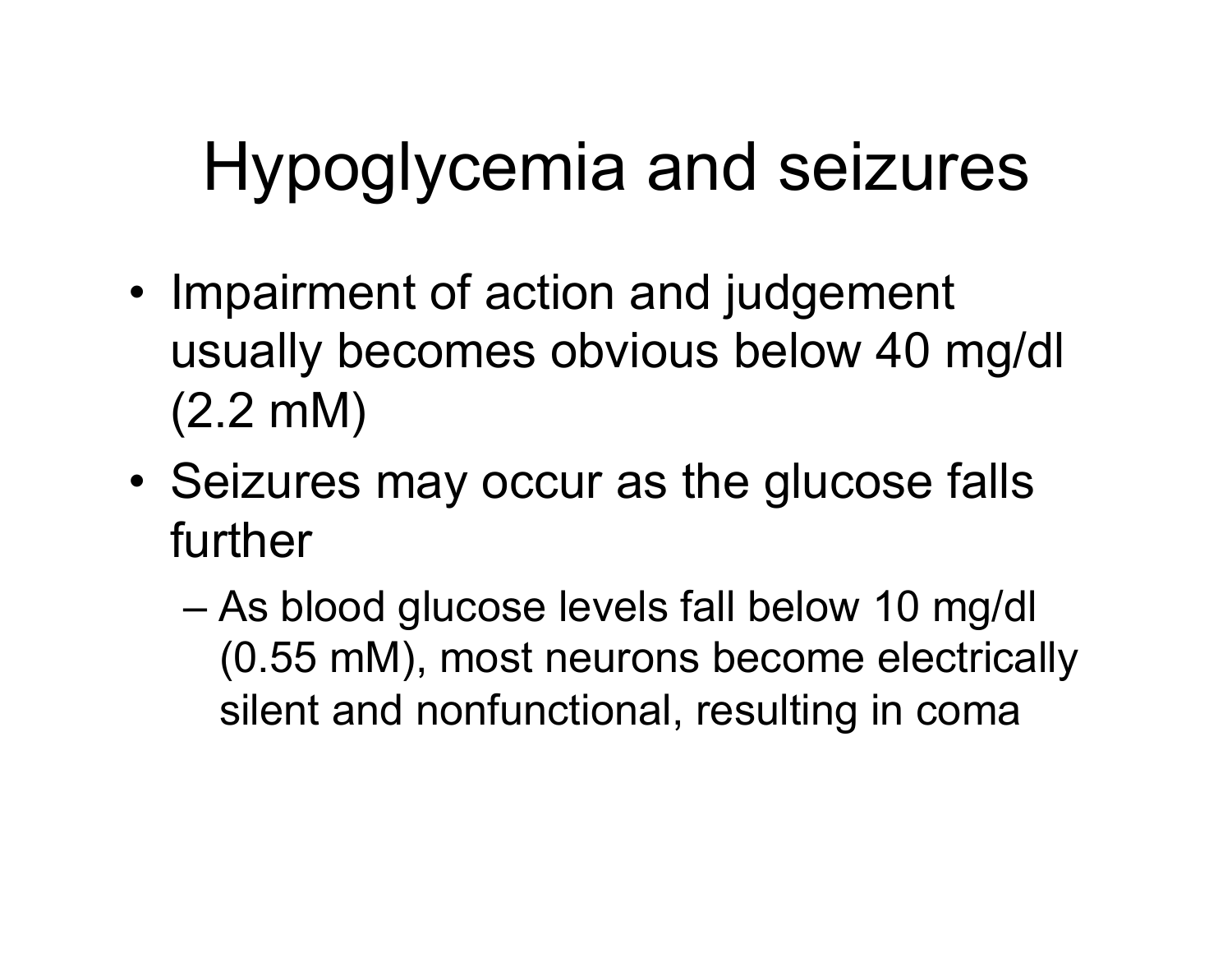- Impairment of action and judgement usually becomes obvious below 40 mg/dl (2.2 mM)
- Seizures may occur as the glucose falls further
	- As blood glucose levels fall below 10 mg/dl (0.55 mM), most neurons become electrically silent and nonfunctional, resulting in coma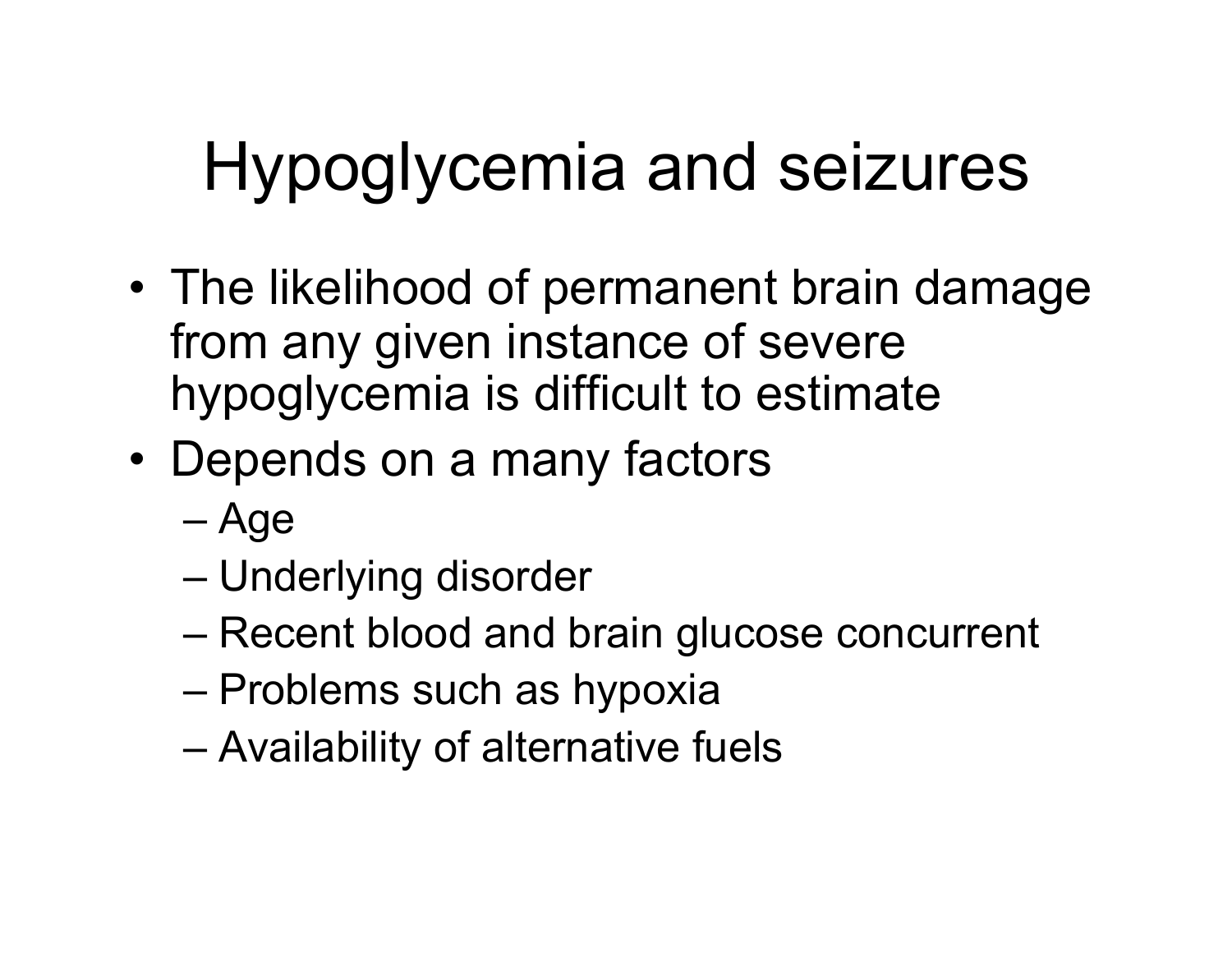- The likelihood of permanent brain damage from any given instance of severe hypoglycemia is difficult to estimate
- Depends on a many factors
	- Age
	- Underlying disorder
	- Recent blood and brain glucose concurrent
	- Problems such as hypoxia
	- Availability of alternative fuels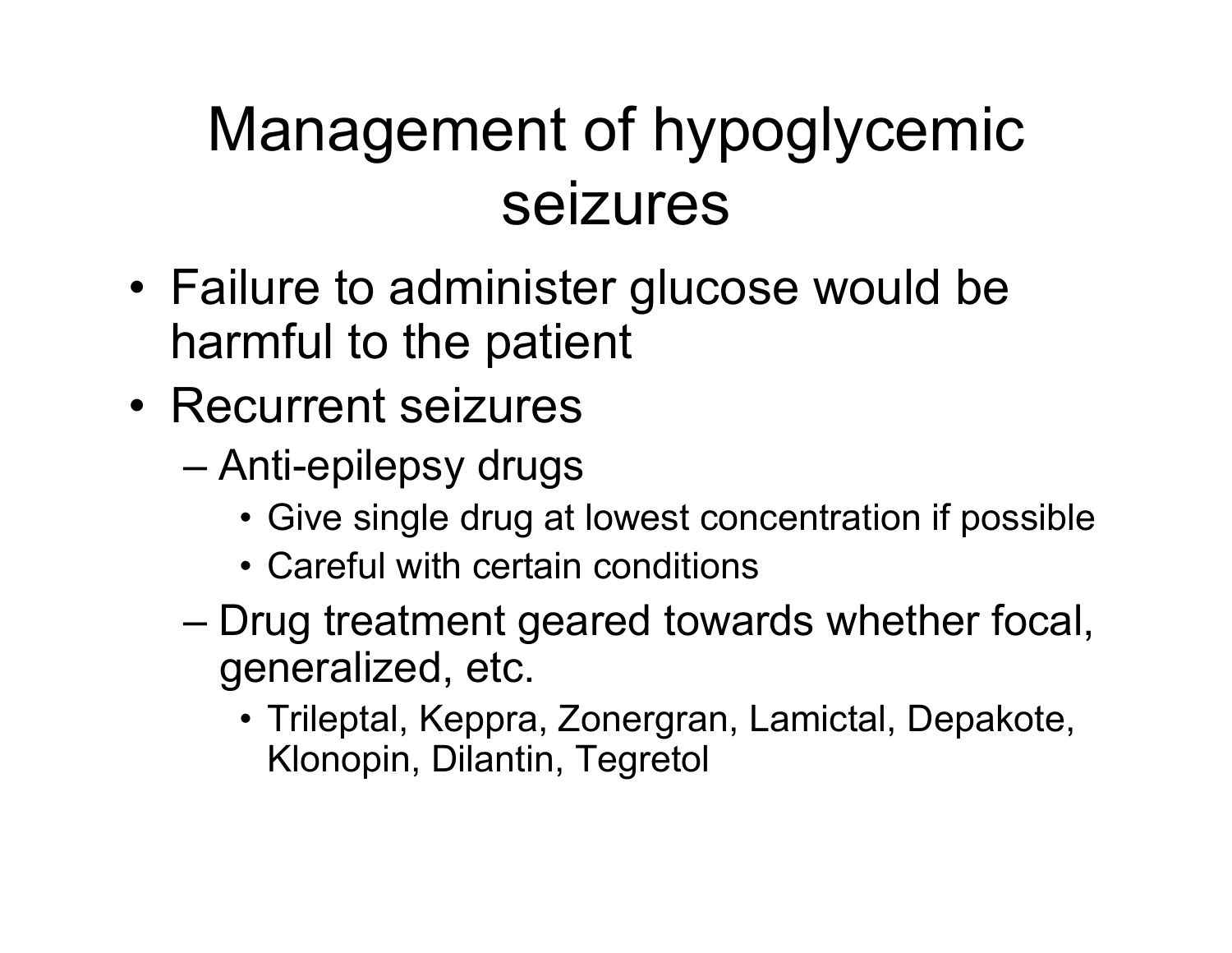#### Management of hypoglycemic seizures

- Failure to administer glucose would be harmful to the patient
- Recurrent seizures
	- Anti-epilepsy drugs
		- Give single drug at lowest concentration if possible
		- Careful with certain conditions
	- Drug treatment geared towards whether focal, generalized, etc.
		- Trileptal, Keppra, Zonergran, Lamictal, Depakote, Klonopin, Dilantin, Tegretol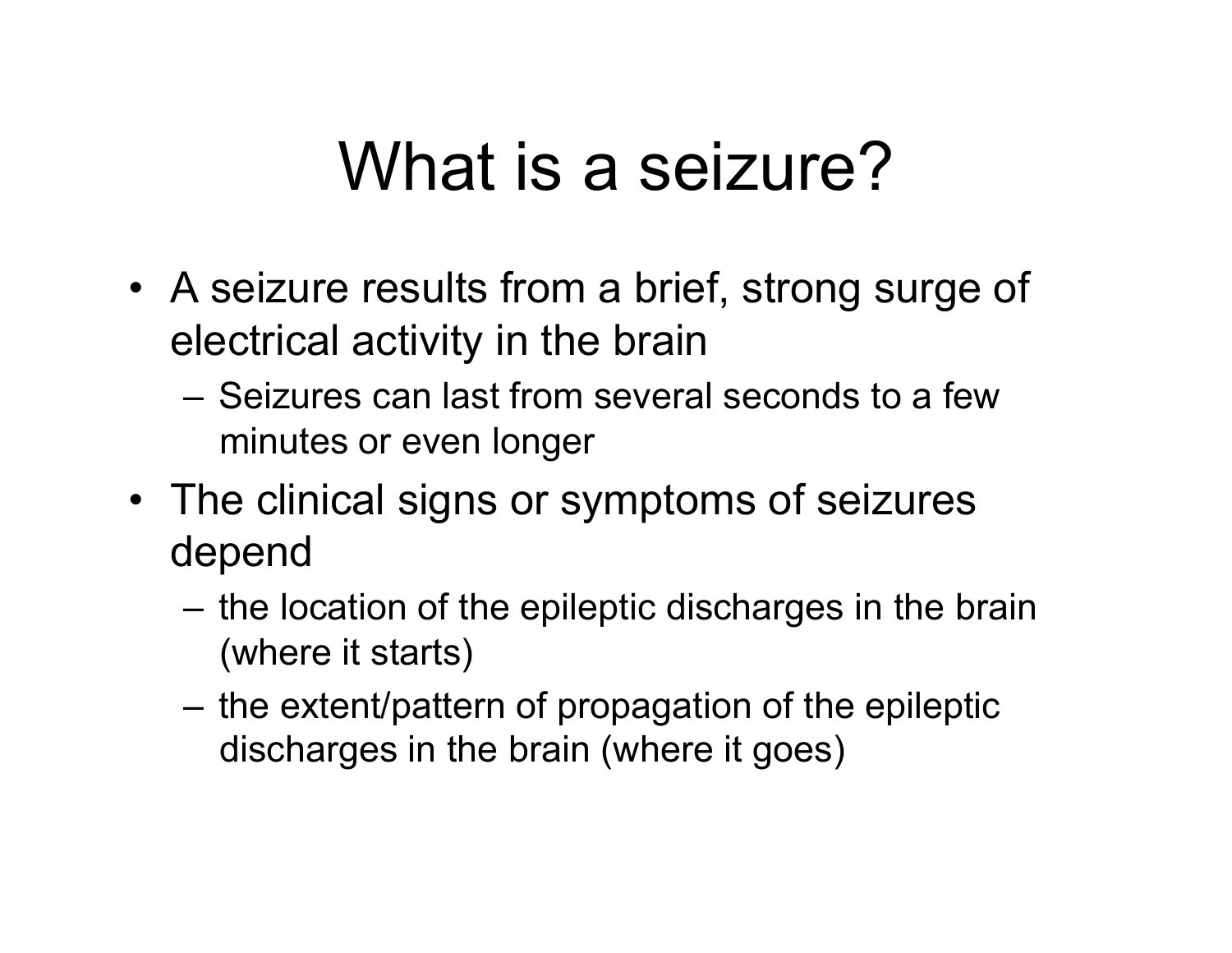### What is a seizure?

- A seizure results from a brief, strong surge of electrical activity in the brain
	- Seizures can last from several seconds to a few minutes or even longer
- The clinical signs or symptoms of seizures depend
	- the location of the epileptic discharges in the brain (where it starts)
	- the extent/pattern of propagation of the epileptic discharges in the brain (where it goes)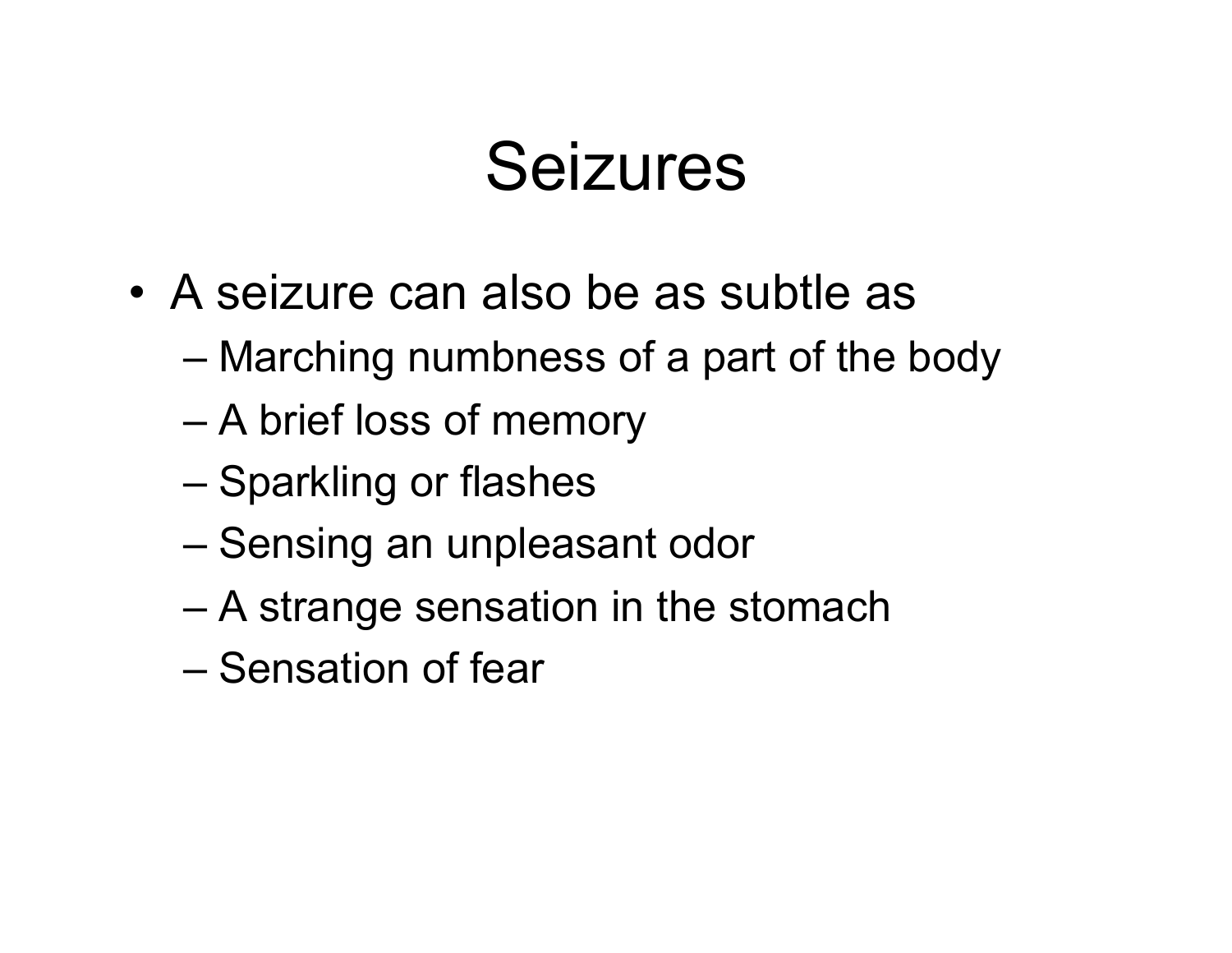- A seizure can also be as subtle as
	- Marching numbness of a part of the body
	- A brief loss of memory
	- Sparkling or flashes
	- Sensing an unpleasant odor
	- A strange sensation in the stomach
	- Sensation of fear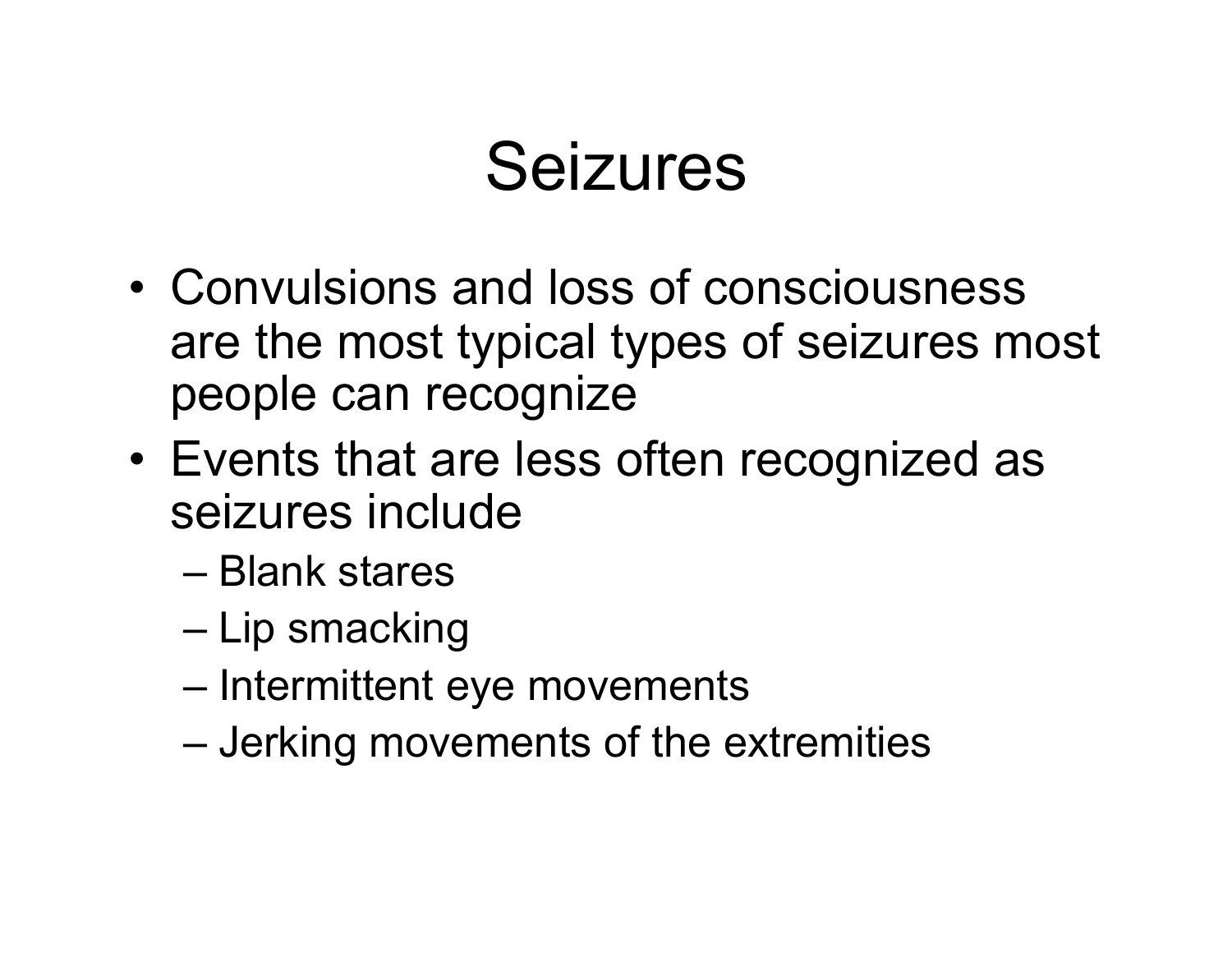- Convulsions and loss of consciousness are the most typical types of seizures most people can recognize
- Events that are less often recognized as seizures include
	- Blank stares
	- Lip smacking
	- Intermittent eye movements
	- Jerking movements of the extremities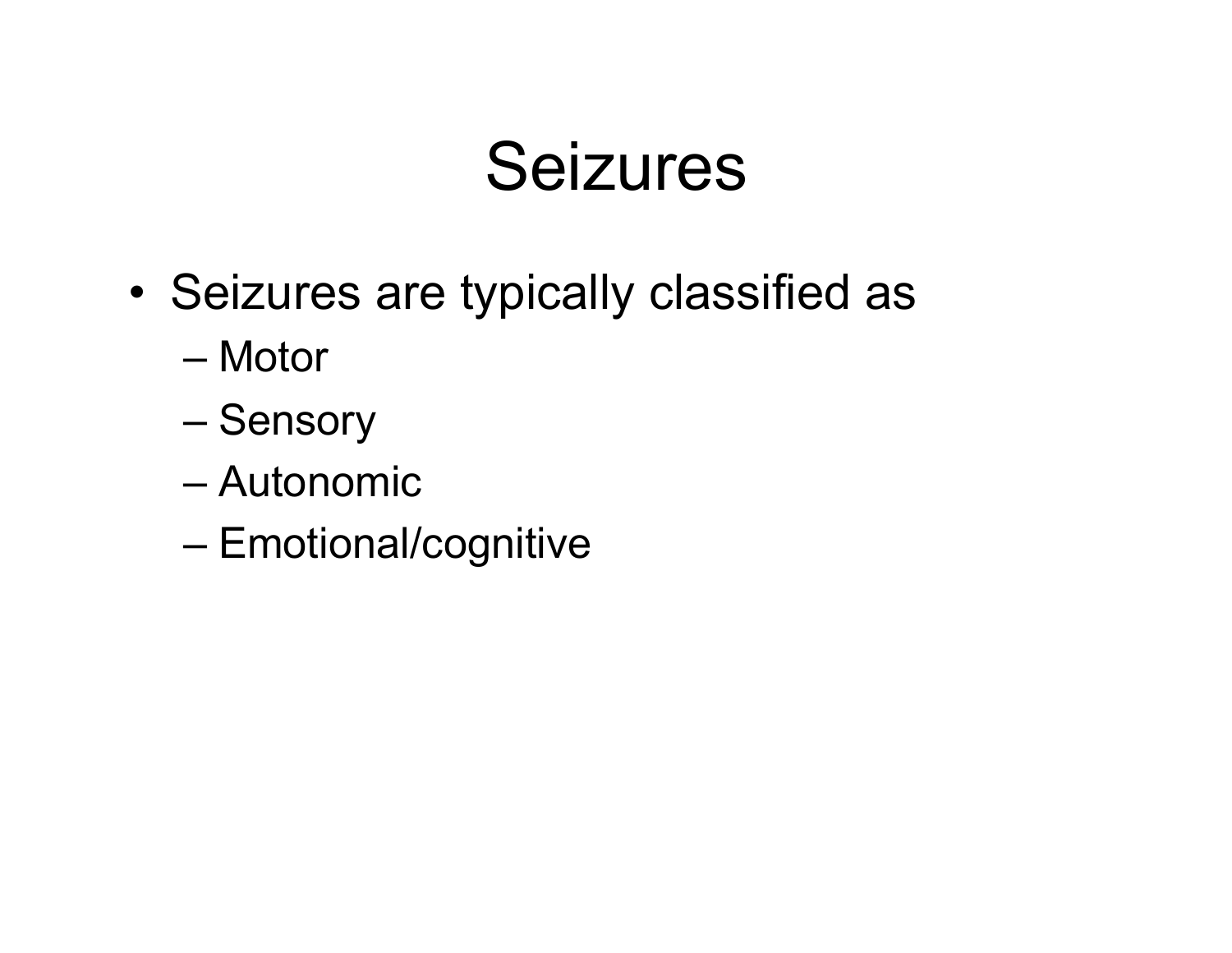- Seizures are typically classified as
	- Motor
	- Sensory
	- Autonomic
	- Emotional/cognitive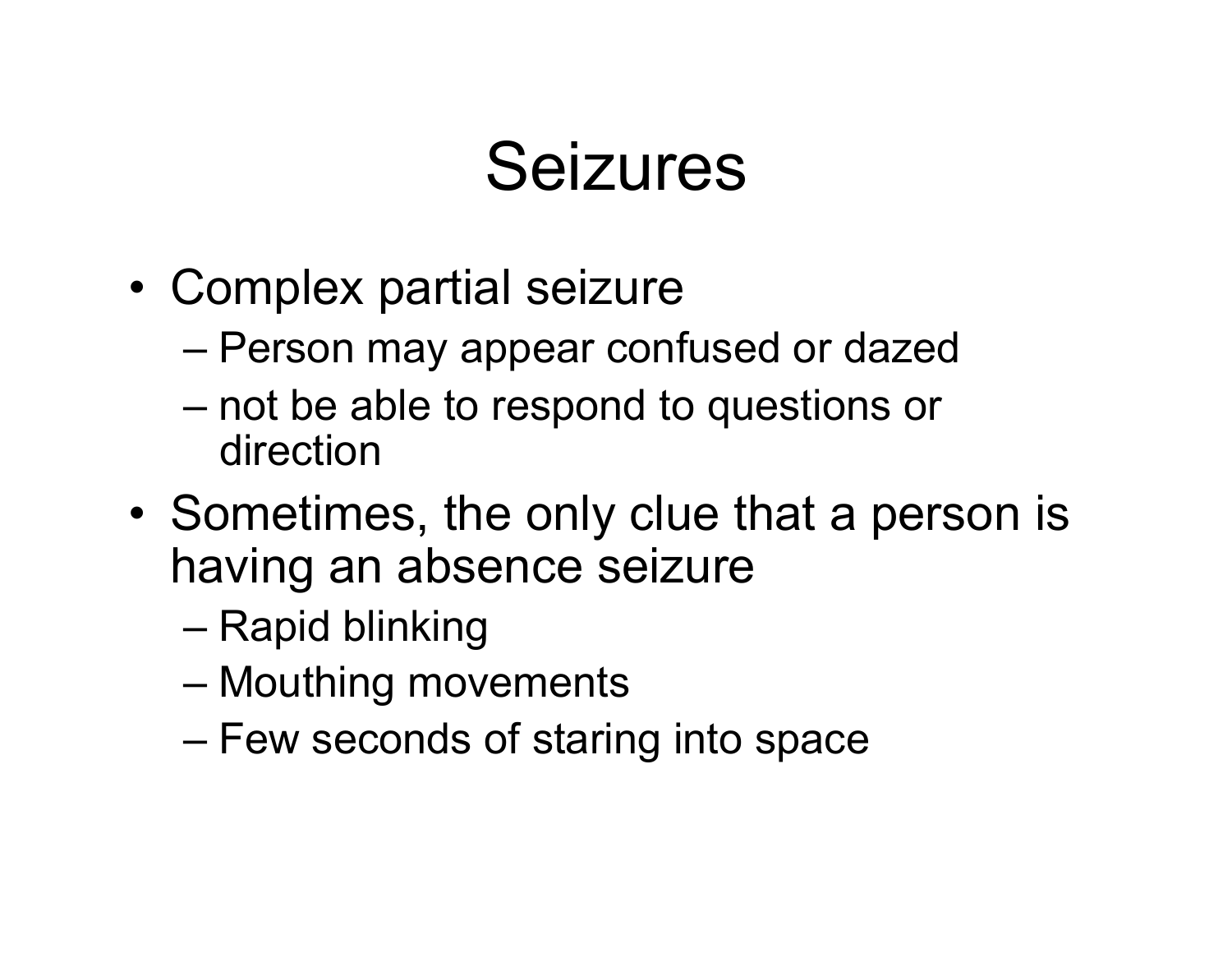- Complex partial seizure
	- Person may appear confused or dazed
	- not be able to respond to questions or direction
- Sometimes, the only clue that a person is having an absence seizure
	- Rapid blinking
	- Mouthing movements
	- Few seconds of staring into space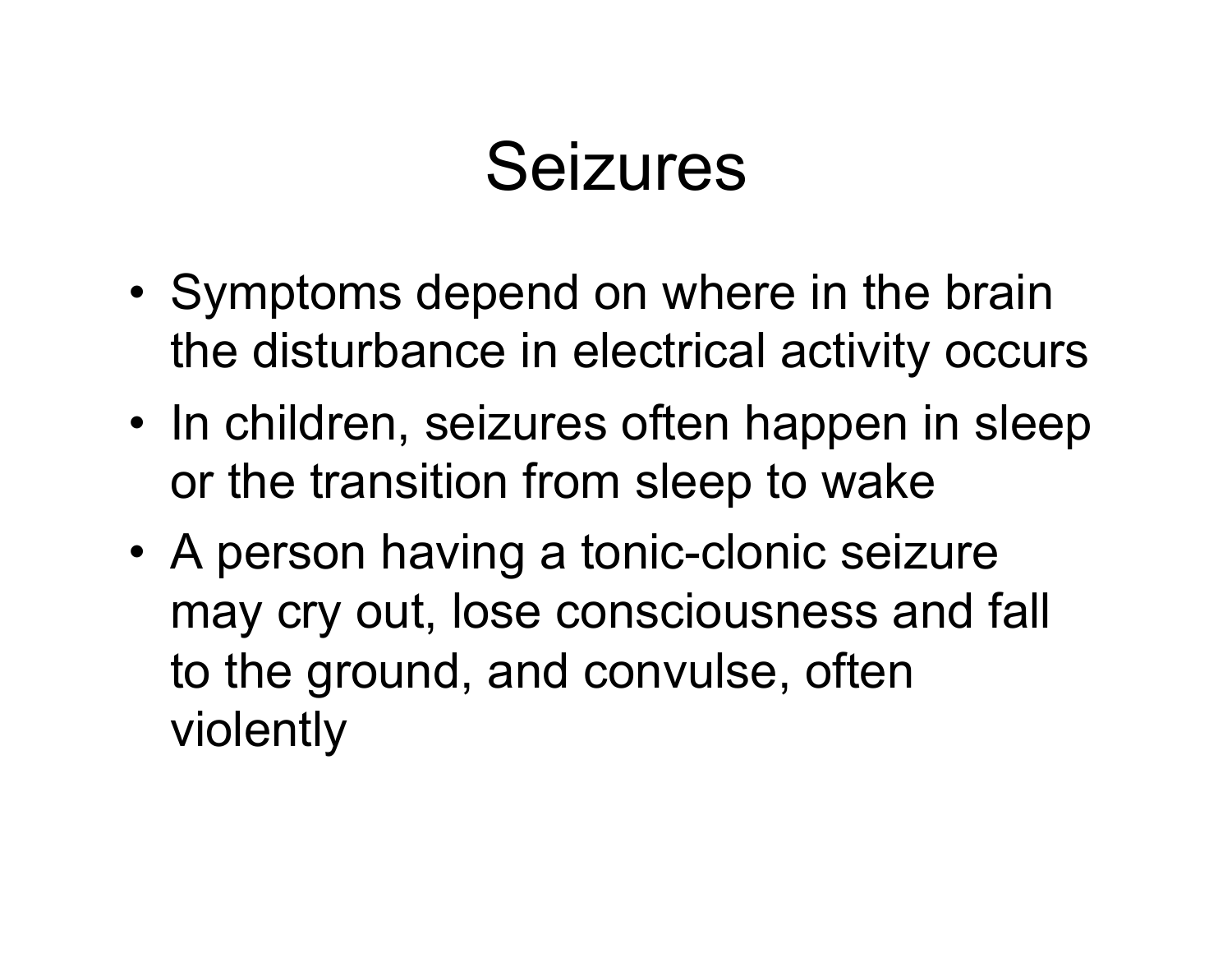- Symptoms depend on where in the brain the disturbance in electrical activity occurs
- In children, seizures often happen in sleep or the transition from sleep to wake
- A person having a tonic-clonic seizure may cry out, lose consciousness and fall to the ground, and convulse, often violently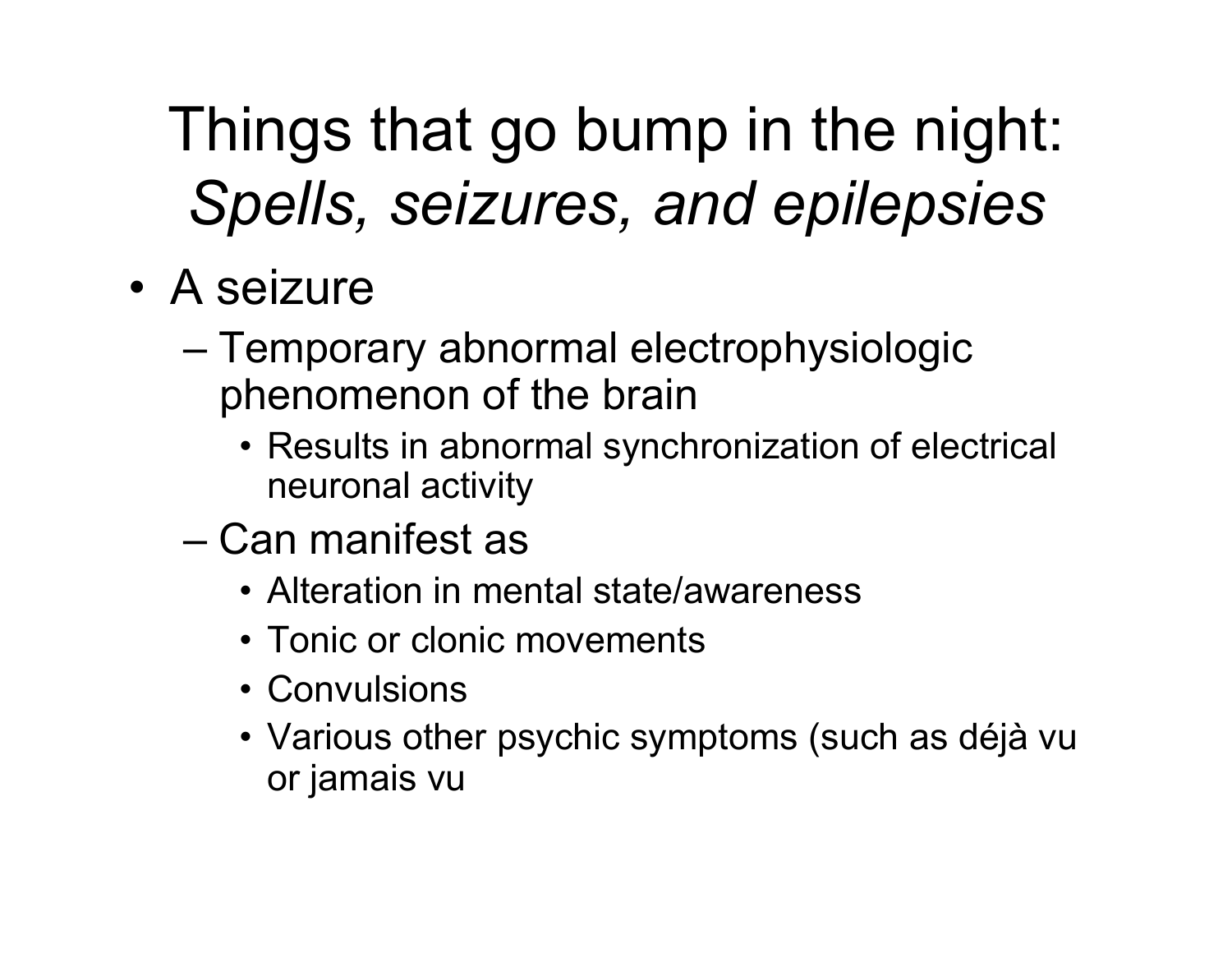Things that go bump in the night: *Spells, seizures, and epilepsies* 

- A seizure
	- Temporary abnormal electrophysiologic phenomenon of the brain
		- Results in abnormal synchronization of electrical neuronal activity
	- Can manifest as
		- Alteration in mental state/awareness
		- Tonic or clonic movements
		- Convulsions
		- Various other psychic symptoms (such as déjà vu or jamais vu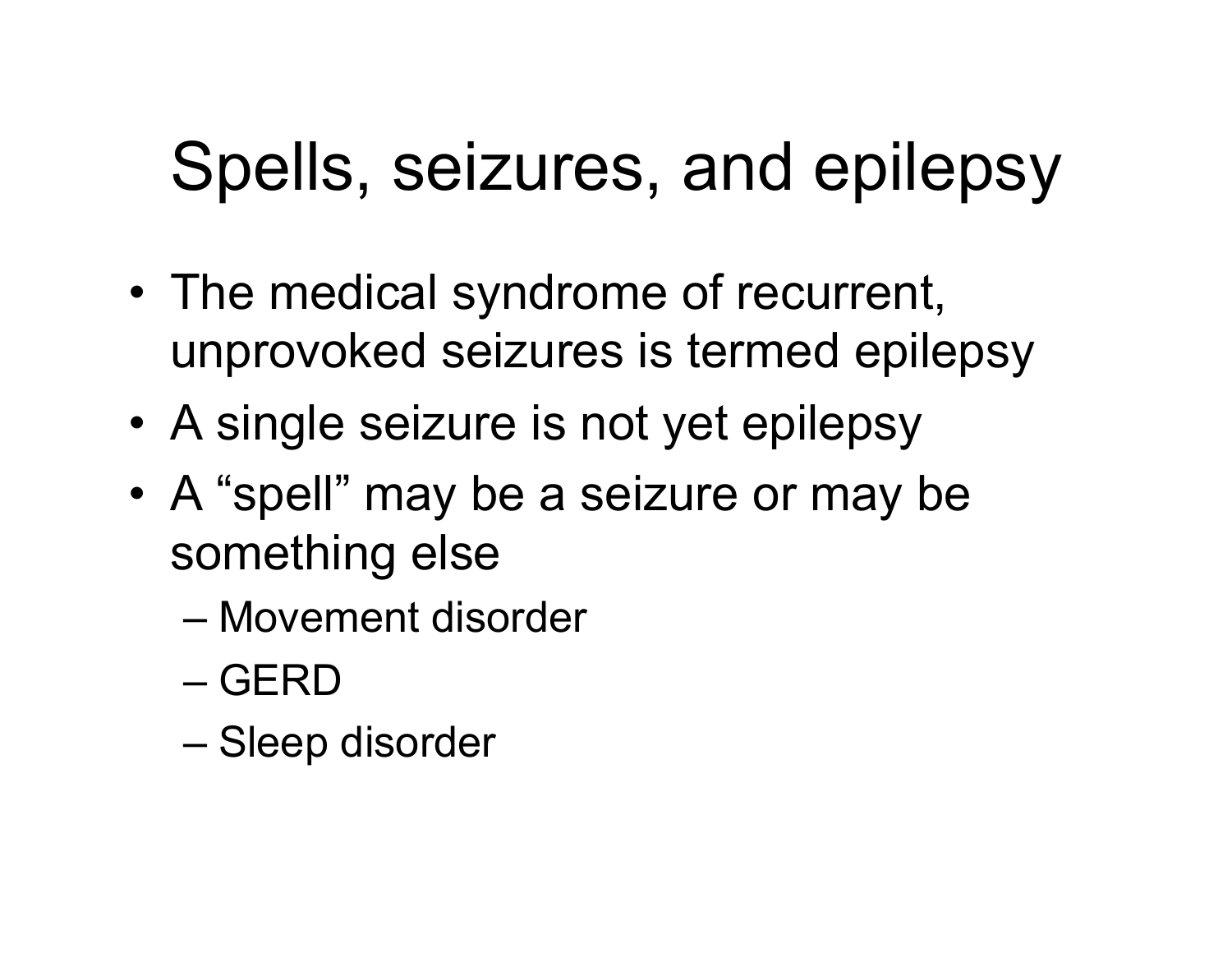# Spells, seizures, and epilepsy

- The medical syndrome of recurrent, unprovoked seizures is termed epilepsy
- A single seizure is not yet epilepsy
- A "spell" may be a seizure or may be something else
	- Movement disorder
	- GERD
	- Sleep disorder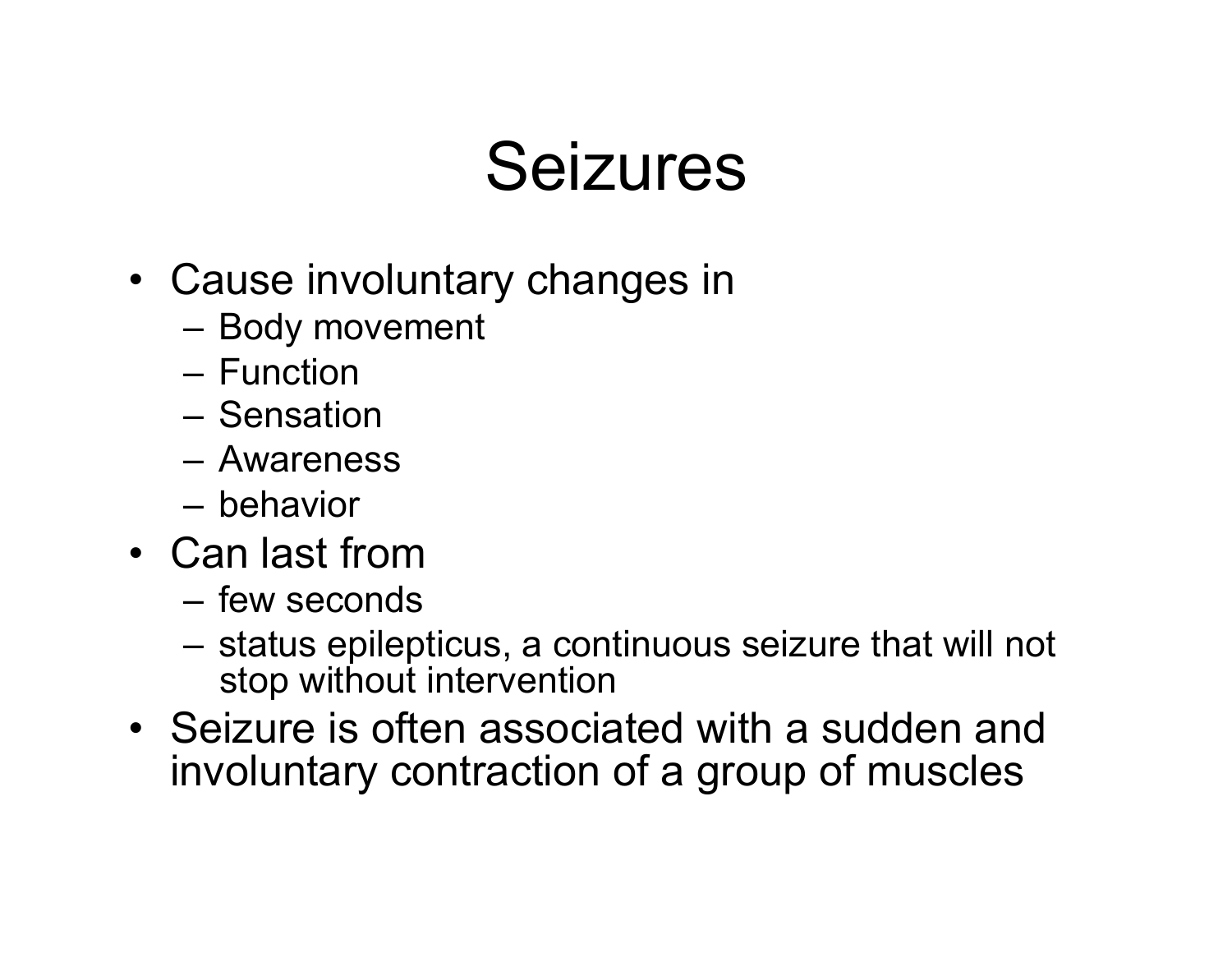- Cause involuntary changes in
	- Body movement
	- Function
	- Sensation
	- Awareness
	- behavior
- Can last from
	- few seconds
	- status epilepticus, a continuous seizure that will not stop without intervention
- Seizure is often associated with a sudden and involuntary contraction of a group of muscles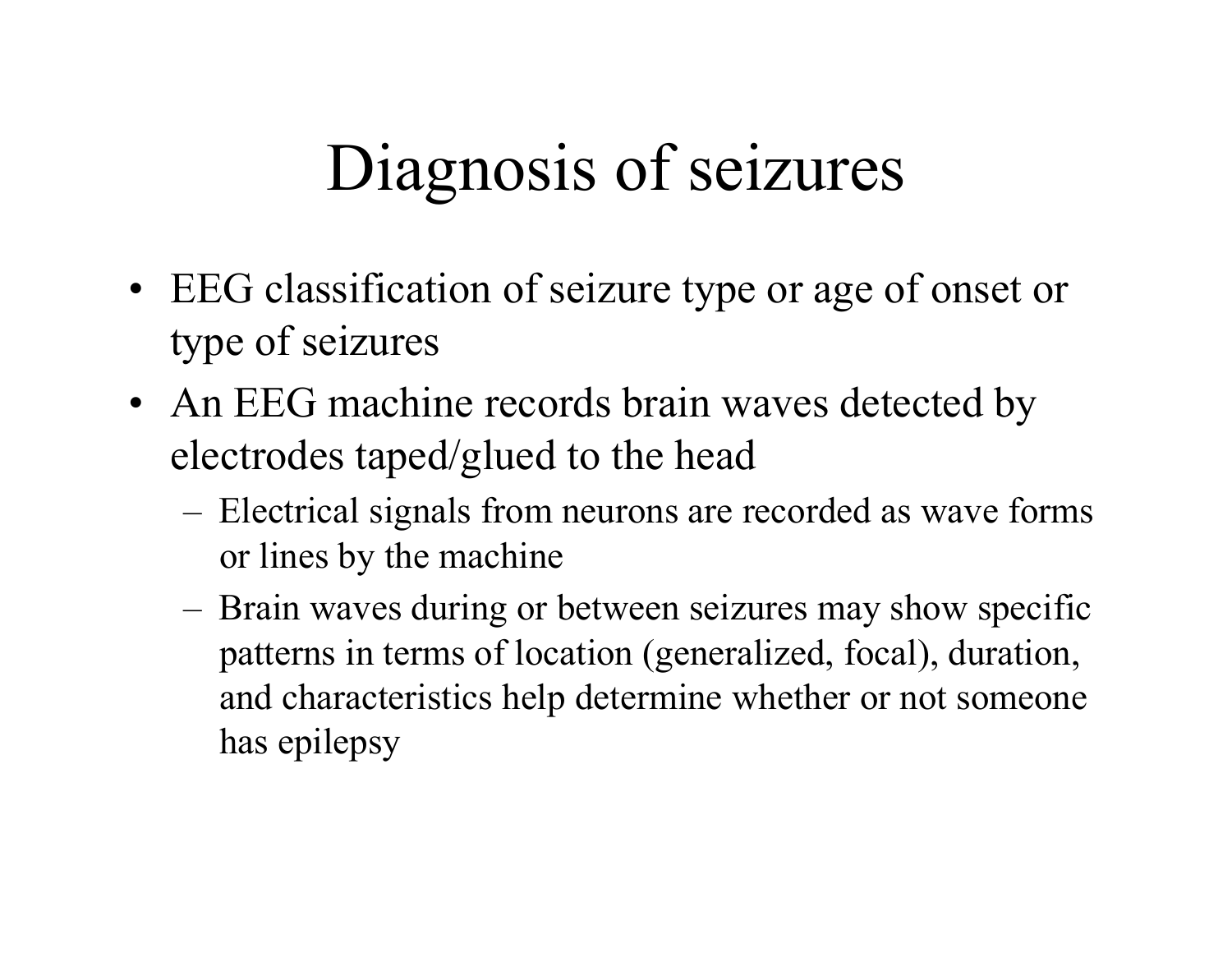### Diagnosis of seizures

- EEG classification of seizure type or age of onset or type of seizures
- An EEG machine records brain waves detected by electrodes taped/glued to the head
	- Electrical signals from neurons are recorded as wave forms or lines by the machine
	- Brain waves during or between seizures may show specific patterns in terms of location (generalized, focal), duration, and characteristics help determine whether or not someone has epilepsy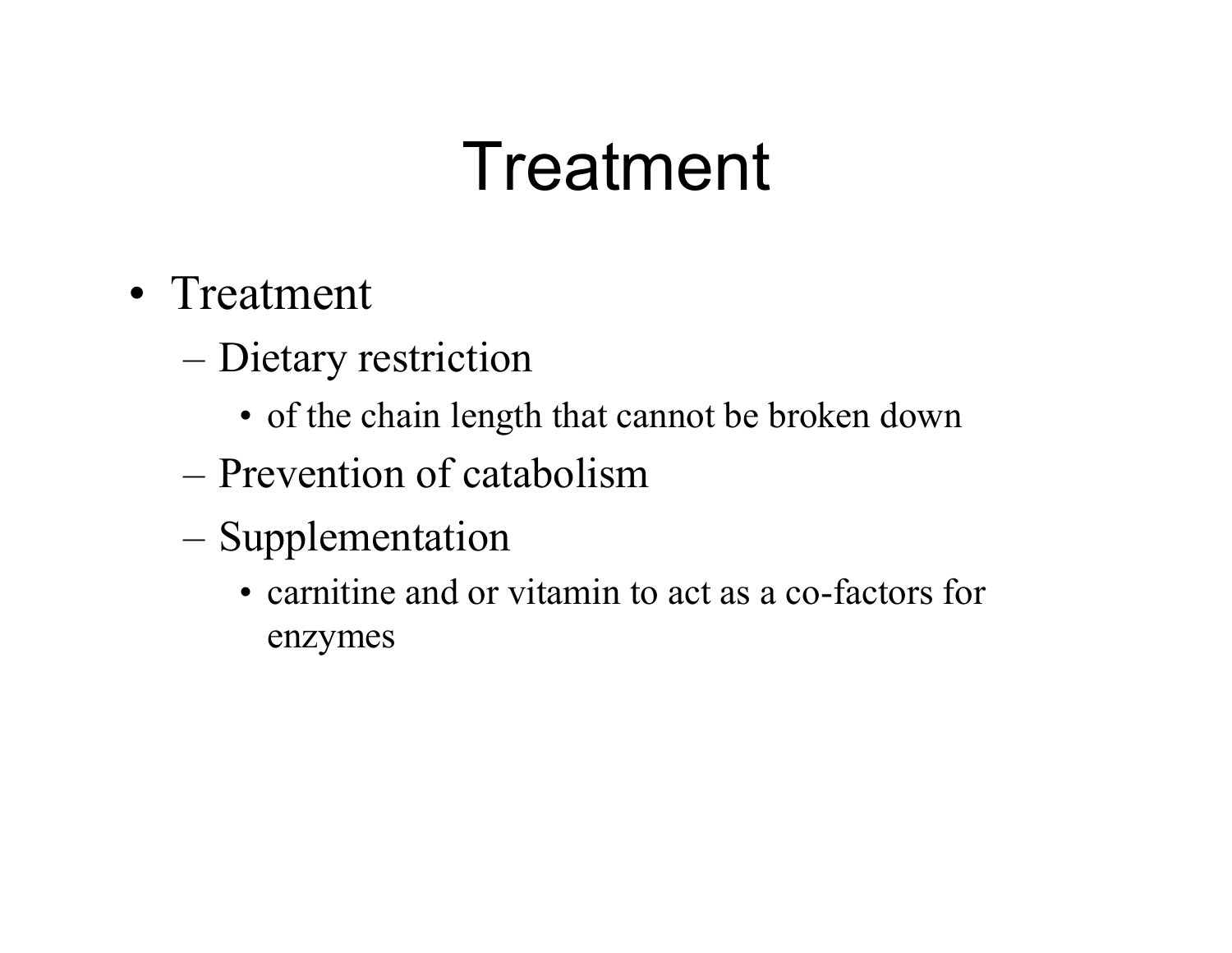# Treatment

- Treatment
	- Dietary restriction
		- of the chain length that cannot be broken down
	- Prevention of catabolism
	- Supplementation
		- carnitine and or vitamin to act as a co-factors for enzymes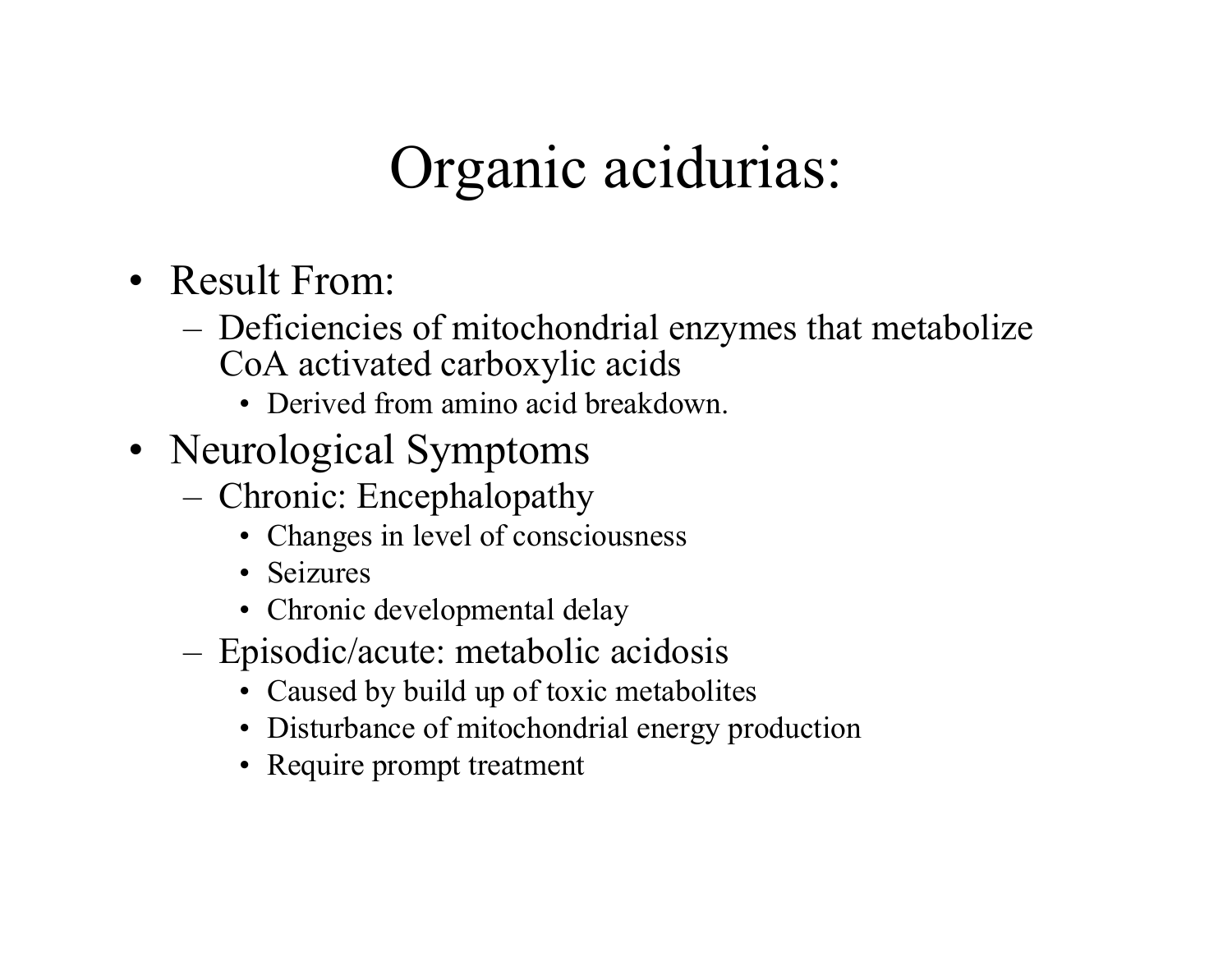#### Organic acidurias:

- Result From:
	- Deficiencies of mitochondrial enzymes that metabolize CoA activated carboxylic acids
		- Derived from amino acid breakdown.
- Neurological Symptoms
	- Chronic: Encephalopathy
		- Changes in level of consciousness
		- Seizures
		- Chronic developmental delay
	- Episodic/acute: metabolic acidosis
		- Caused by build up of toxic metabolites
		- Disturbance of mitochondrial energy production
		- Require prompt treatment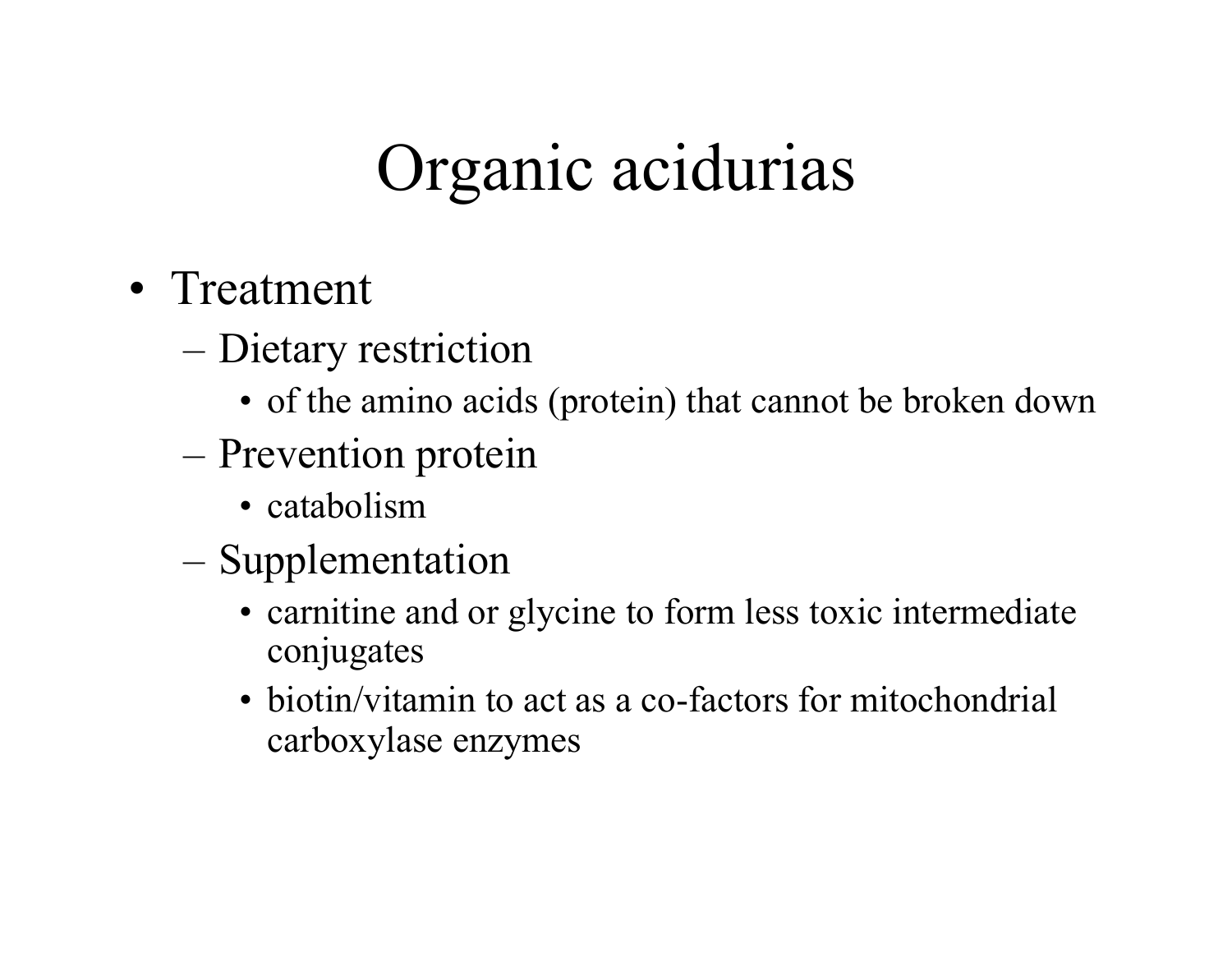# Organic acidurias

- Treatment
	- Dietary restriction
		- of the amino acids (protein) that cannot be broken down
	- Prevention protein
		- catabolism
	- Supplementation
		- carnitine and or glycine to form less toxic intermediate conjugates
		- biotin/vitamin to act as a co-factors for mitochondrial carboxylase enzymes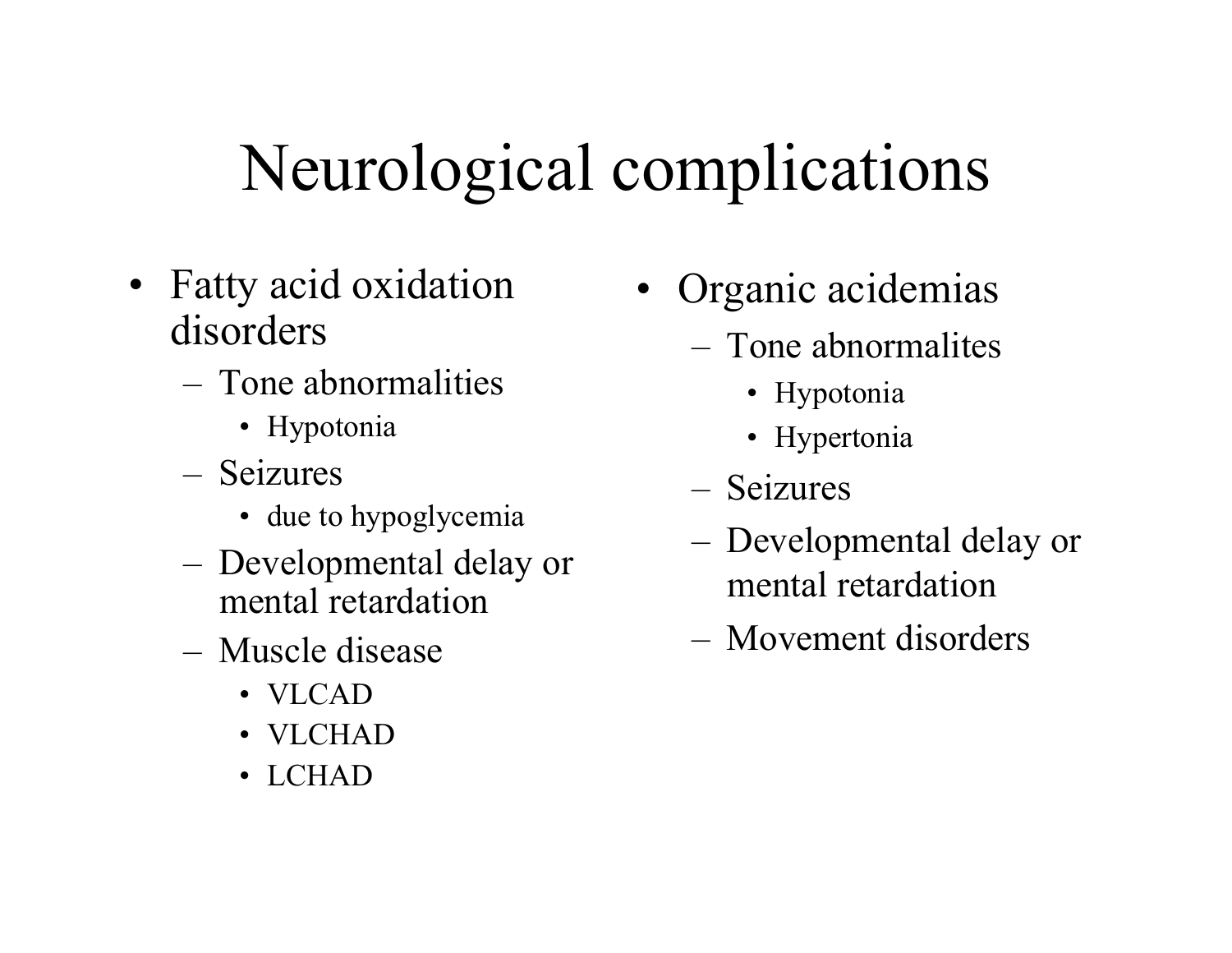# Neurological complications

- Fatty acid oxidation disorders
	- Tone abnormalities
		- Hypotonia
	- Seizures
		- due to hypoglycemia
	- Developmental delay or mental retardation
	- Muscle disease
		- VLCAD
		- VLCHAD
		- LCHAD
- Organic acidemias
	- Tone abnormalites
		- Hypotonia
		- Hypertonia
	- Seizures
	- Developmental delay or mental retardation
	- Movement disorders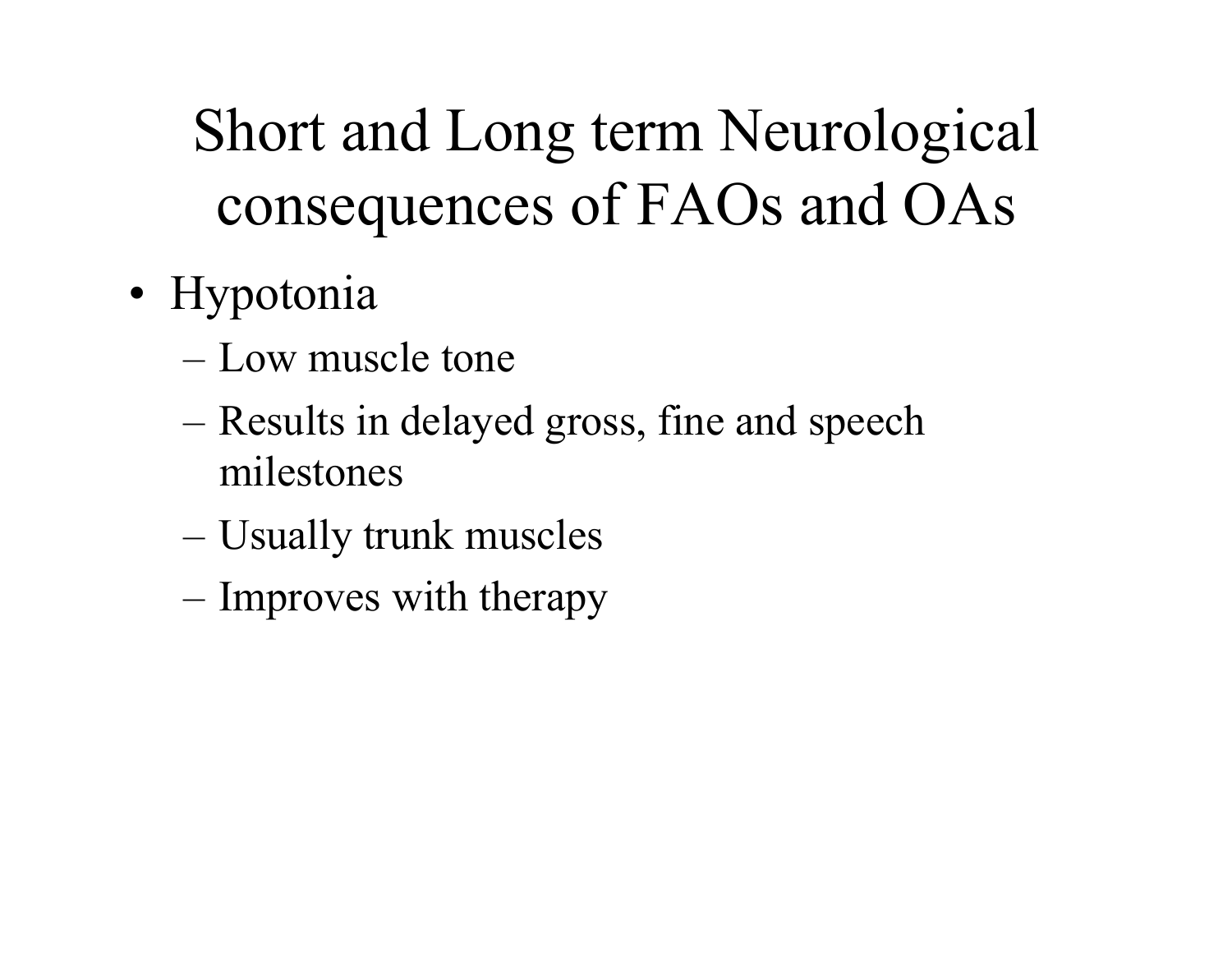- Hypotonia
	- Low muscle tone
	- Results in delayed gross, fine and speech milestones
	- Usually trunk muscles
	- Improves with therapy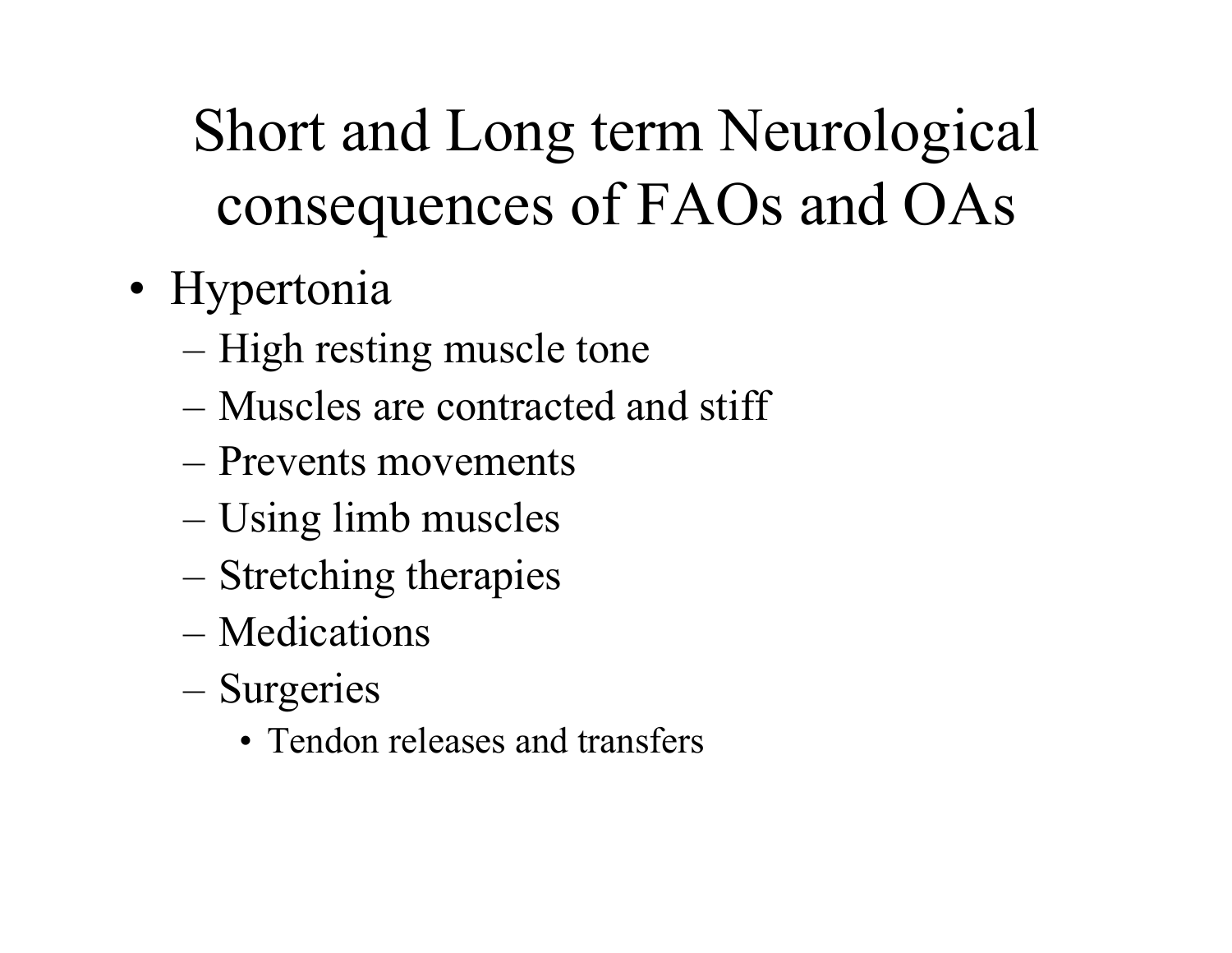- Hypertonia
	- High resting muscle tone
	- Muscles are contracted and stiff
	- Prevents movements
	- Using limb muscles
	- Stretching therapies
	- Medications
	- Surgeries
		- Tendon releases and transfers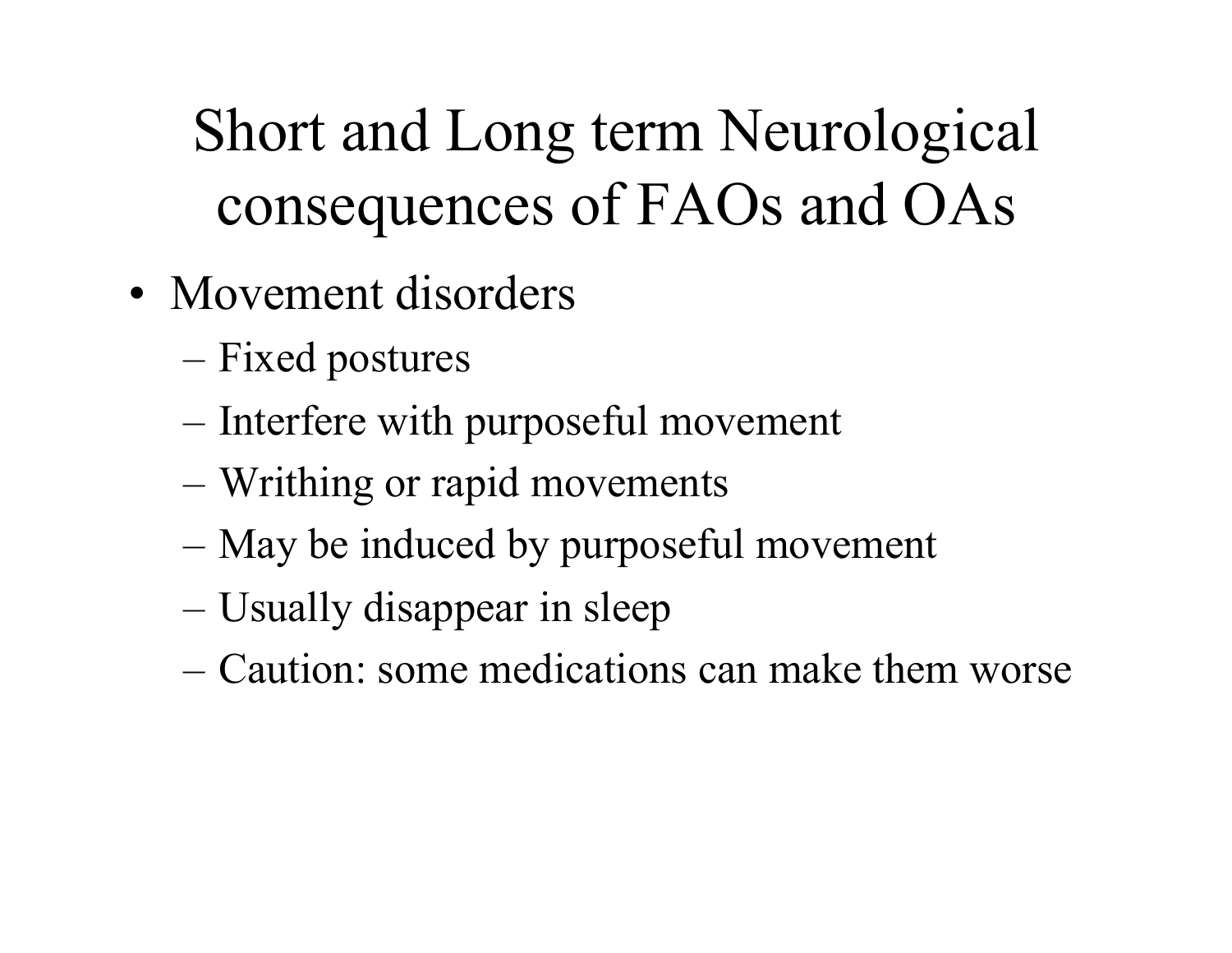- Movement disorders
	- Fixed postures
	- Interfere with purposeful movement
	- Writhing or rapid movements
	- May be induced by purposeful movement
	- Usually disappear in sleep
	- Caution: some medications can make them worse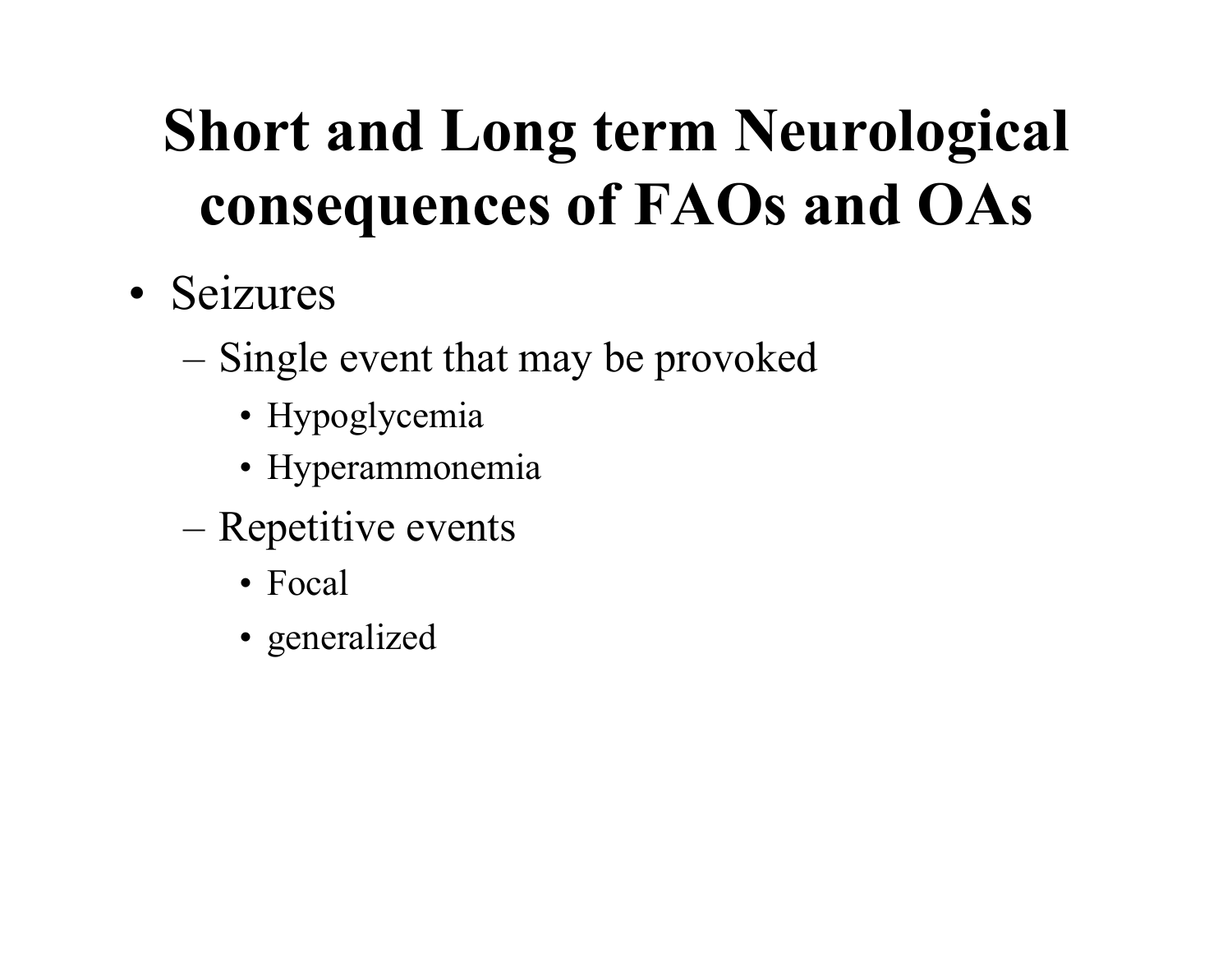- Seizures
	- Single event that may be provoked
		- Hypoglycemia
		- Hyperammonemia
	- Repetitive events
		- Focal
		- generalized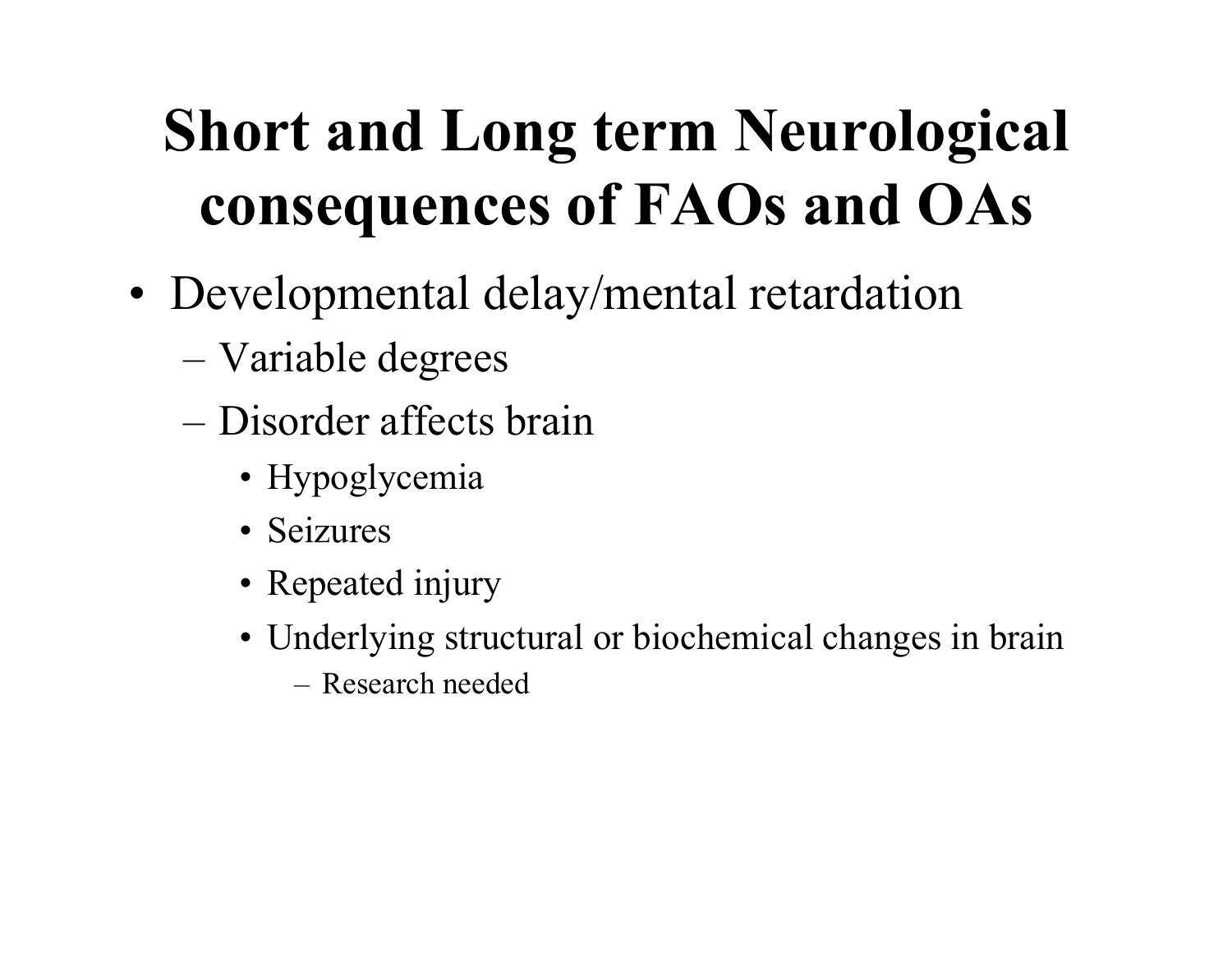#### **Short and Long term Neurological consequences of FAOs and OAs**

- Developmental delay/mental retardation
	- Variable degrees
	- Disorder affects brain
		- Hypoglycemia
		- Seizures
		- Repeated injury
		- Underlying structural or biochemical changes in brain
			- Research needed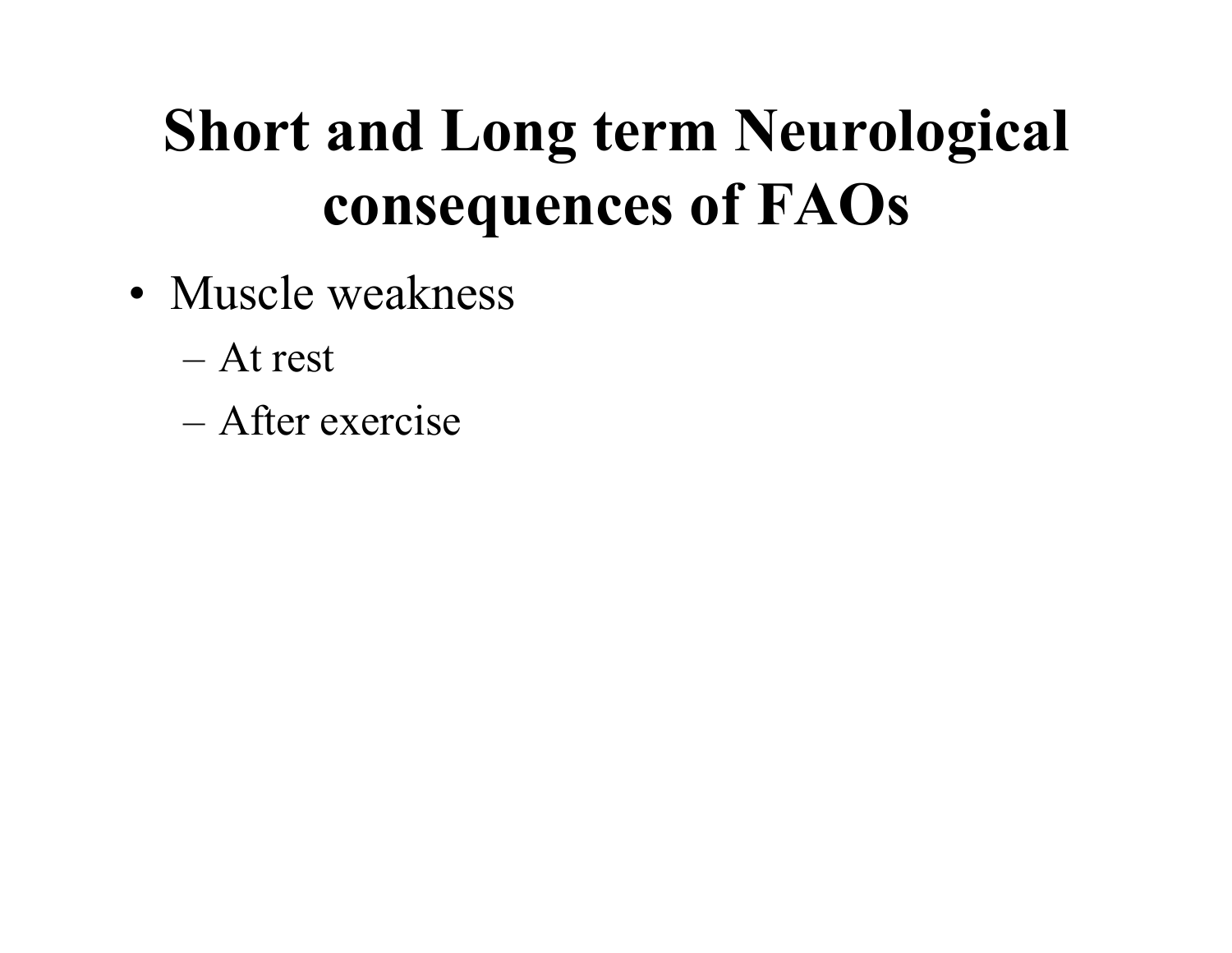#### **Short and Long term Neurological consequences of FAOs**

- Muscle weakness
	- At rest
	- After exercise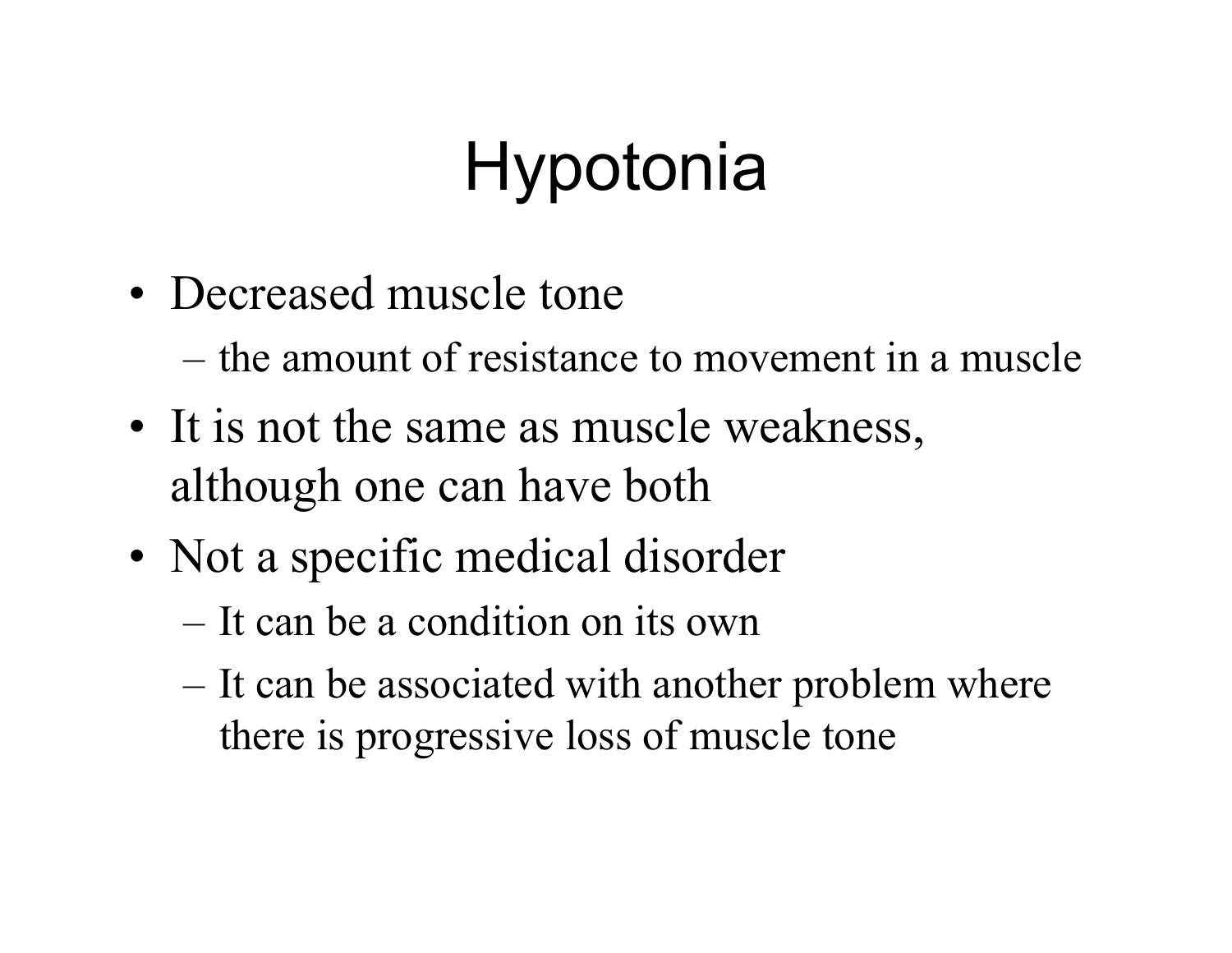- Decreased muscle tone
	- the amount of resistance to movement in a muscle
- It is not the same as muscle weakness, although one can have both
- Not a specific medical disorder
	- It can be a condition on its own
	- It can be associated with another problem where there is progressive loss of muscle tone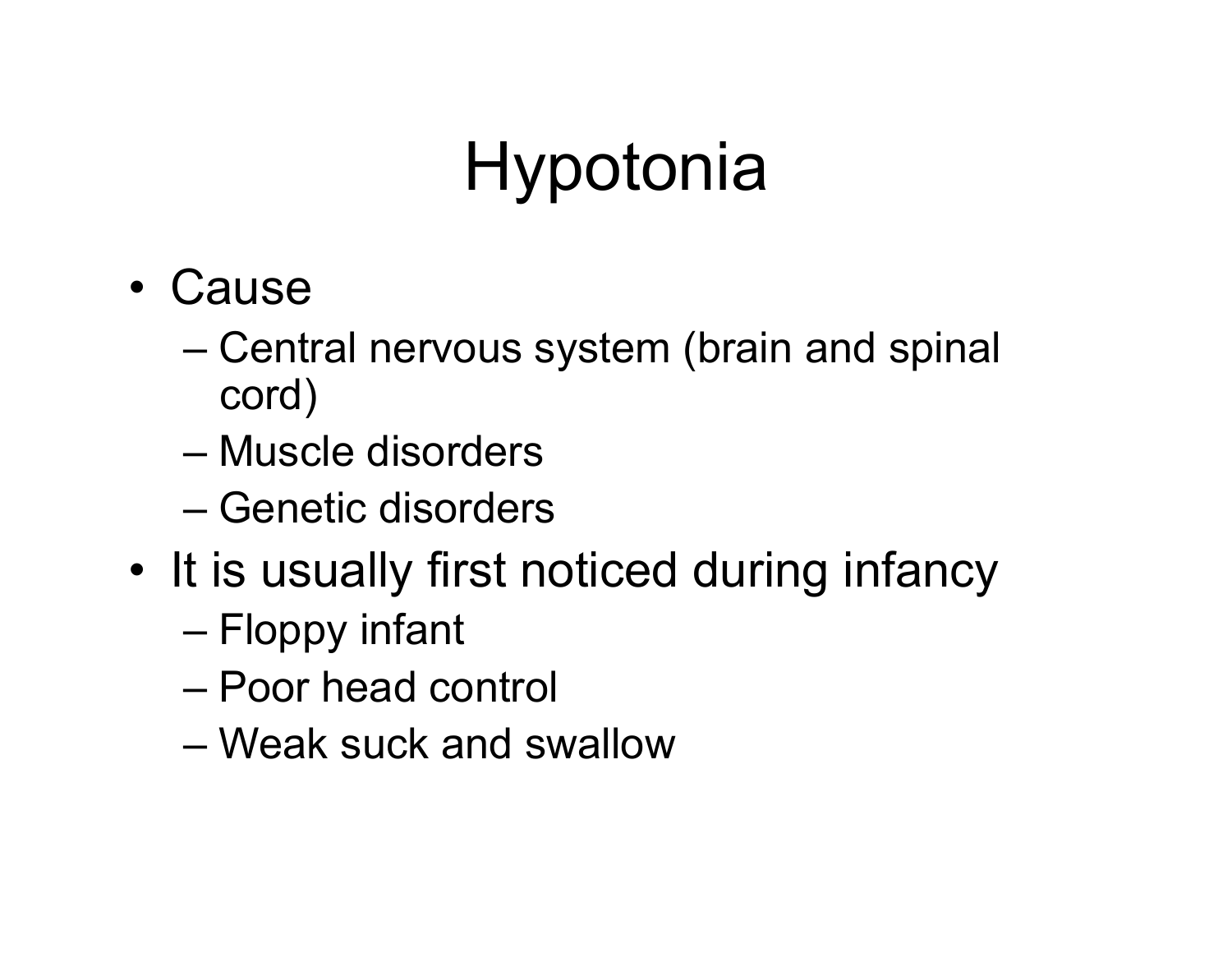- Cause
	- Central nervous system (brain and spinal cord)
	- Muscle disorders
	- Genetic disorders
- It is usually first noticed during infancy
	- Floppy infant
	- Poor head control
	- Weak suck and swallow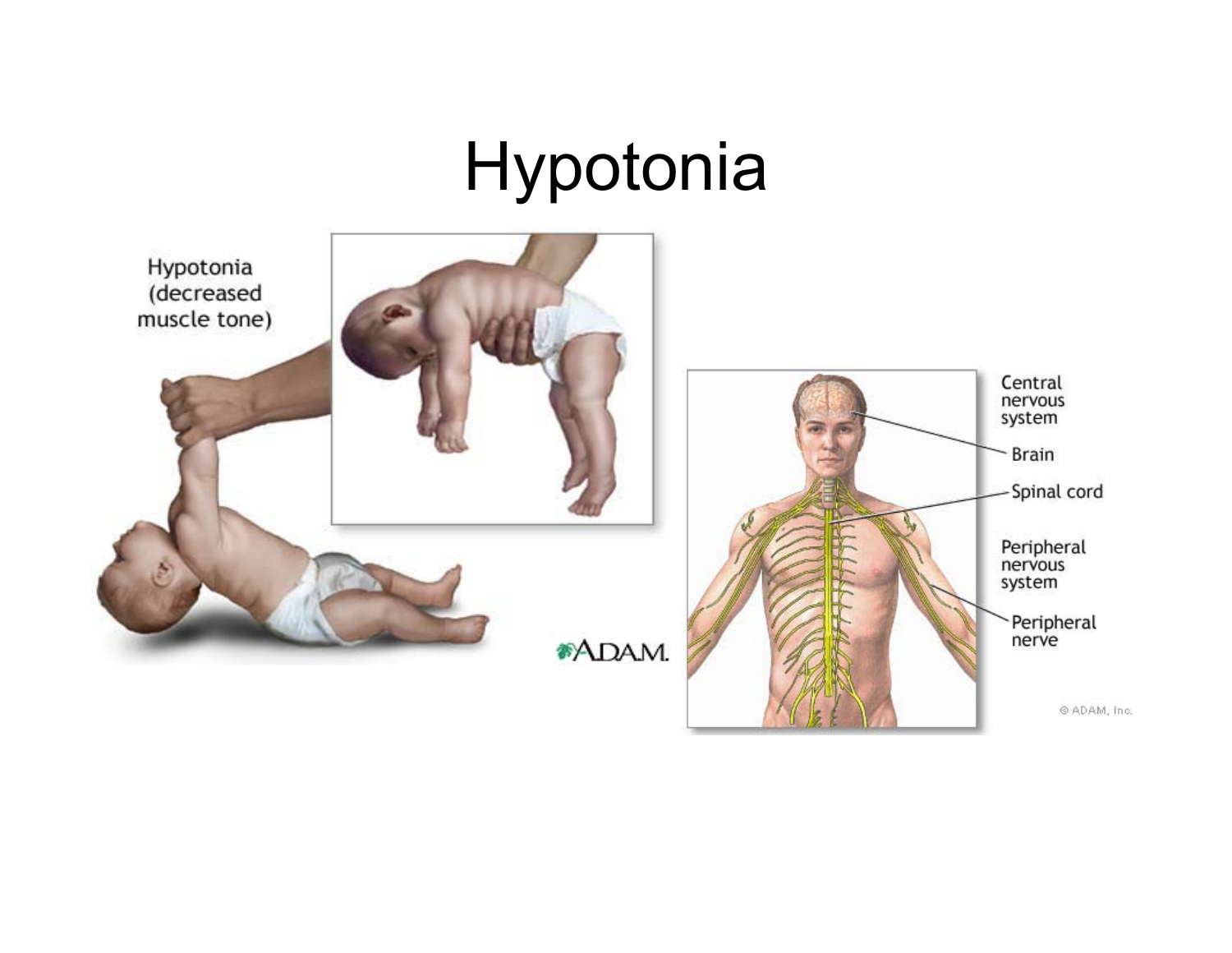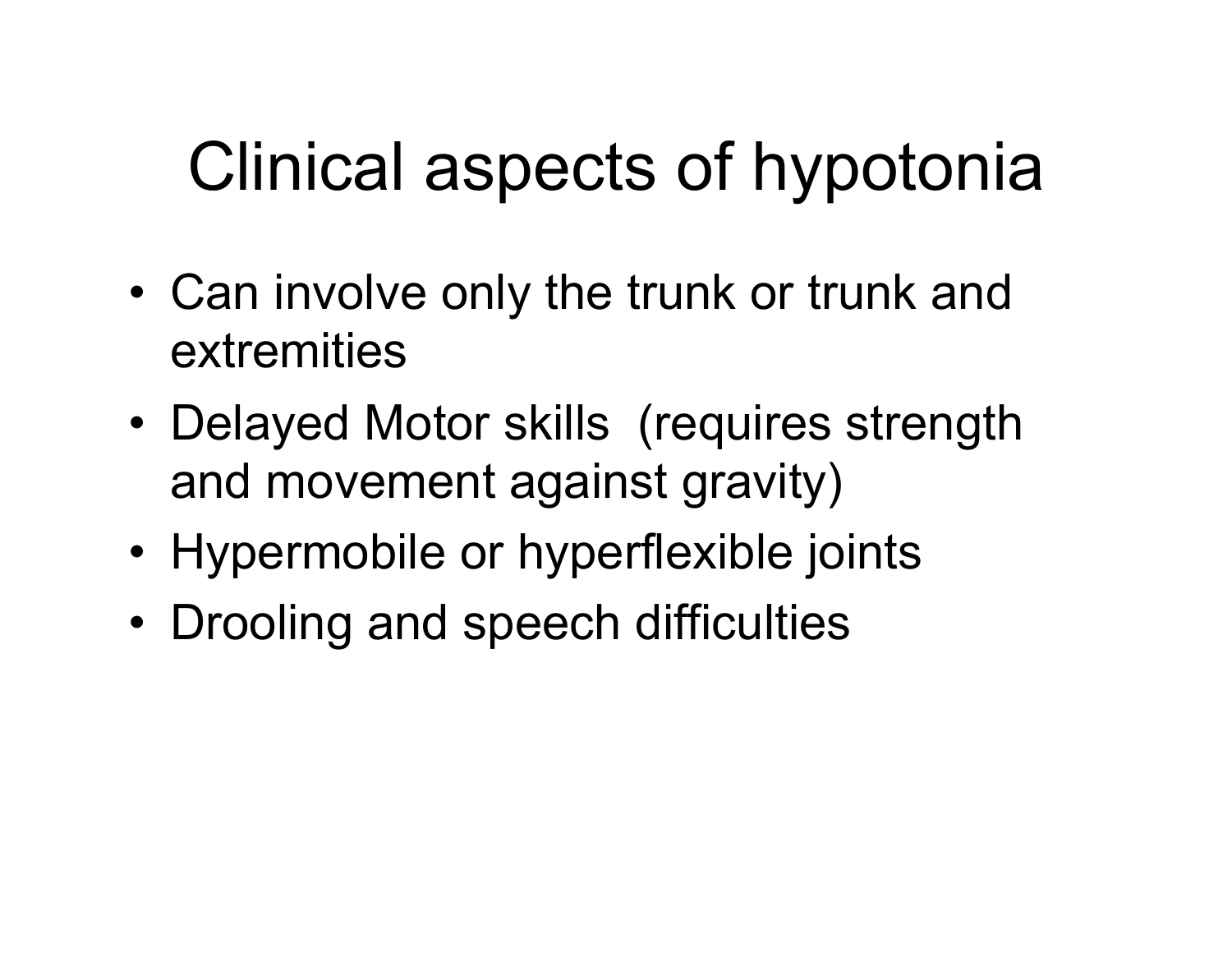# Clinical aspects of hypotonia

- Can involve only the trunk or trunk and extremities
- Delayed Motor skills (requires strength and movement against gravity)
- Hypermobile or hyperflexible joints
- Drooling and speech difficulties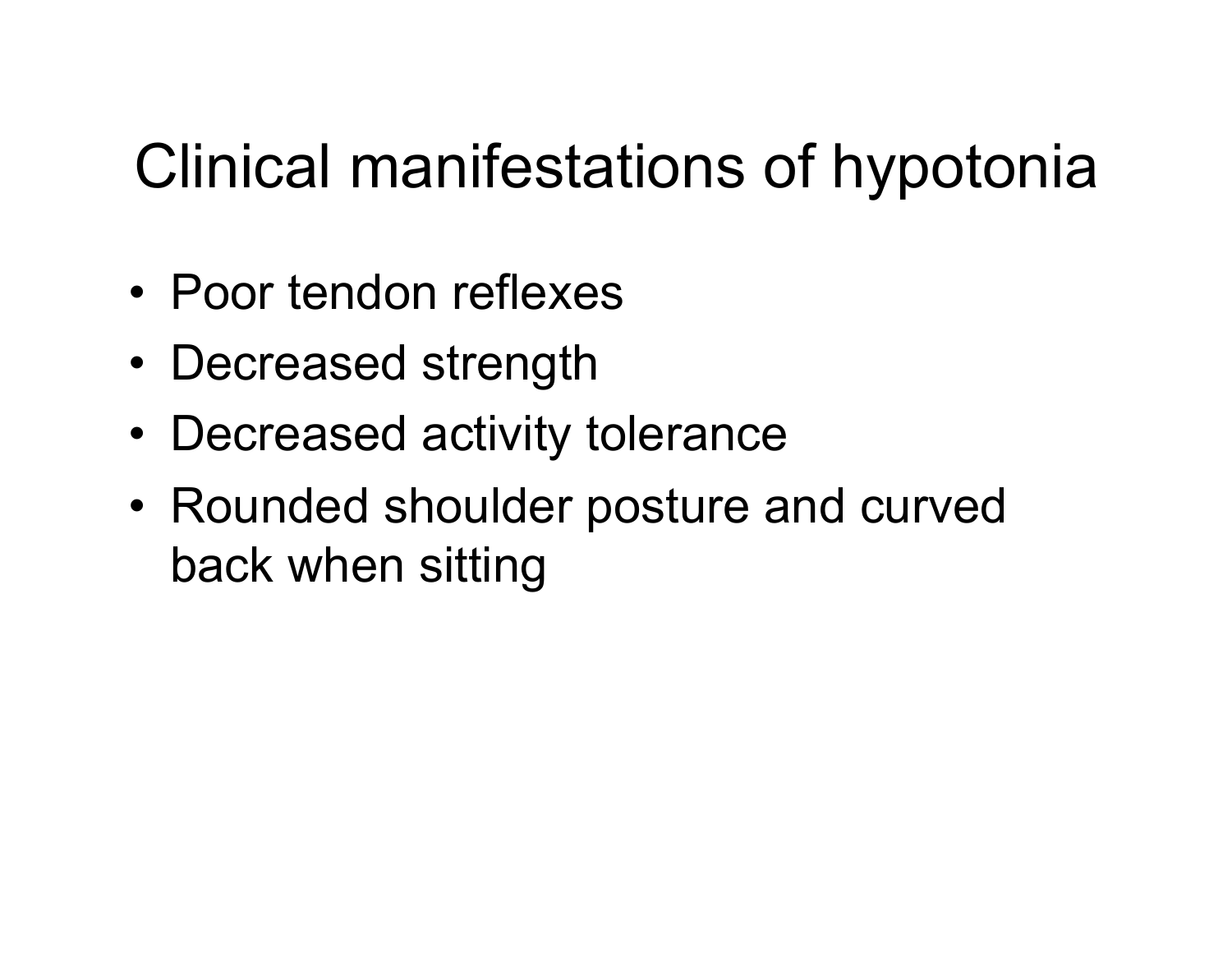#### Clinical manifestations of hypotonia

- Poor tendon reflexes
- Decreased strength
- Decreased activity tolerance
- Rounded shoulder posture and curved back when sitting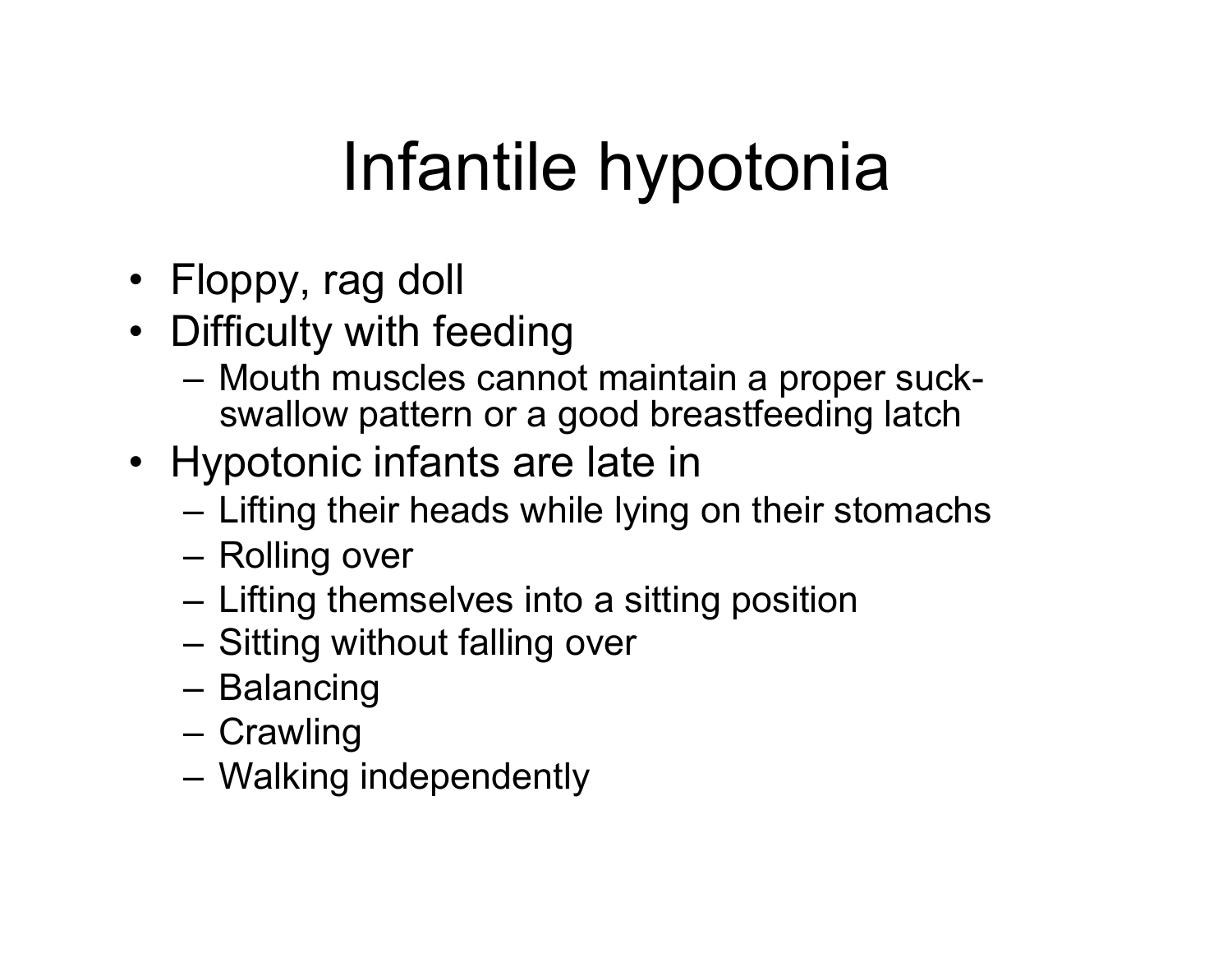# Infantile hypotonia

- Floppy, rag doll
- Difficulty with feeding
	- Mouth muscles cannot maintain a proper suckswallow pattern or a good breastfeeding latch
- Hypotonic infants are late in
	- Lifting their heads while lying on their stomachs
	- Rolling over
	- Lifting themselves into a sitting position
	- Sitting without falling over
	- Balancing
	- Crawling
	- Walking independently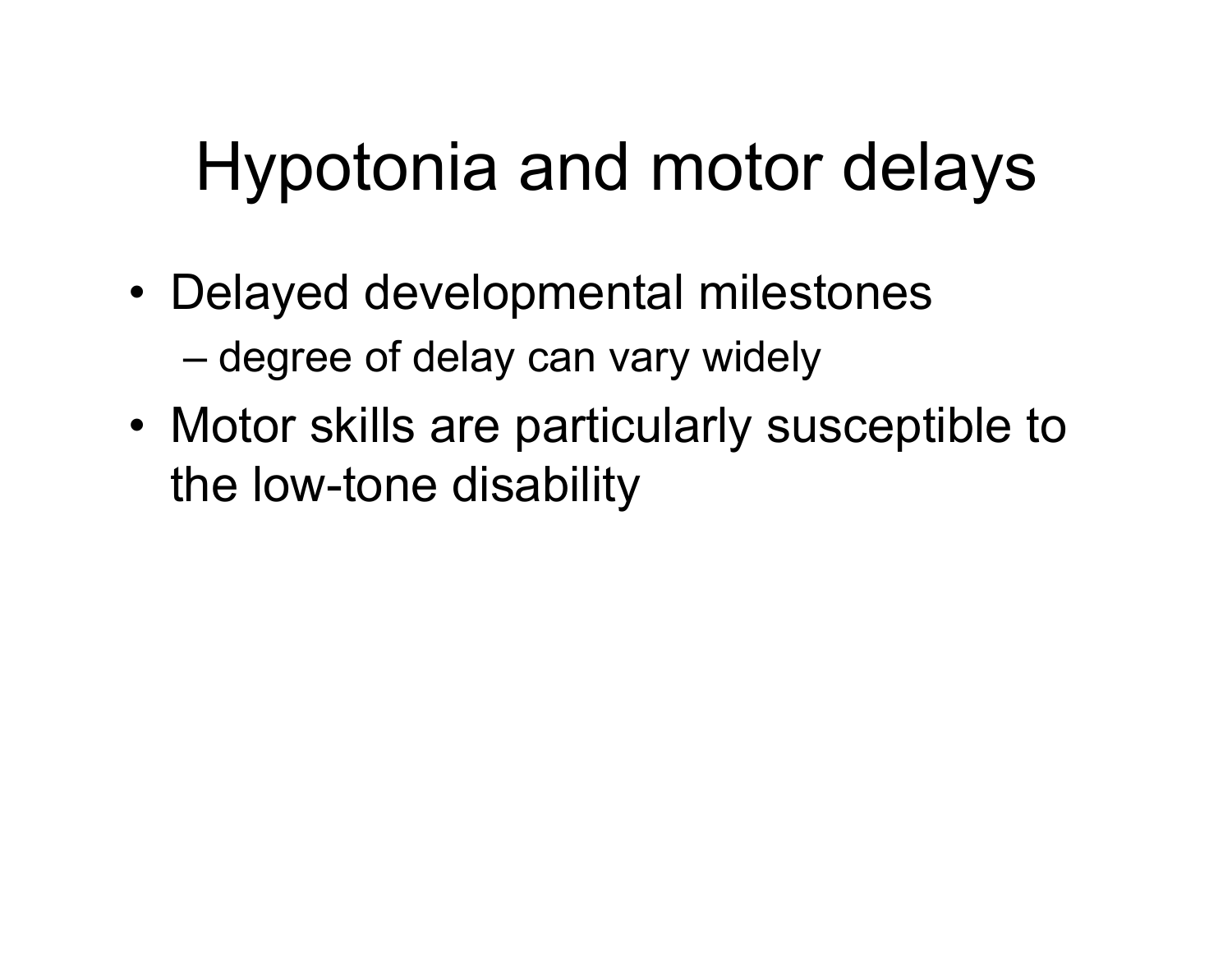# Hypotonia and motor delays

- Delayed developmental milestones – degree of delay can vary widely
- Motor skills are particularly susceptible to the low-tone disability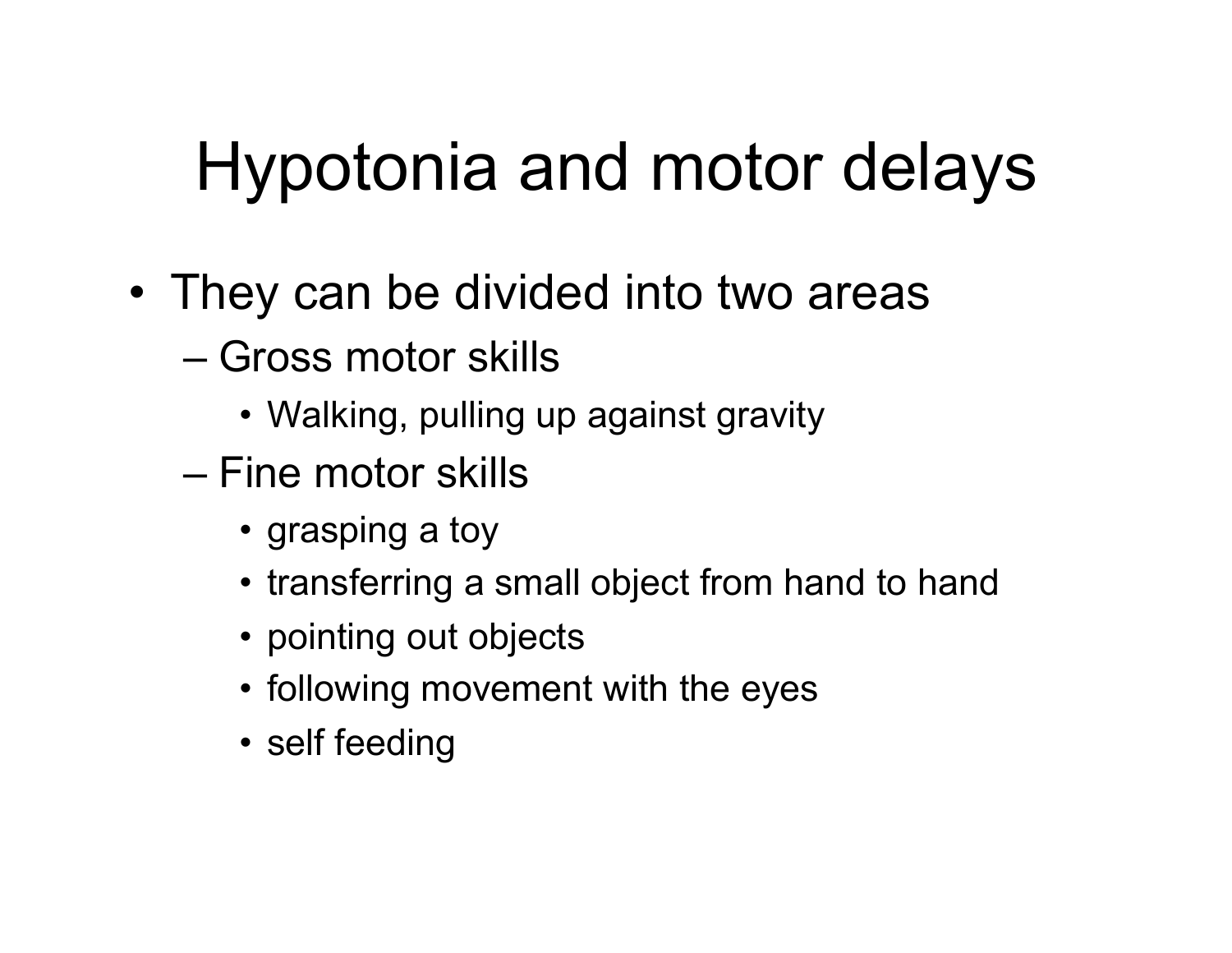# Hypotonia and motor delays

- They can be divided into two areas
	- Gross motor skills
		- Walking, pulling up against gravity
	- Fine motor skills
		- grasping a toy
		- transferring a small object from hand to hand
		- pointing out objects
		- following movement with the eyes
		- self feeding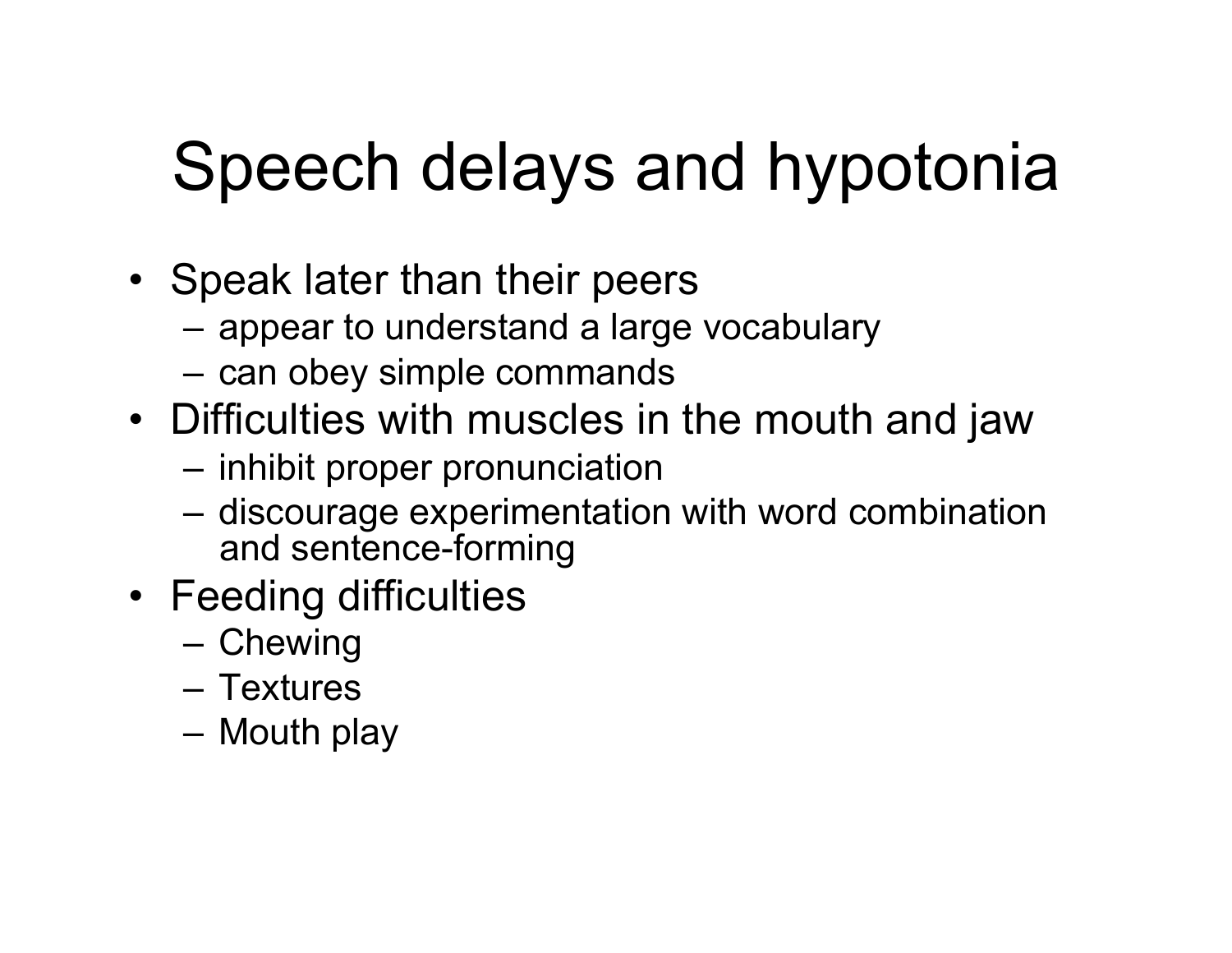# Speech delays and hypotonia

- Speak later than their peers
	- appear to understand a large vocabulary
	- can obey simple commands
- Difficulties with muscles in the mouth and jaw
	- inhibit proper pronunciation
	- discourage experimentation with word combination and sentence-forming
- Feeding difficulties
	- Chewing
	- Textures
	- Mouth play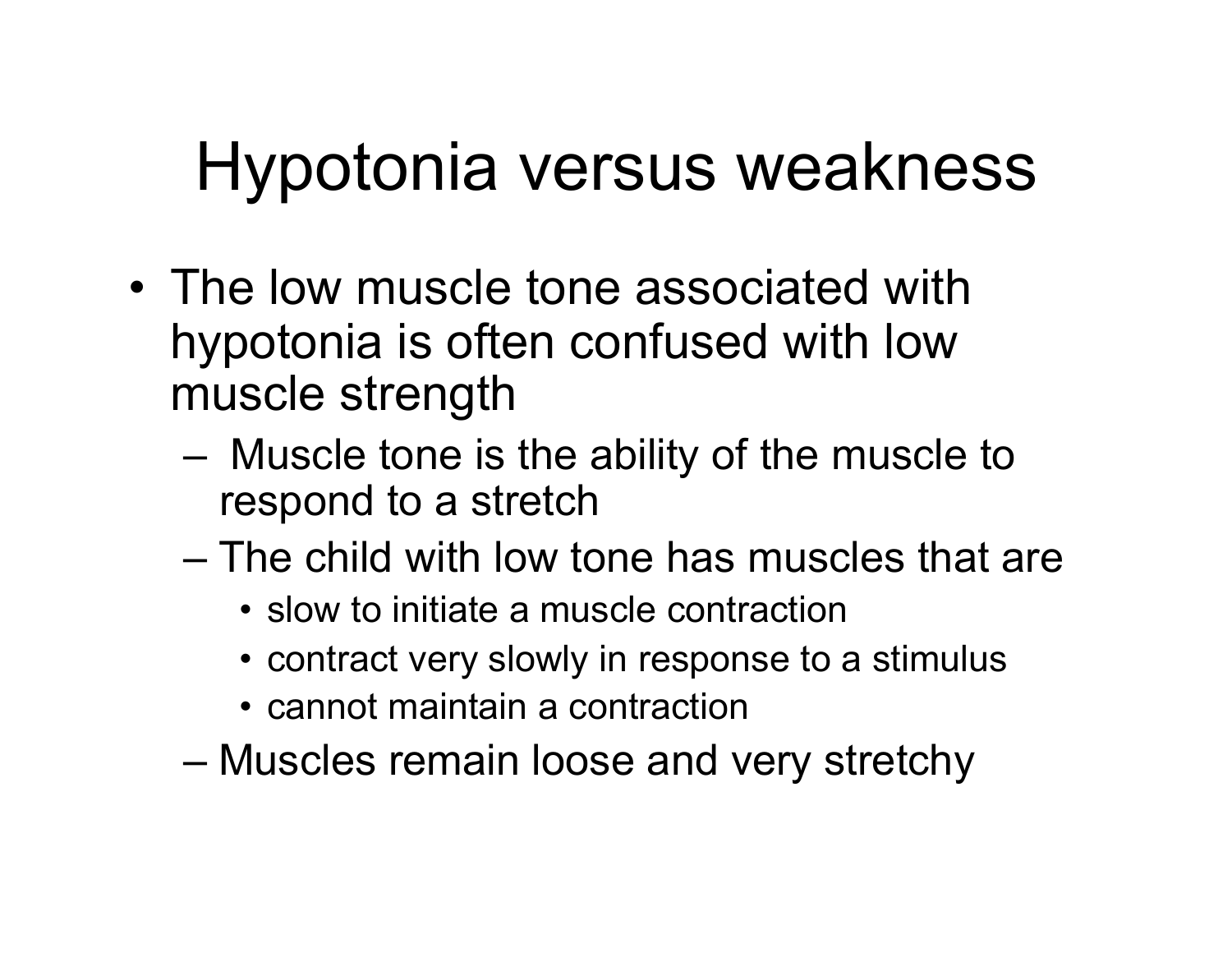## Hypotonia versus weakness

- The low muscle tone associated with hypotonia is often confused with low muscle strength
	- Muscle tone is the ability of the muscle to respond to a stretch
	- The child with low tone has muscles that are
		- slow to initiate a muscle contraction
		- contract very slowly in response to a stimulus
		- cannot maintain a contraction
	- Muscles remain loose and very stretchy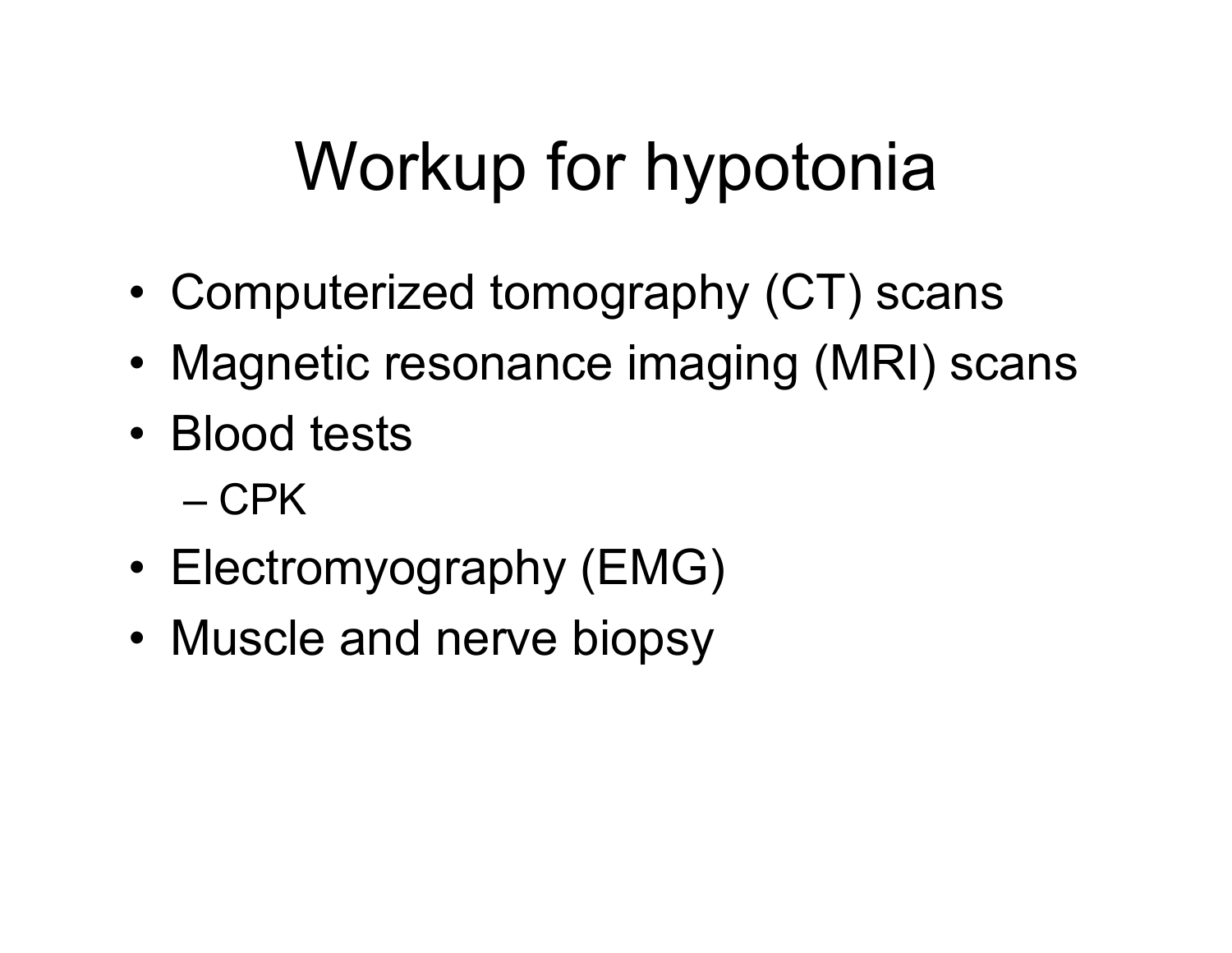## Workup for hypotonia

- Computerized tomography (CT) scans
- Magnetic resonance imaging (MRI) scans
- Blood tests
	- CPK
- Electromyography (EMG)
- Muscle and nerve biopsy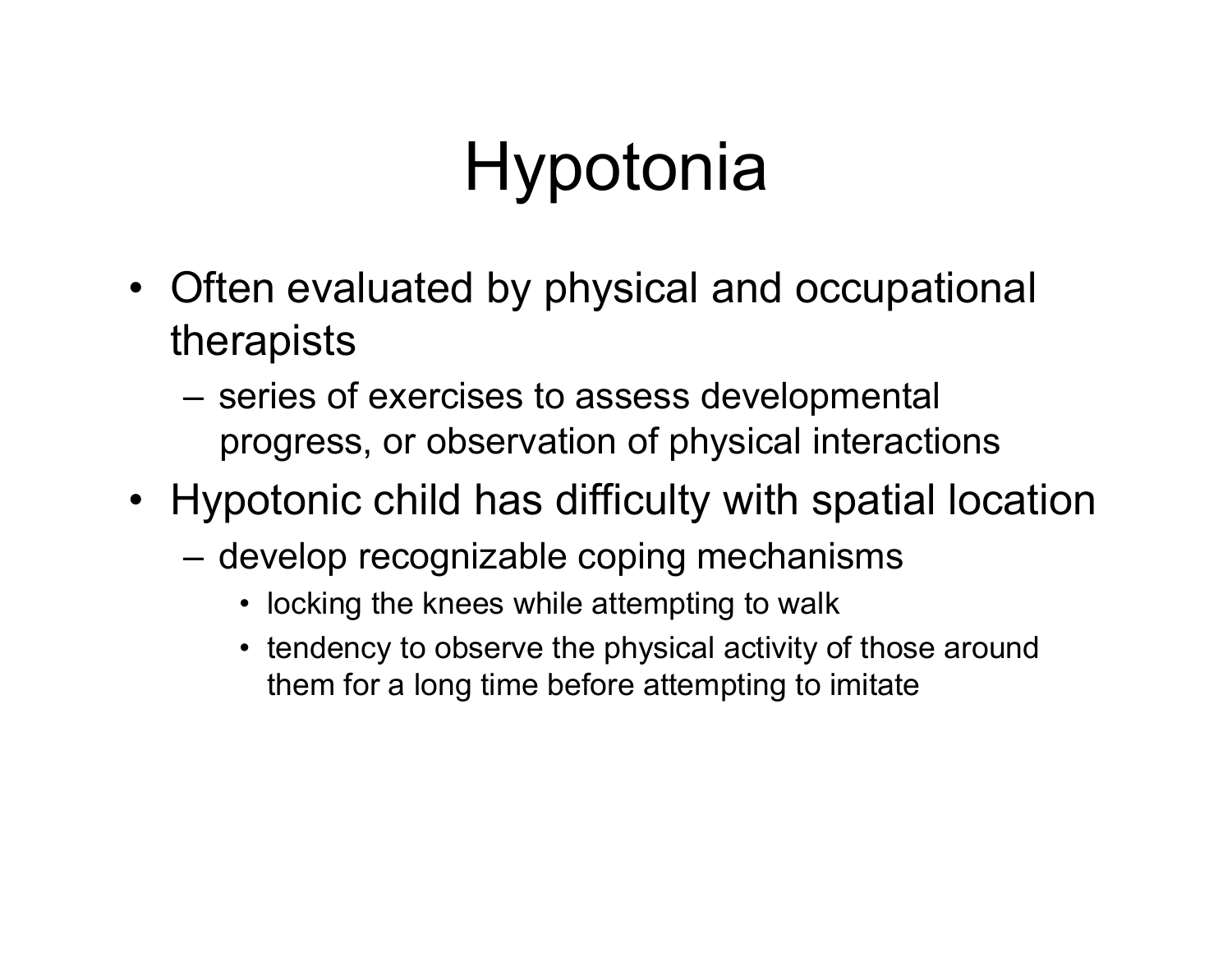- Often evaluated by physical and occupational therapists
	- series of exercises to assess developmental progress, or observation of physical interactions
- Hypotonic child has difficulty with spatial location
	- develop recognizable coping mechanisms
		- locking the knees while attempting to walk
		- tendency to observe the physical activity of those around them for a long time before attempting to imitate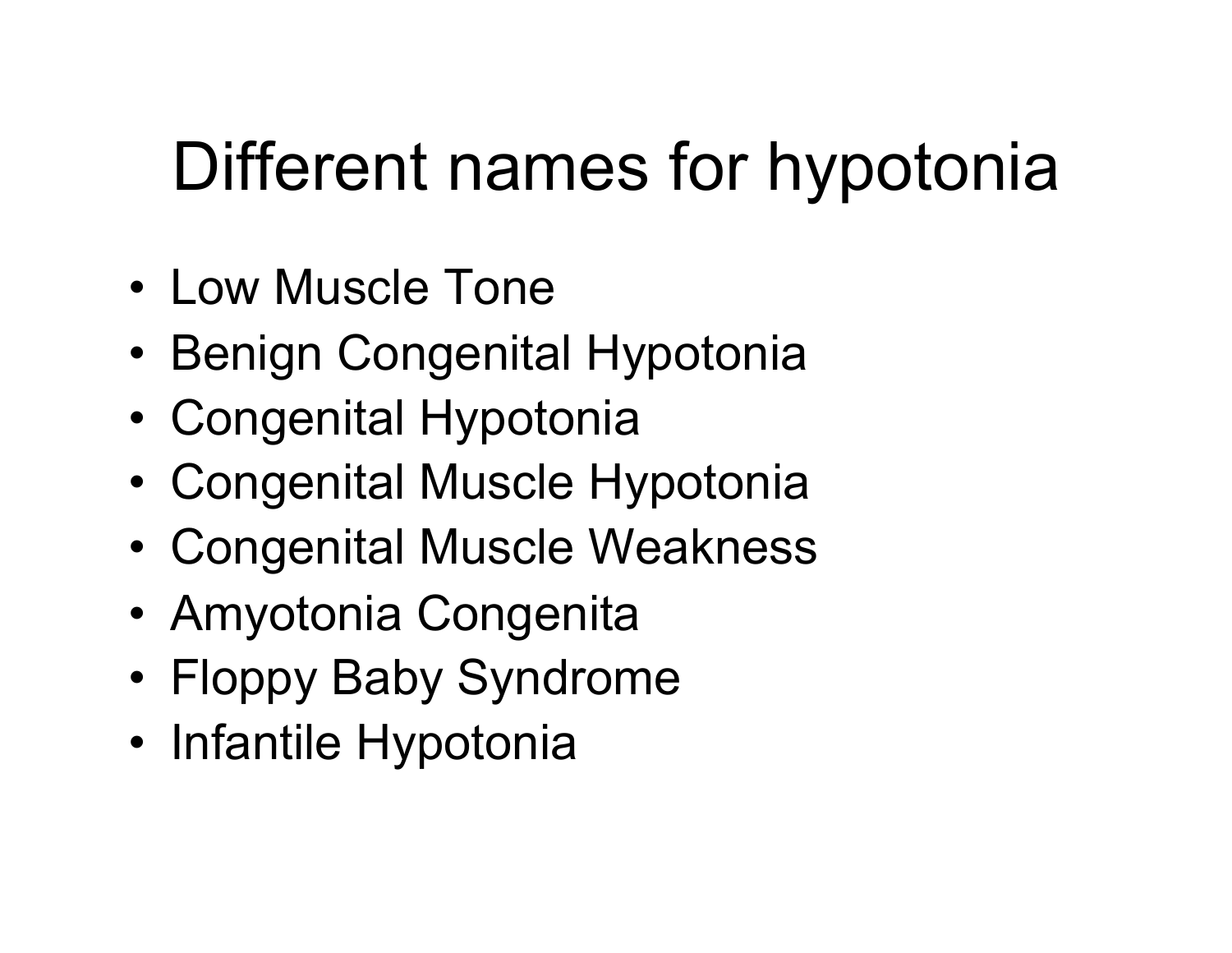# Different names for hypotonia

- Low Muscle Tone
- Benign Congenital Hypotonia
- Congenital Hypotonia
- Congenital Muscle Hypotonia
- Congenital Muscle Weakness
- Amyotonia Congenita
- Floppy Baby Syndrome
- Infantile Hypotonia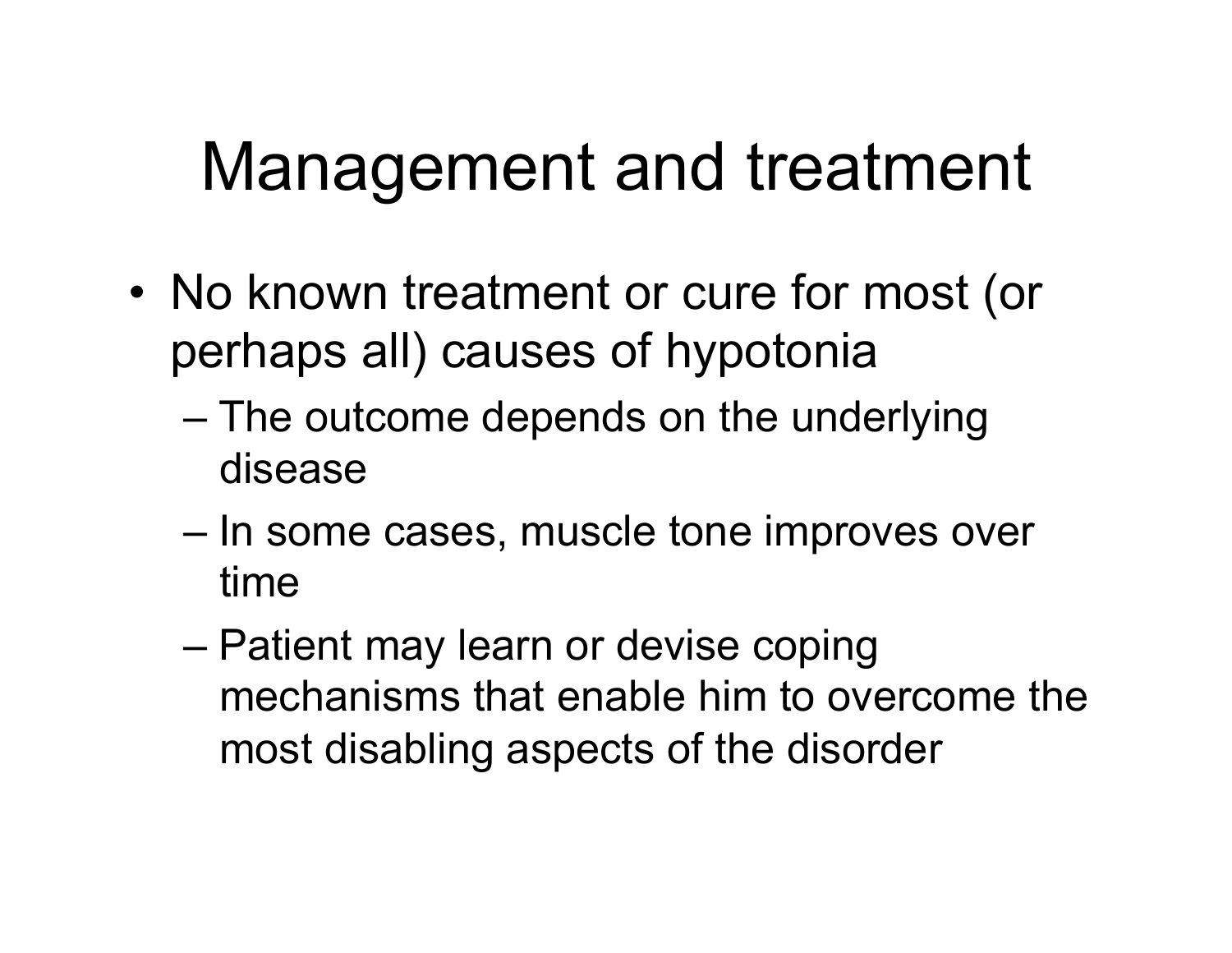## Management and treatment

- No known treatment or cure for most (or perhaps all) causes of hypotonia
	- The outcome depends on the underlying disease
	- In some cases, muscle tone improves over time
	- Patient may learn or devise coping mechanisms that enable him to overcome the most disabling aspects of the disorder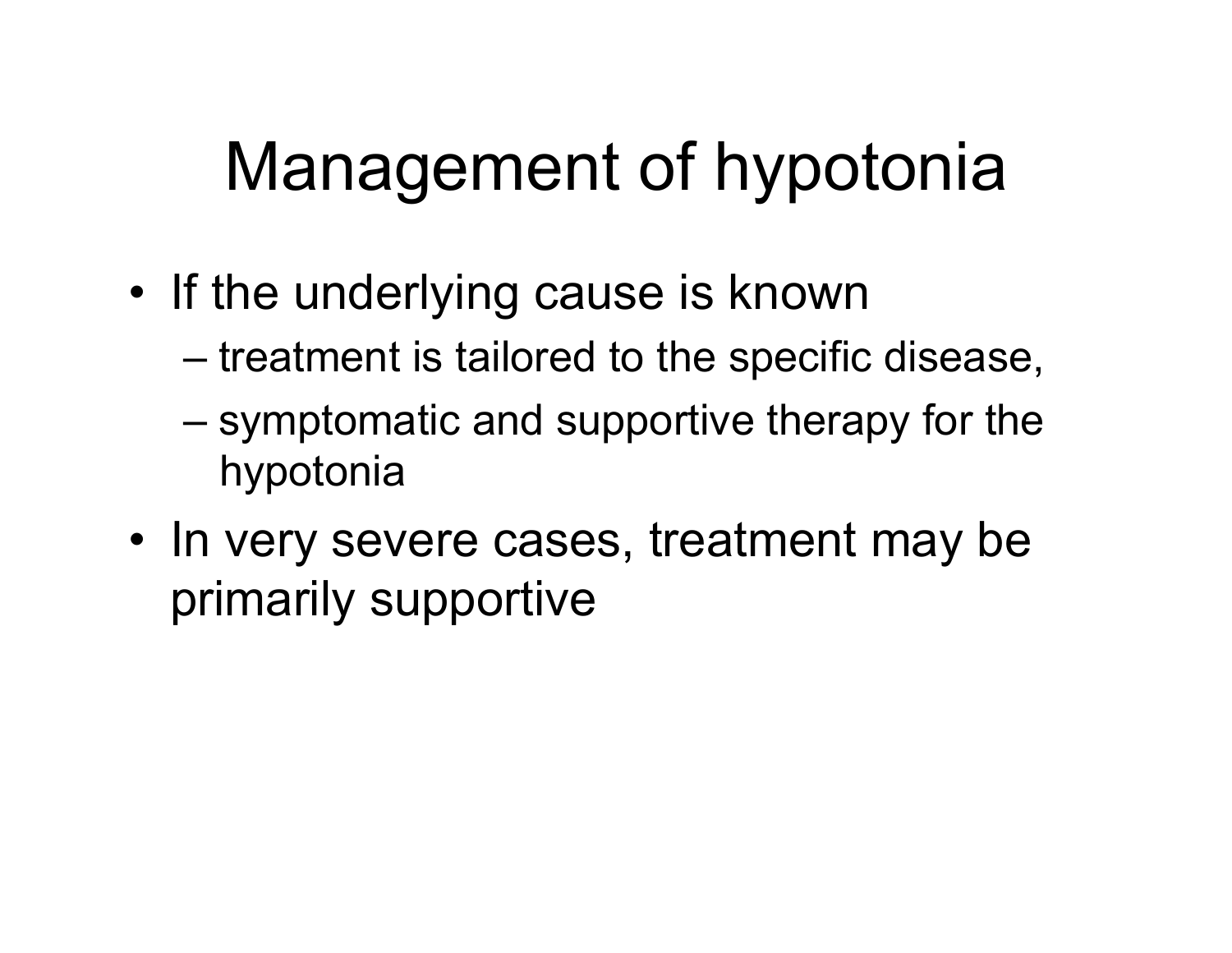# Management of hypotonia

- If the underlying cause is known
	- treatment is tailored to the specific disease,
	- symptomatic and supportive therapy for the hypotonia
- In very severe cases, treatment may be primarily supportive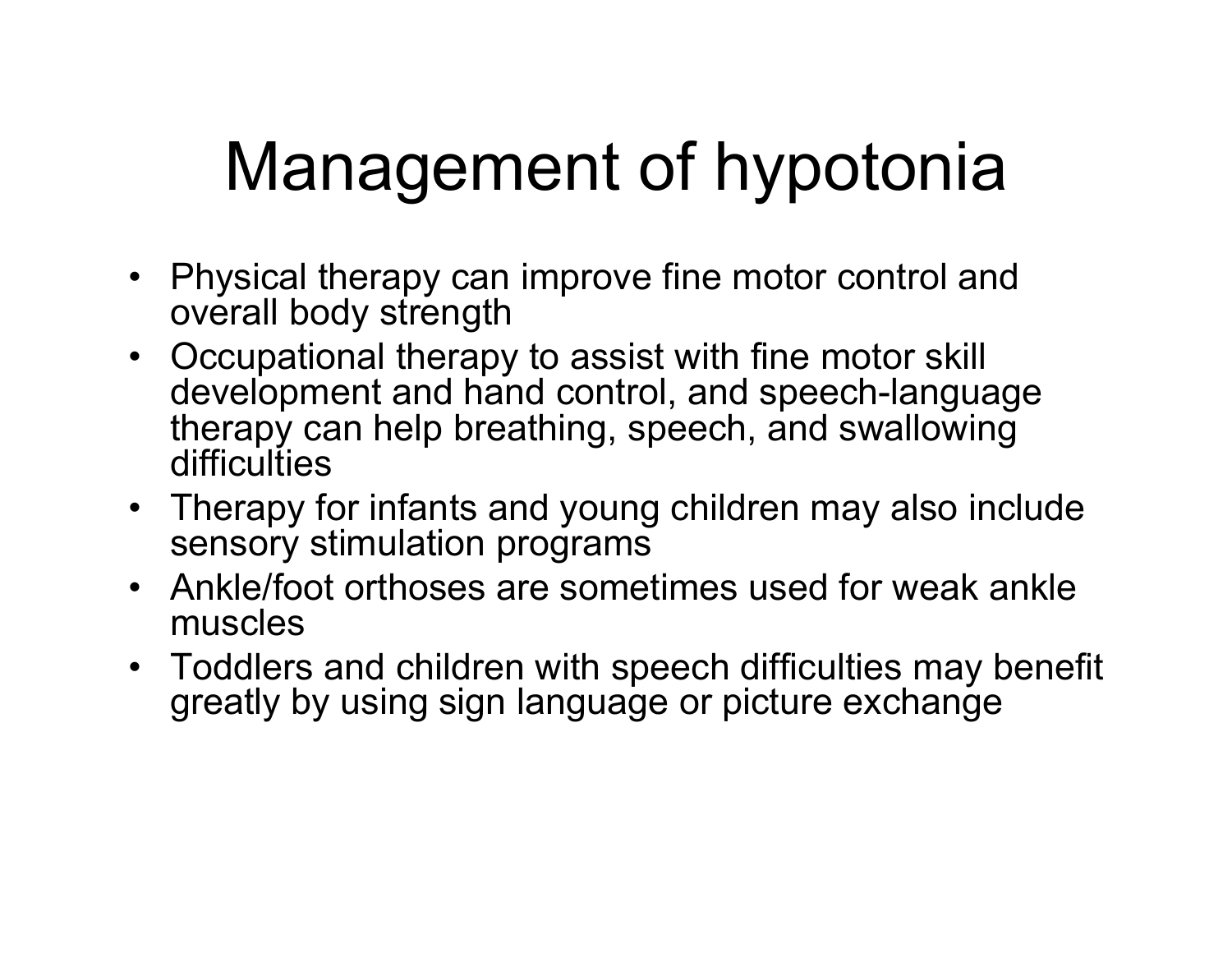# Management of hypotonia

- Physical therapy can improve fine motor control and overall body strength
- Occupational therapy to assist with fine motor skill development and hand control, and speech-language therapy can help breathing, speech, and swallowing difficulties
- Therapy for infants and young children may also include sensory stimulation programs
- Ankle/foot orthoses are sometimes used for weak ankle muscles
- Toddlers and children with speech difficulties may benefit greatly by using sign language or picture exchange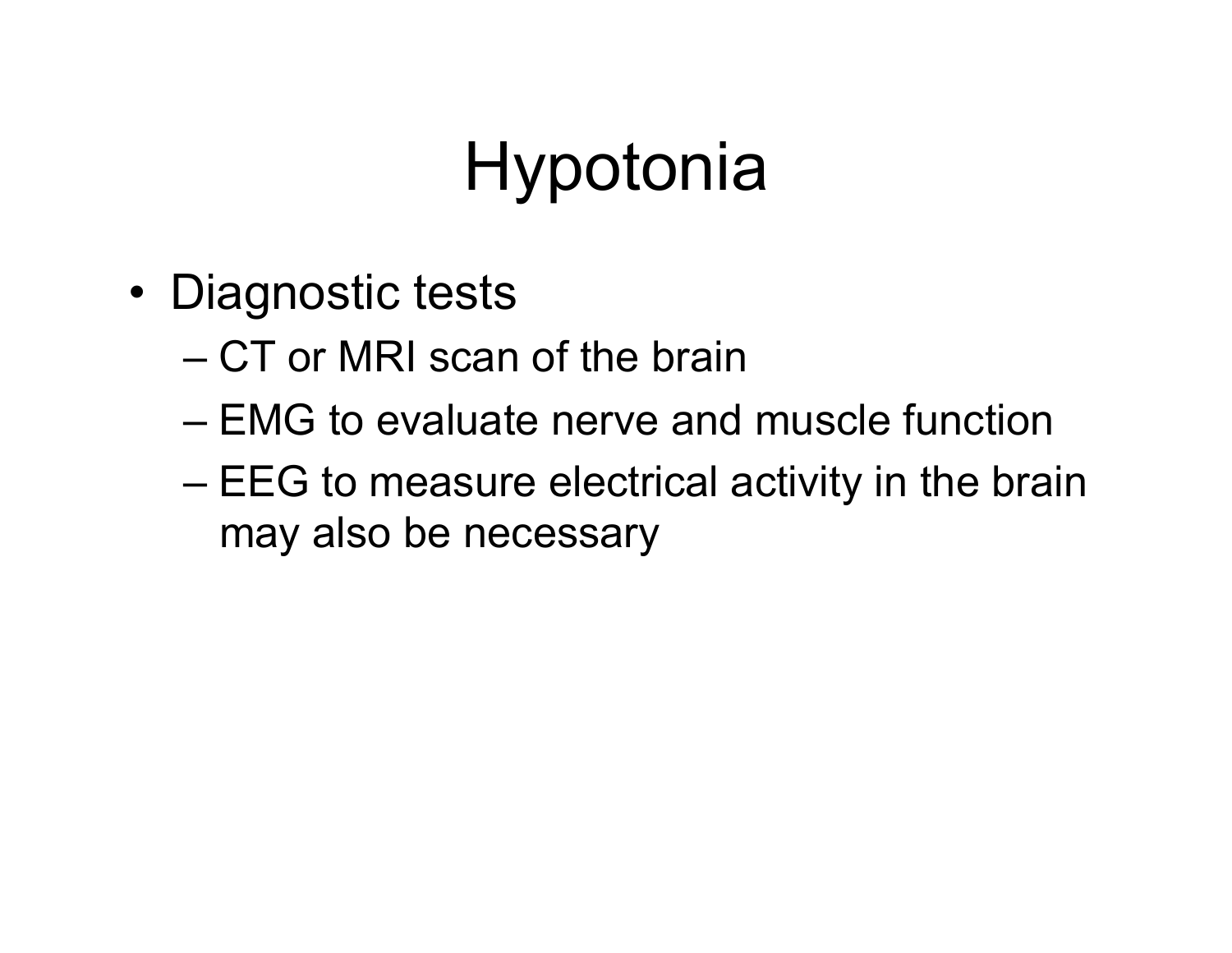- Diagnostic tests
	- CT or MRI scan of the brain
	- EMG to evaluate nerve and muscle function
	- EEG to measure electrical activity in the brain may also be necessary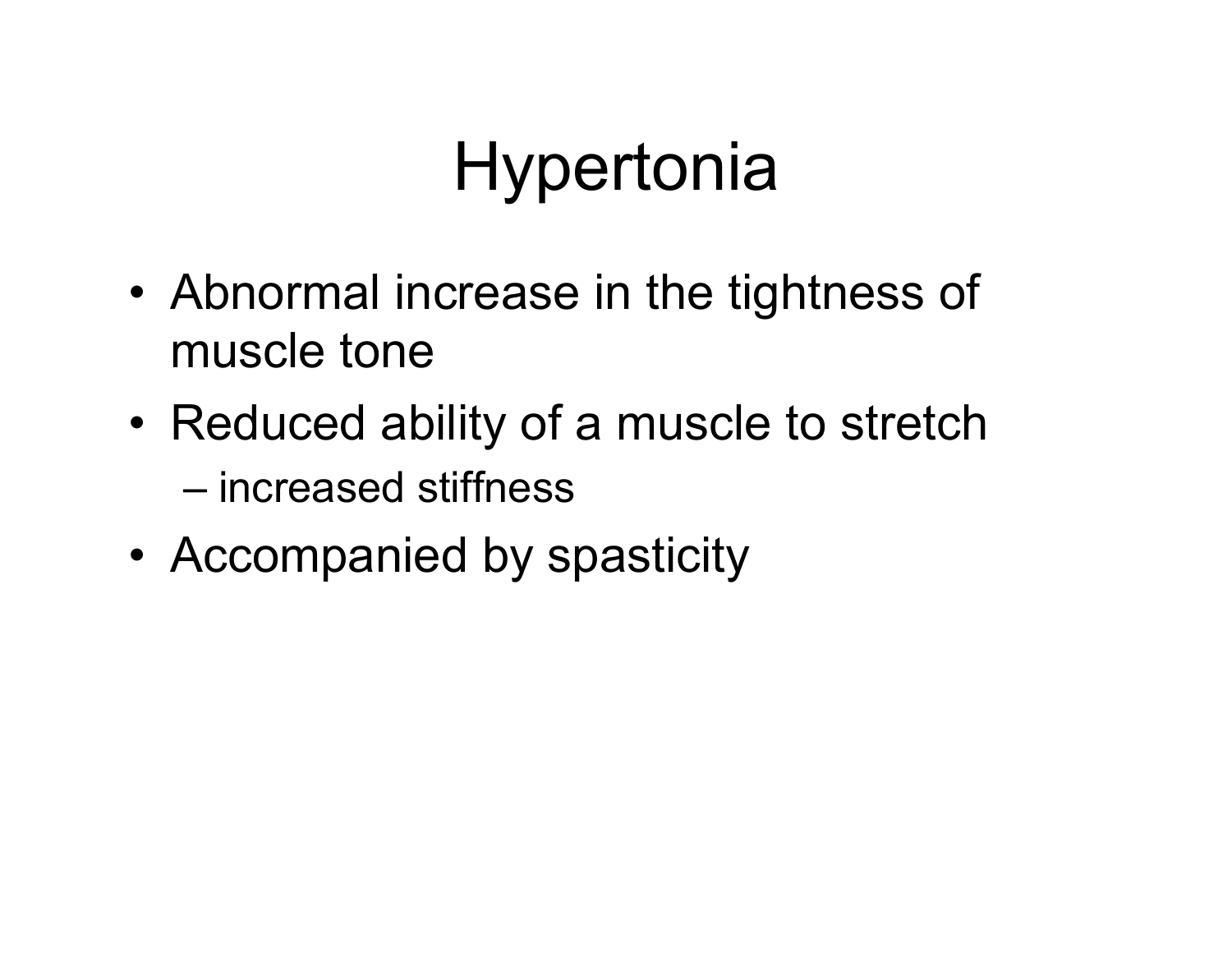# **Hypertonia**

- Abnormal increase in the tightness of muscle tone
- Reduced ability of a muscle to stretch

– increased stiffness

• Accompanied by spasticity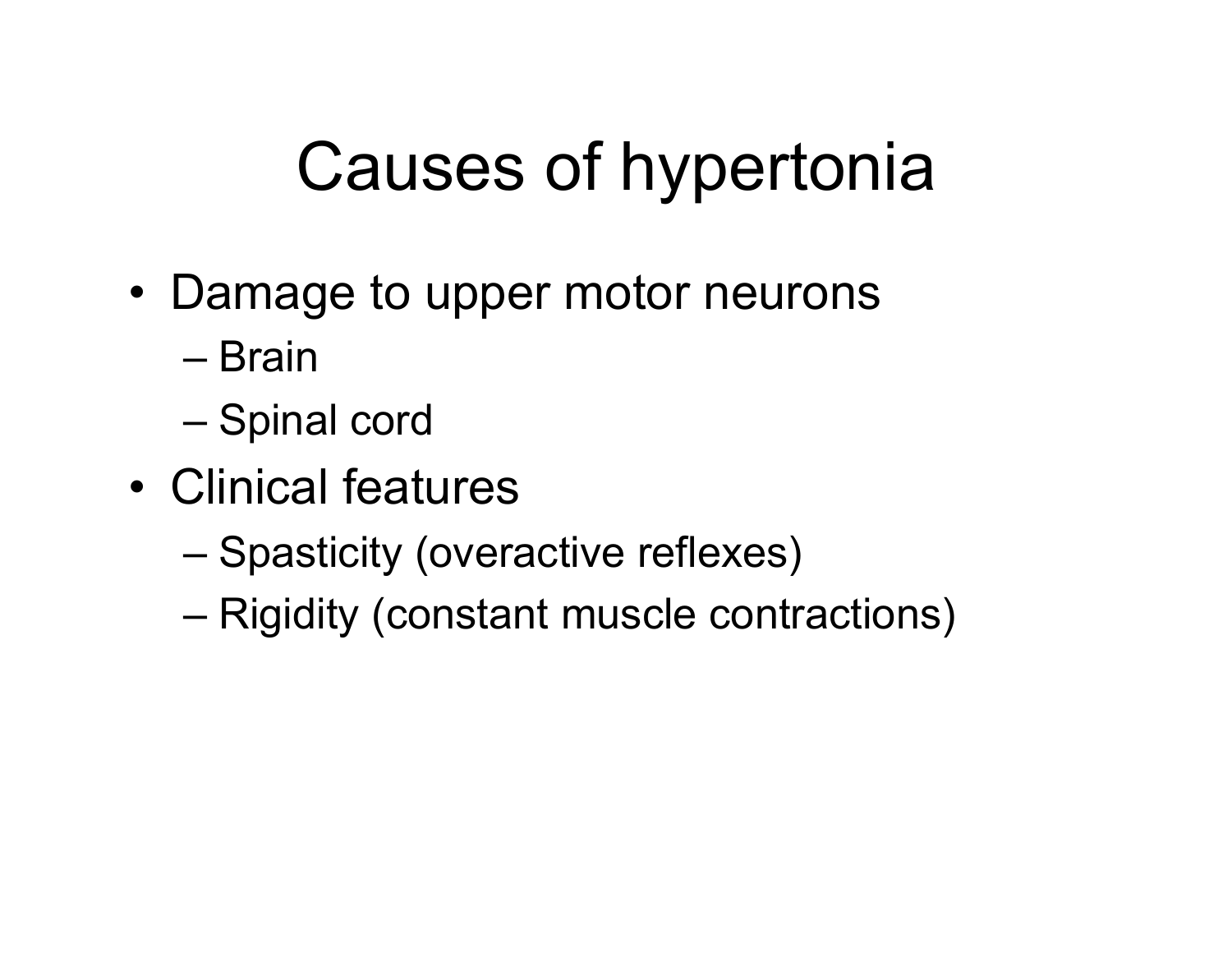# Causes of hypertonia

- Damage to upper motor neurons
	- Brain
	- Spinal cord
- Clinical features
	- Spasticity (overactive reflexes)
	- Rigidity (constant muscle contractions)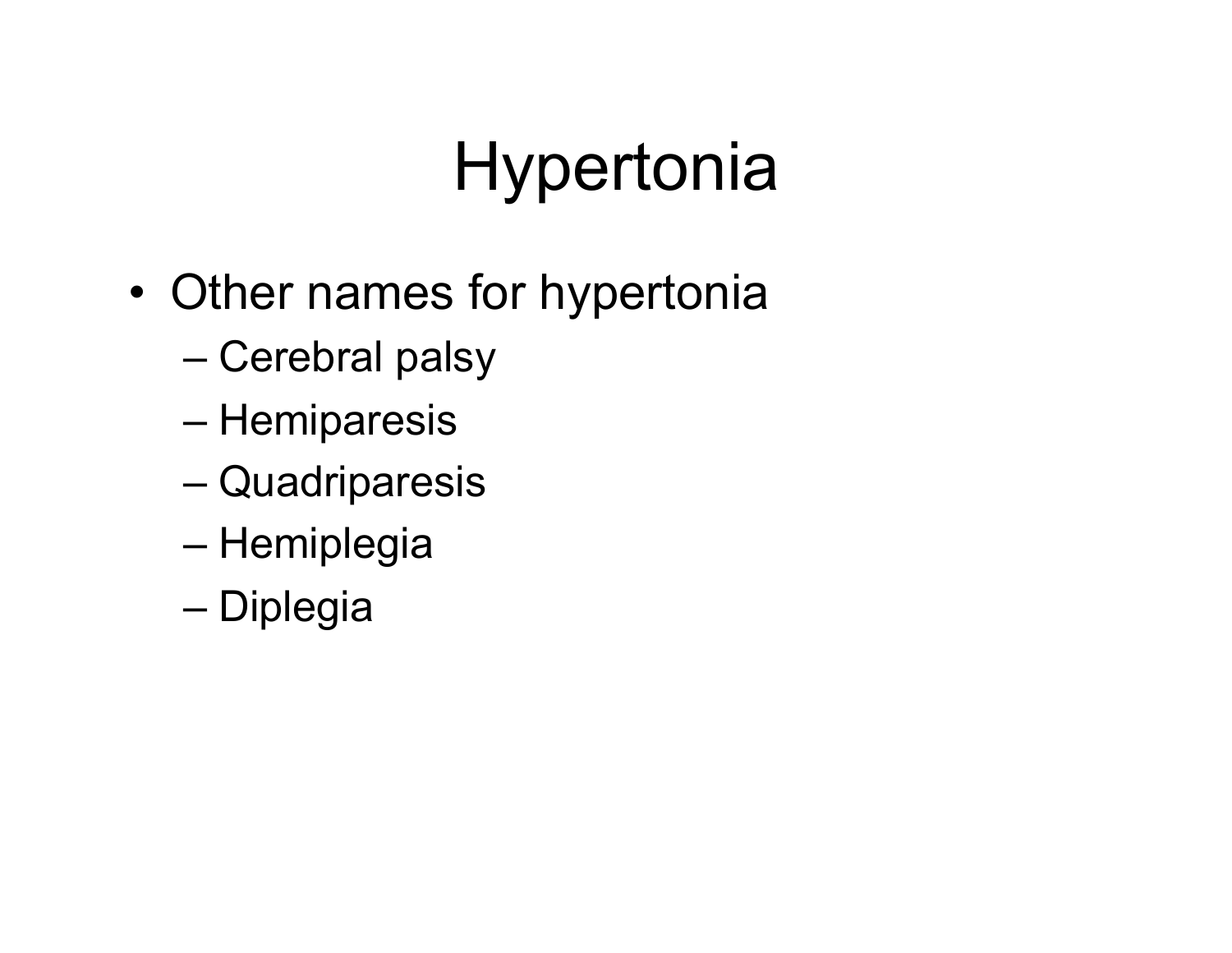# **Hypertonia**

- Other names for hypertonia
	- Cerebral palsy
	- Hemiparesis
	- Quadriparesis
	- Hemiplegia
	- Diplegia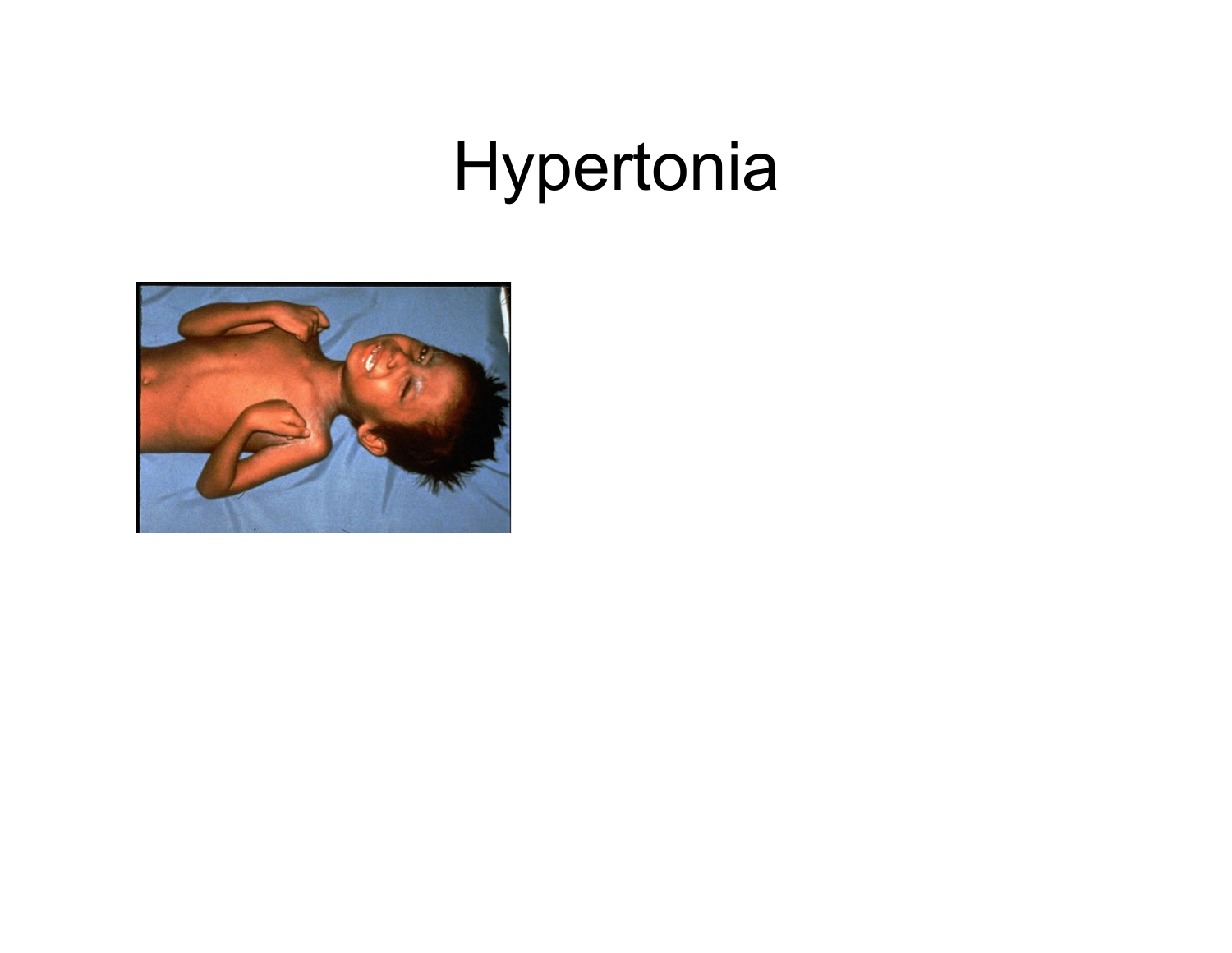## Hypertonia

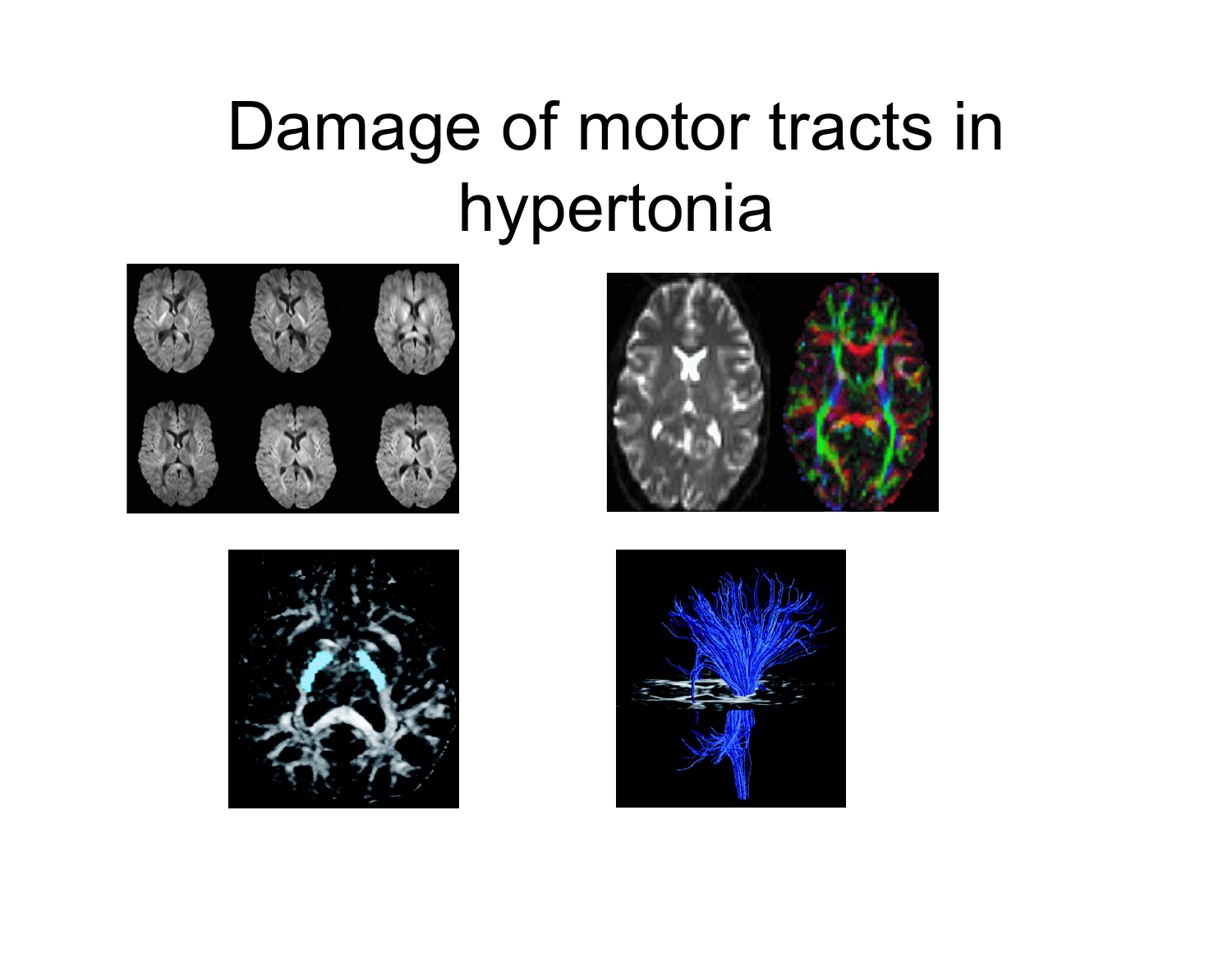## Damage of motor tracts in hypertonia







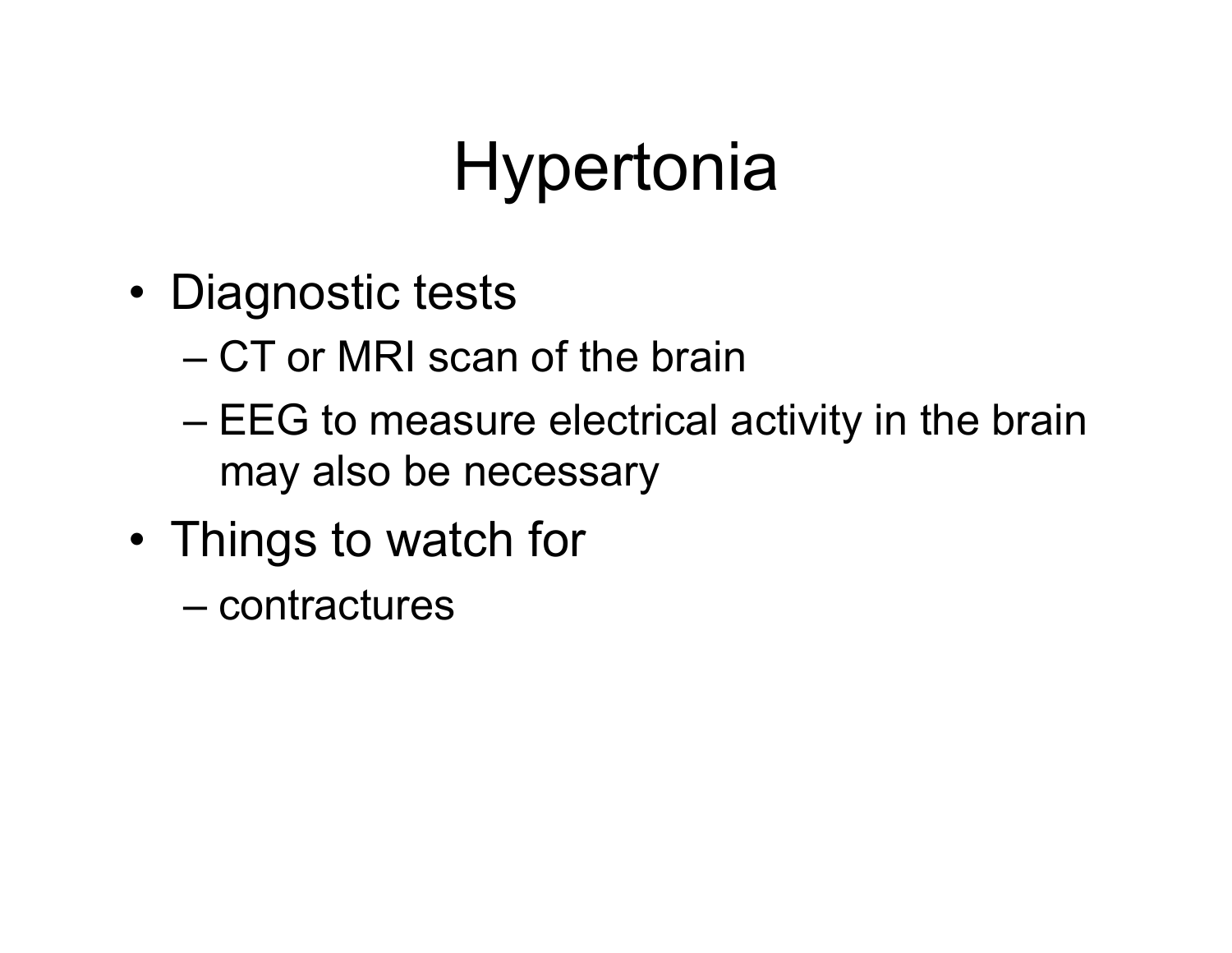# **Hypertonia**

- Diagnostic tests
	- CT or MRI scan of the brain
	- EEG to measure electrical activity in the brain may also be necessary
- Things to watch for
	- contractures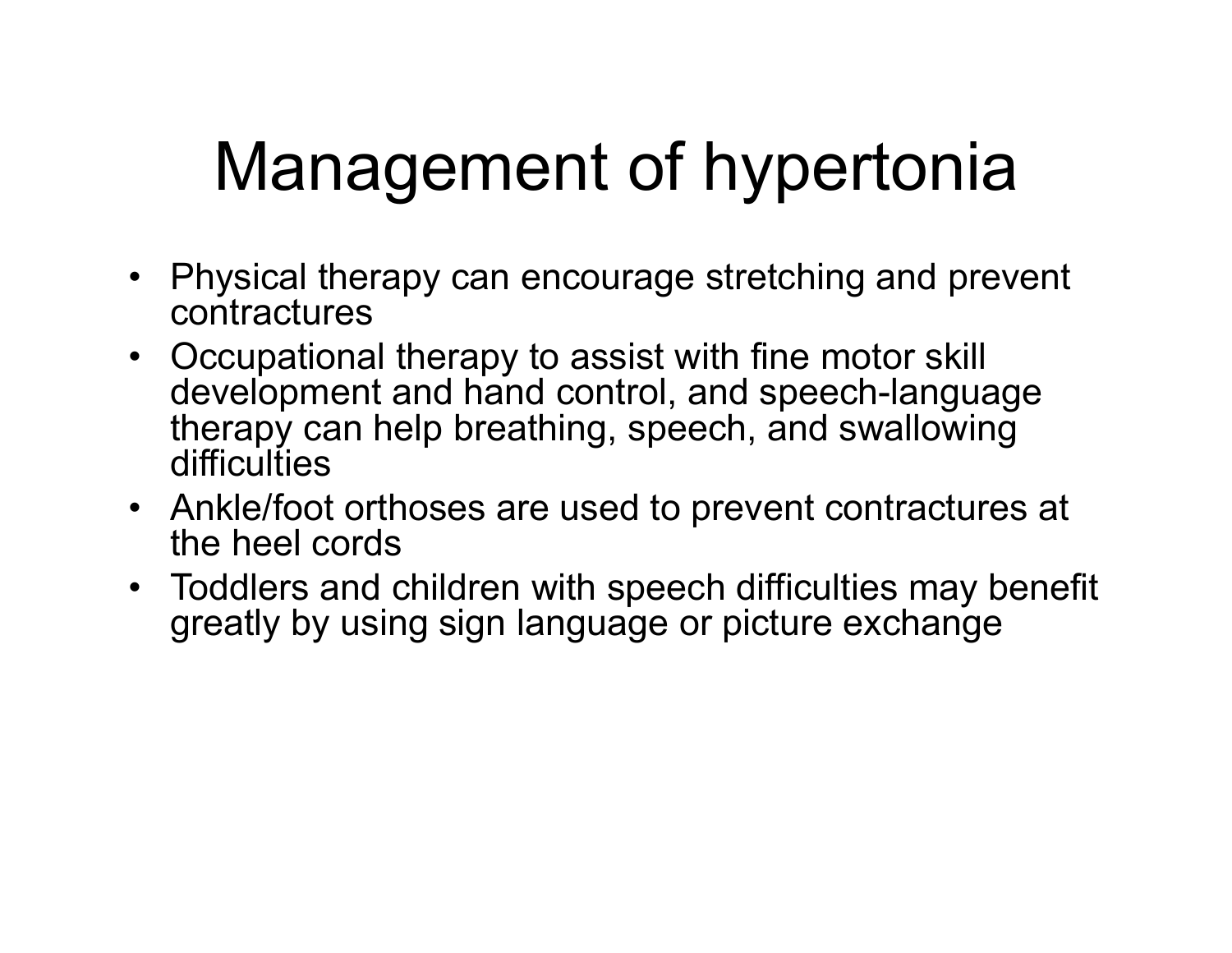# Management of hypertonia

- Physical therapy can encourage stretching and prevent contractures
- Occupational therapy to assist with fine motor skill development and hand control, and speech-language therapy can help breathing, speech, and swallowing difficulties
- Ankle/foot orthoses are used to prevent contractures at the heel cords
- Toddlers and children with speech difficulties may benefit greatly by using sign language or picture exchange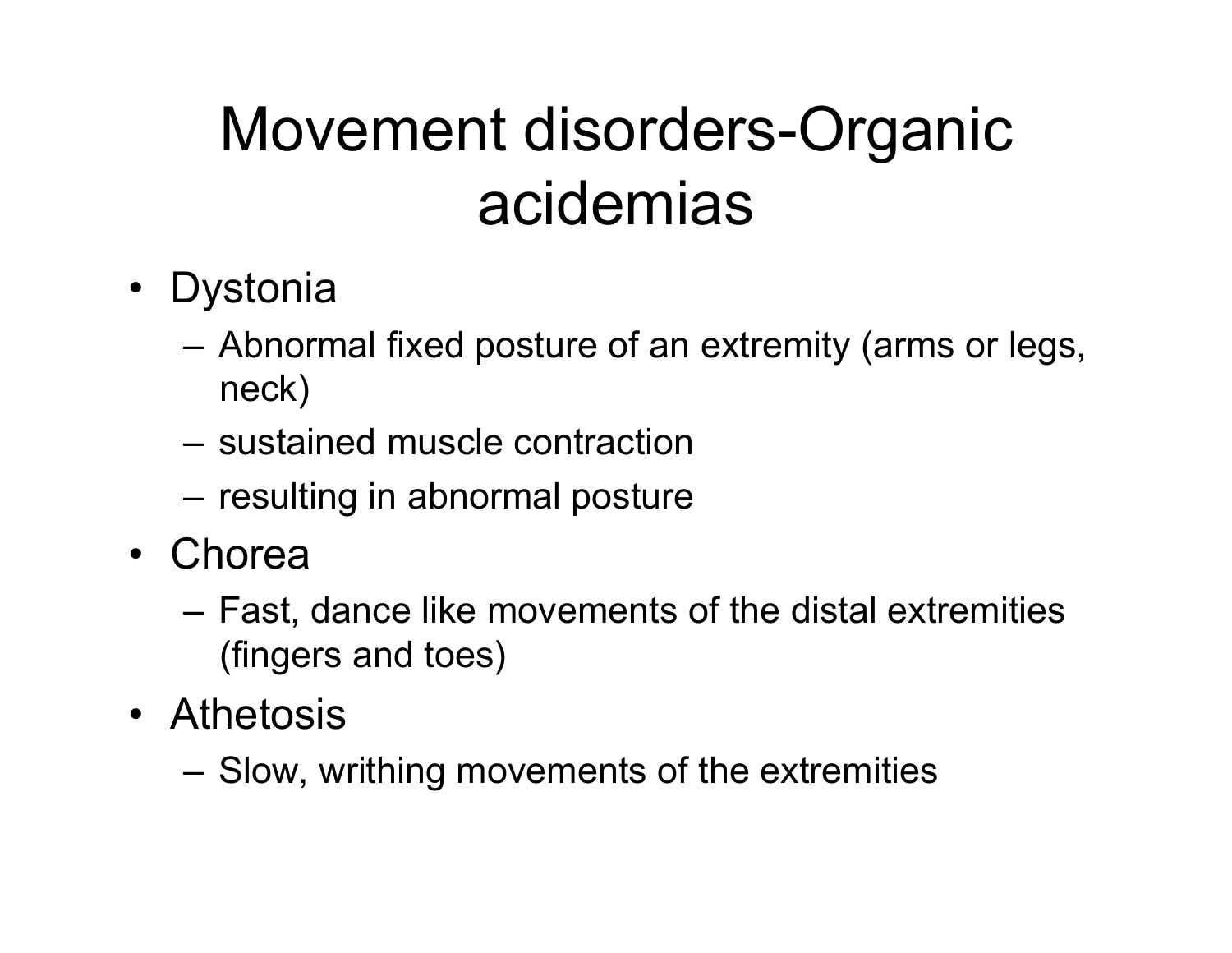#### Movement disorders-Organic acidemias

- Dystonia
	- Abnormal fixed posture of an extremity (arms or legs, neck)
	- sustained muscle contraction
	- resulting in abnormal posture
- Chorea
	- Fast, dance like movements of the distal extremities (fingers and toes)
- Athetosis
	- Slow, writhing movements of the extremities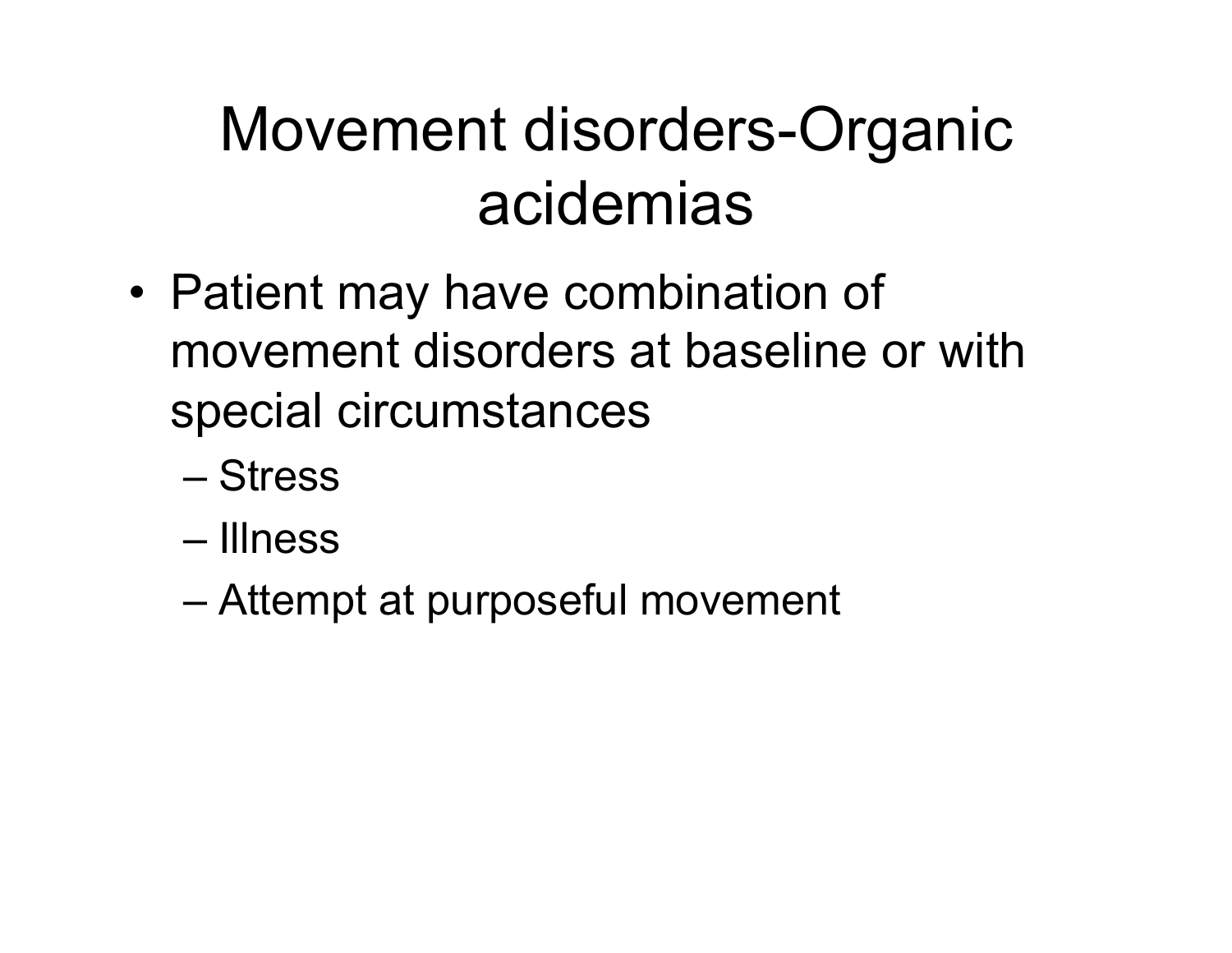#### Movement disorders-Organic acidemias

- Patient may have combination of movement disorders at baseline or with special circumstances
	- Stress
	- Illness
	- Attempt at purposeful movement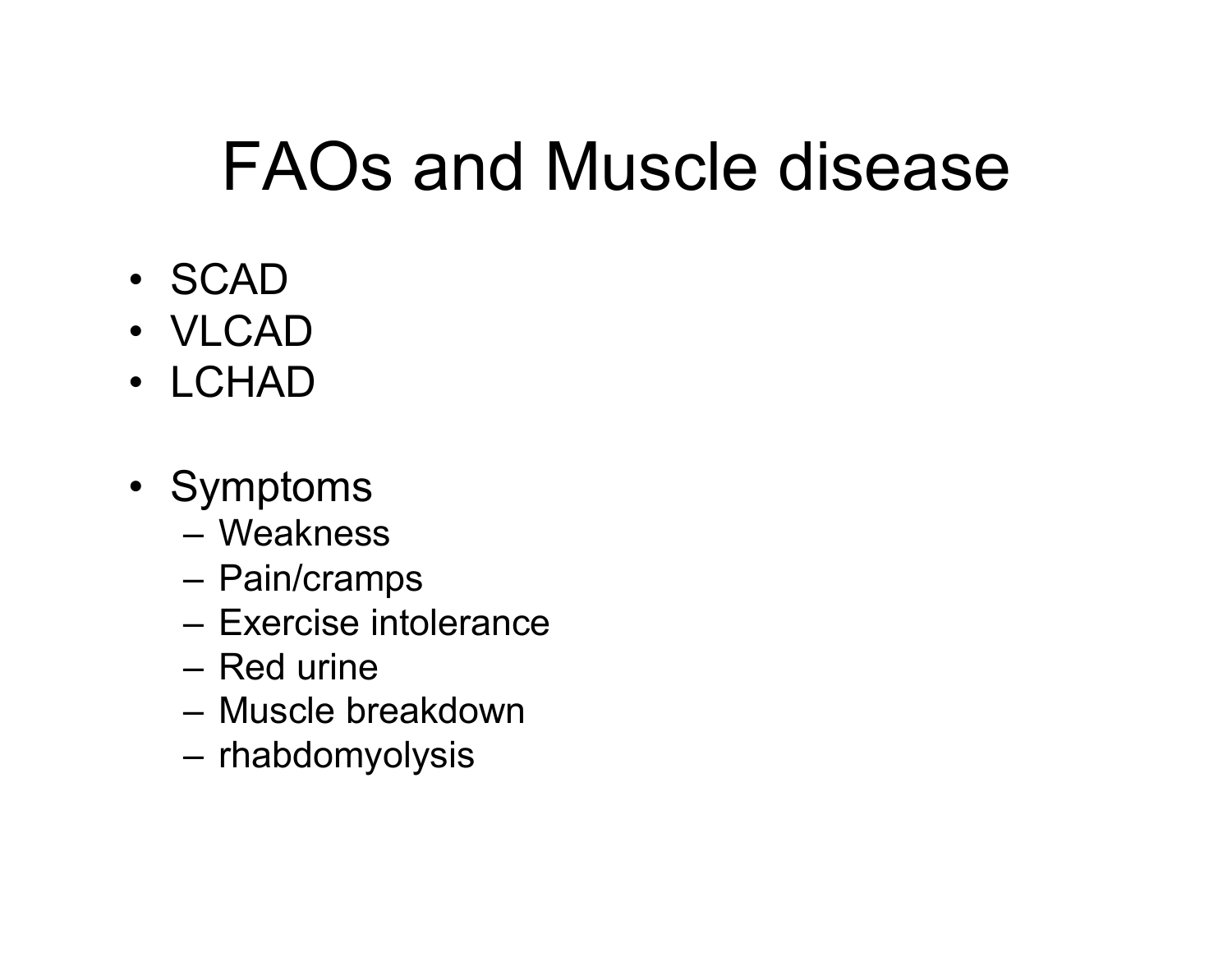#### FAOs and Muscle disease

- SCAD
- VLCAD
- LCHAD
- Symptoms
	- Weakness
	- Pain/cramps
	- Exercise intolerance
	- Red urine
	- Muscle breakdown
	- rhabdomyolysis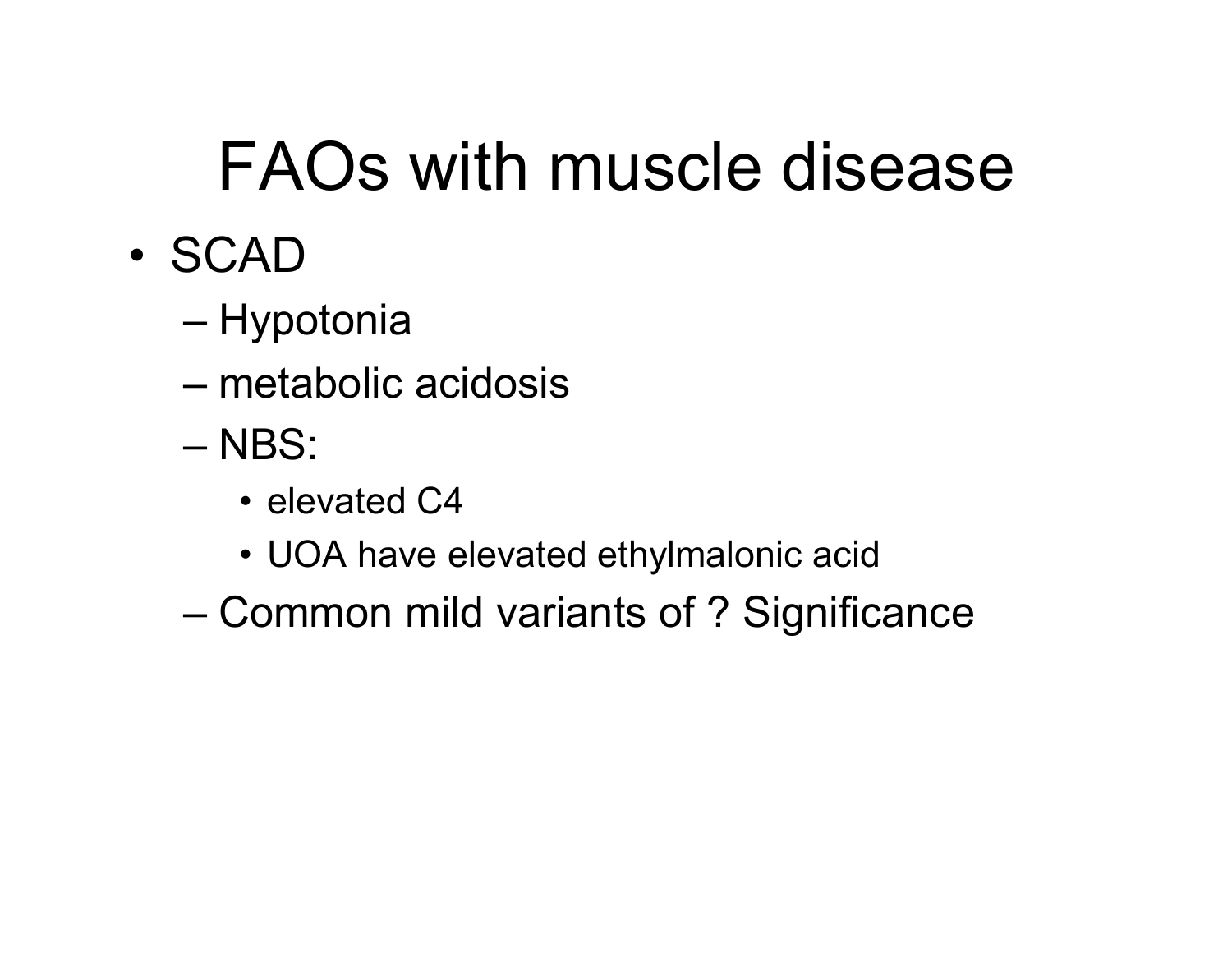# FAOs with muscle disease

- SCAD
	- Hypotonia
	- metabolic acidosis
	- NBS:
		- elevated C4
		- UOA have elevated ethylmalonic acid
	- Common mild variants of ? Significance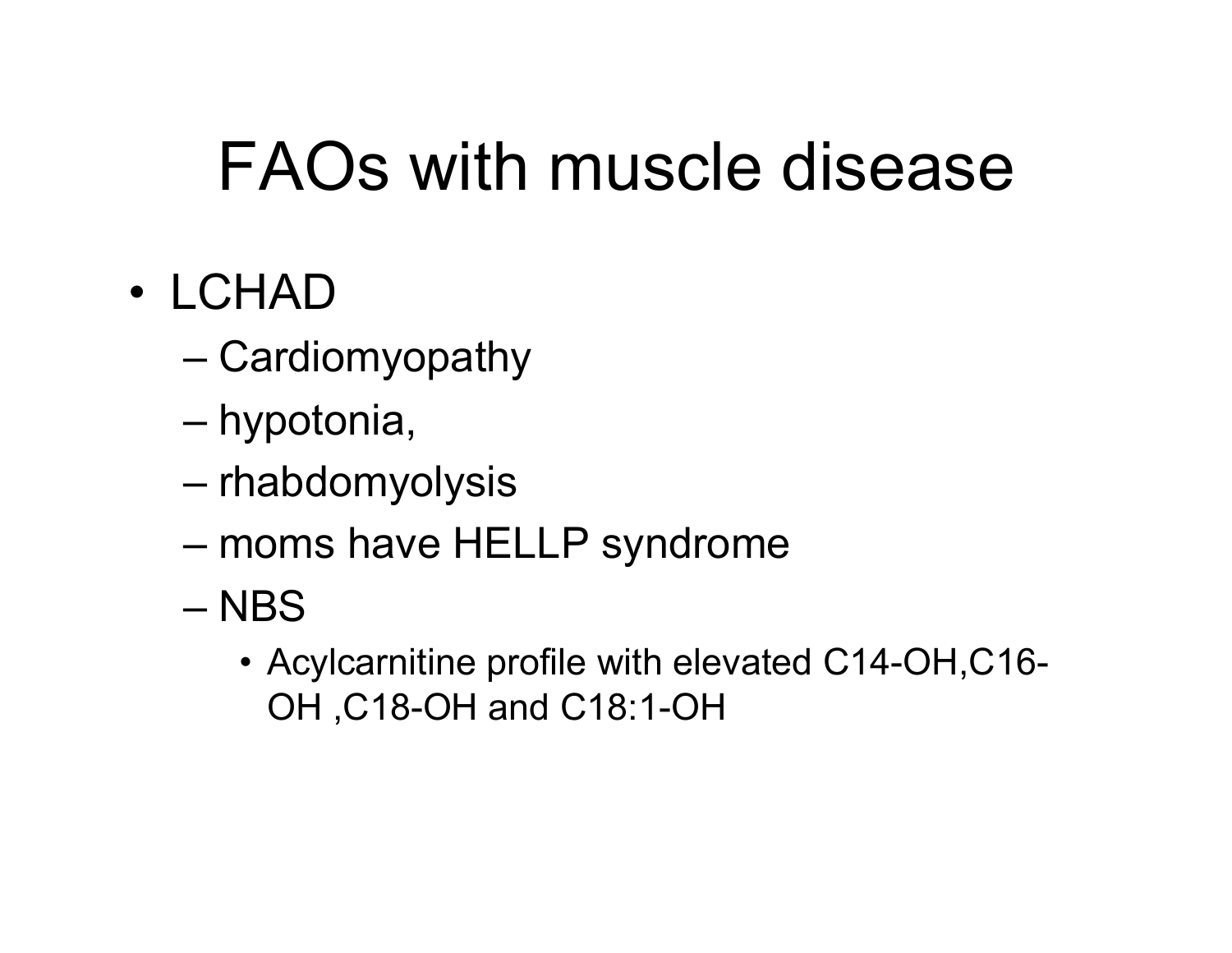## FAOs with muscle disease

#### • LCHAD

- Cardiomyopathy
- hypotonia,
- rhabdomyolysis
- moms have HELLP syndrome
- NBS
	- Acylcarnitine profile with elevated C14-OH,C16- OH ,C18-OH and C18:1-OH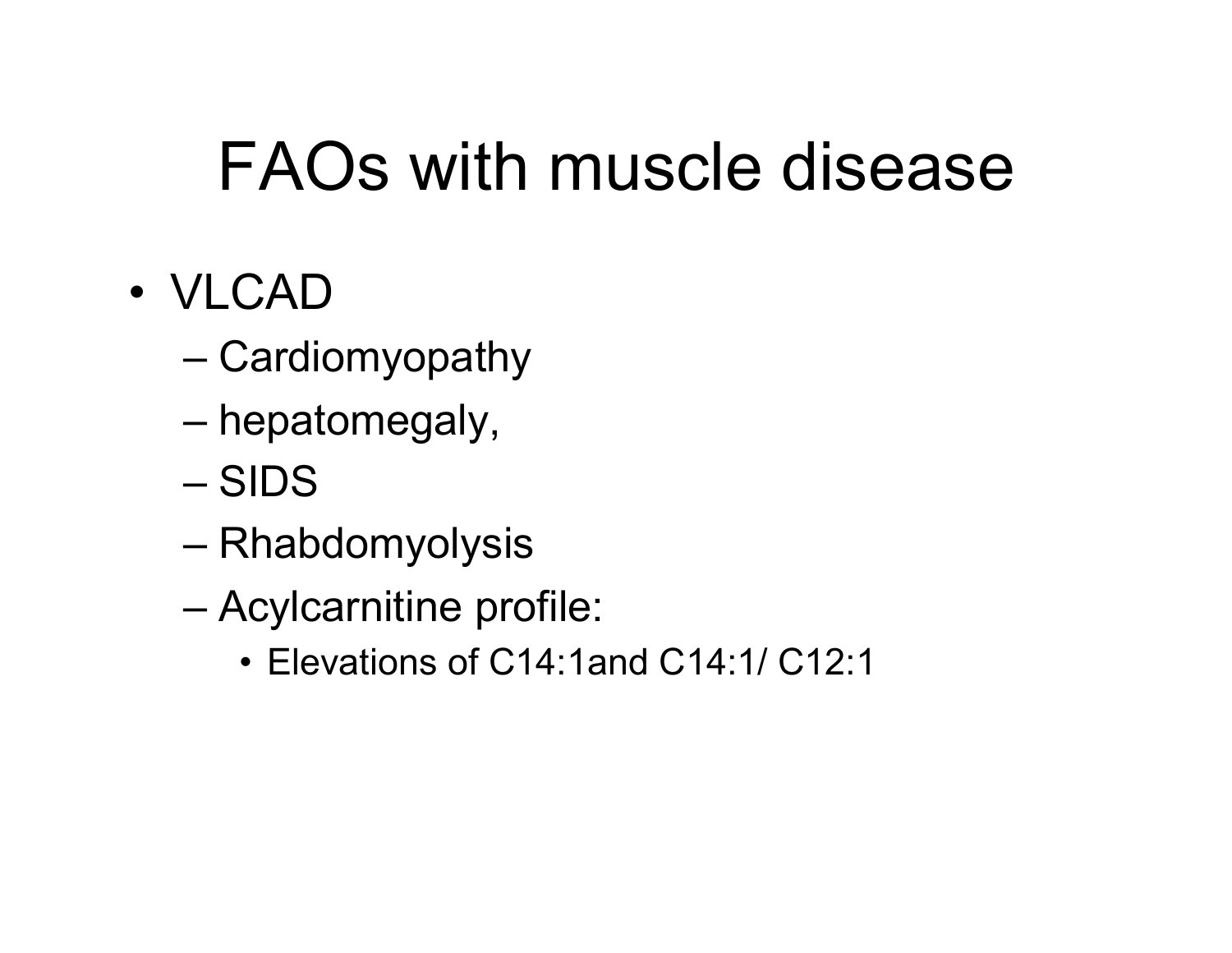## FAOs with muscle disease

- VLCAD
	- Cardiomyopathy
	- hepatomegaly,
	- SIDS
	- Rhabdomyolysis
	- Acylcarnitine profile:
		- Elevations of C14:1and C14:1/ C12:1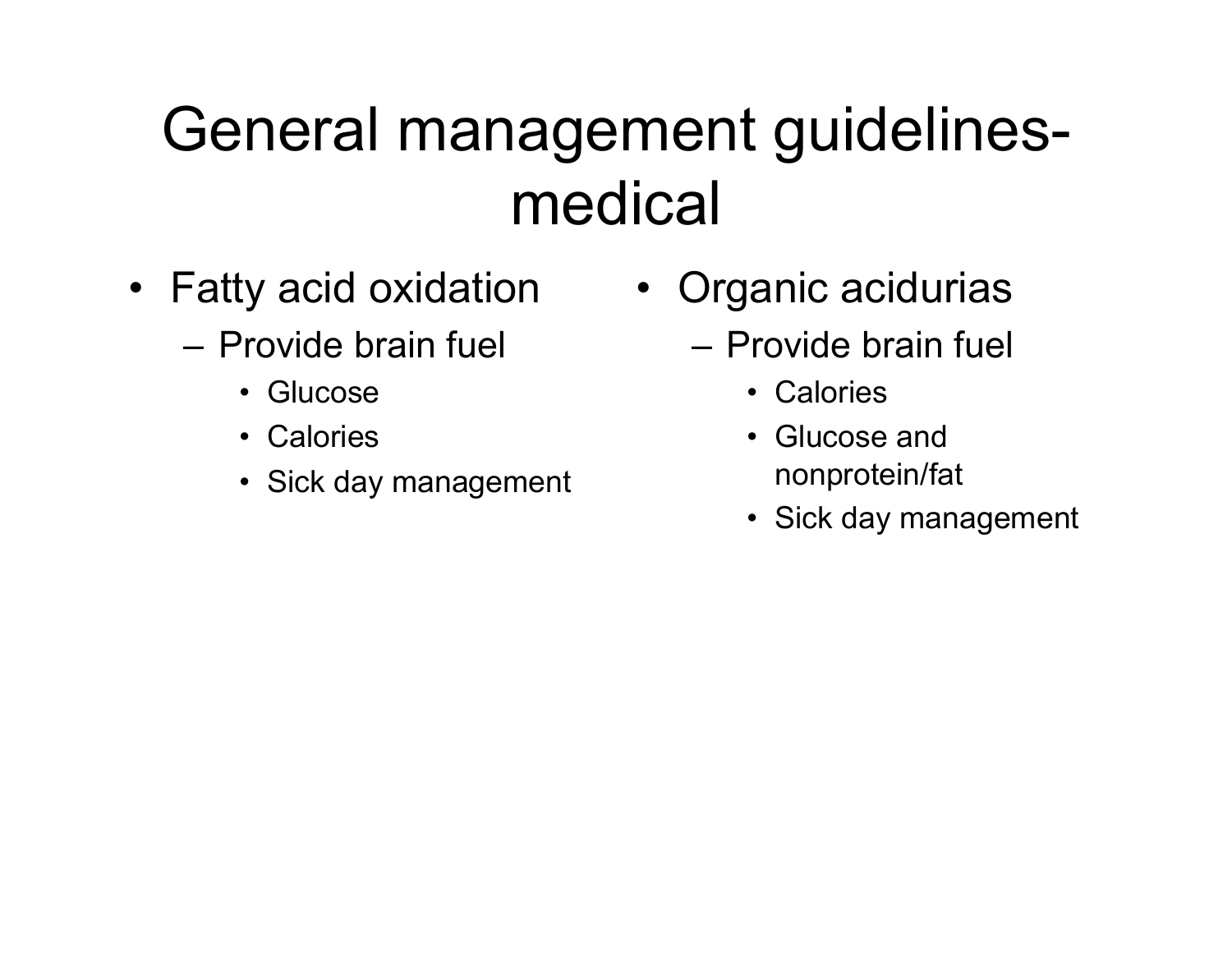#### General management guidelinesmedical

- Fatty acid oxidation
	- Provide brain fuel
		- Glucose
		- Calories
		- Sick day management
- Organic acidurias
	- Provide brain fuel
		- Calories
		- Glucose and nonprotein/fat
		- Sick day management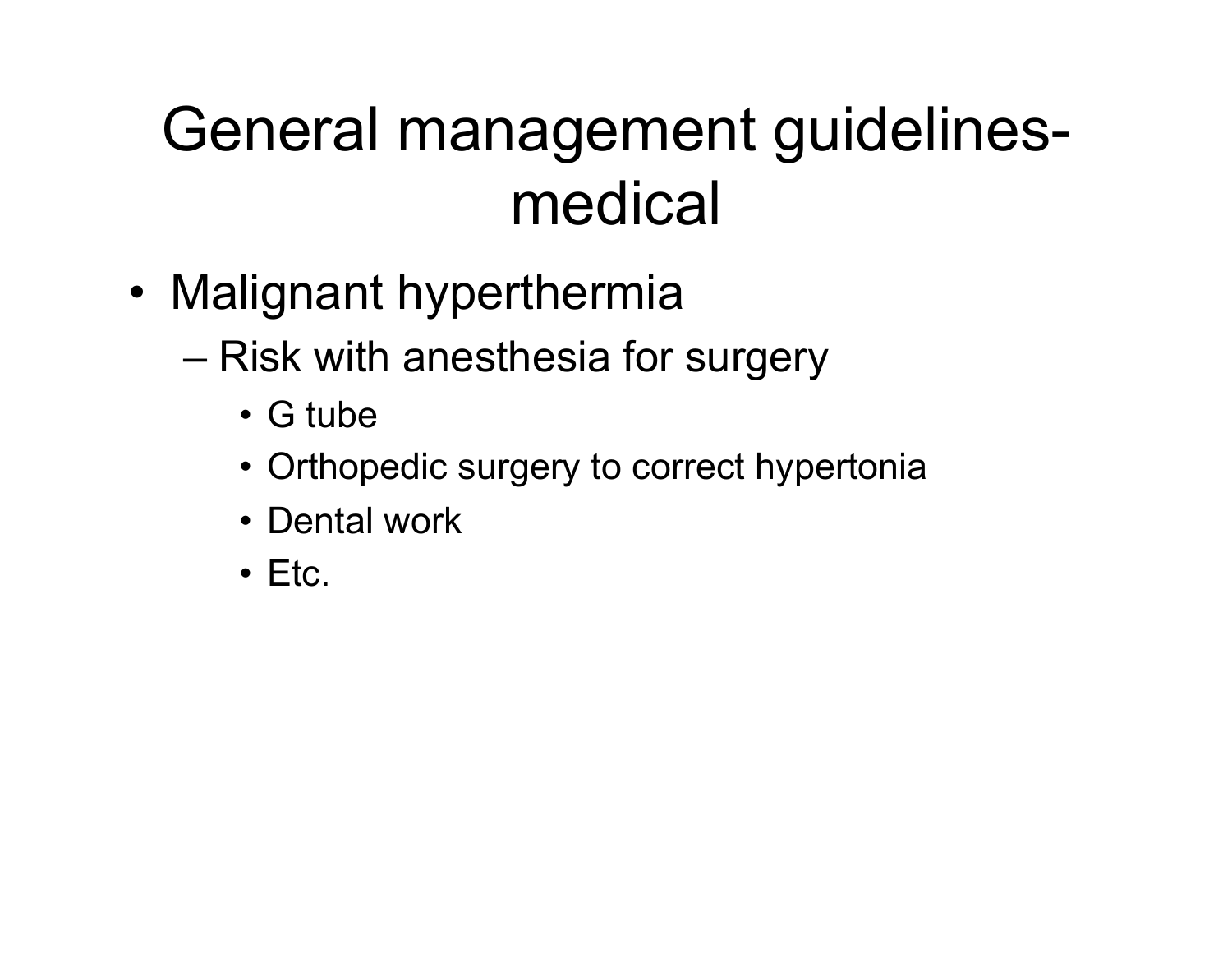#### General management guidelinesmedical

- Malignant hyperthermia
	- Risk with anesthesia for surgery
		- G tube
		- Orthopedic surgery to correct hypertonia
		- Dental work
		- Etc.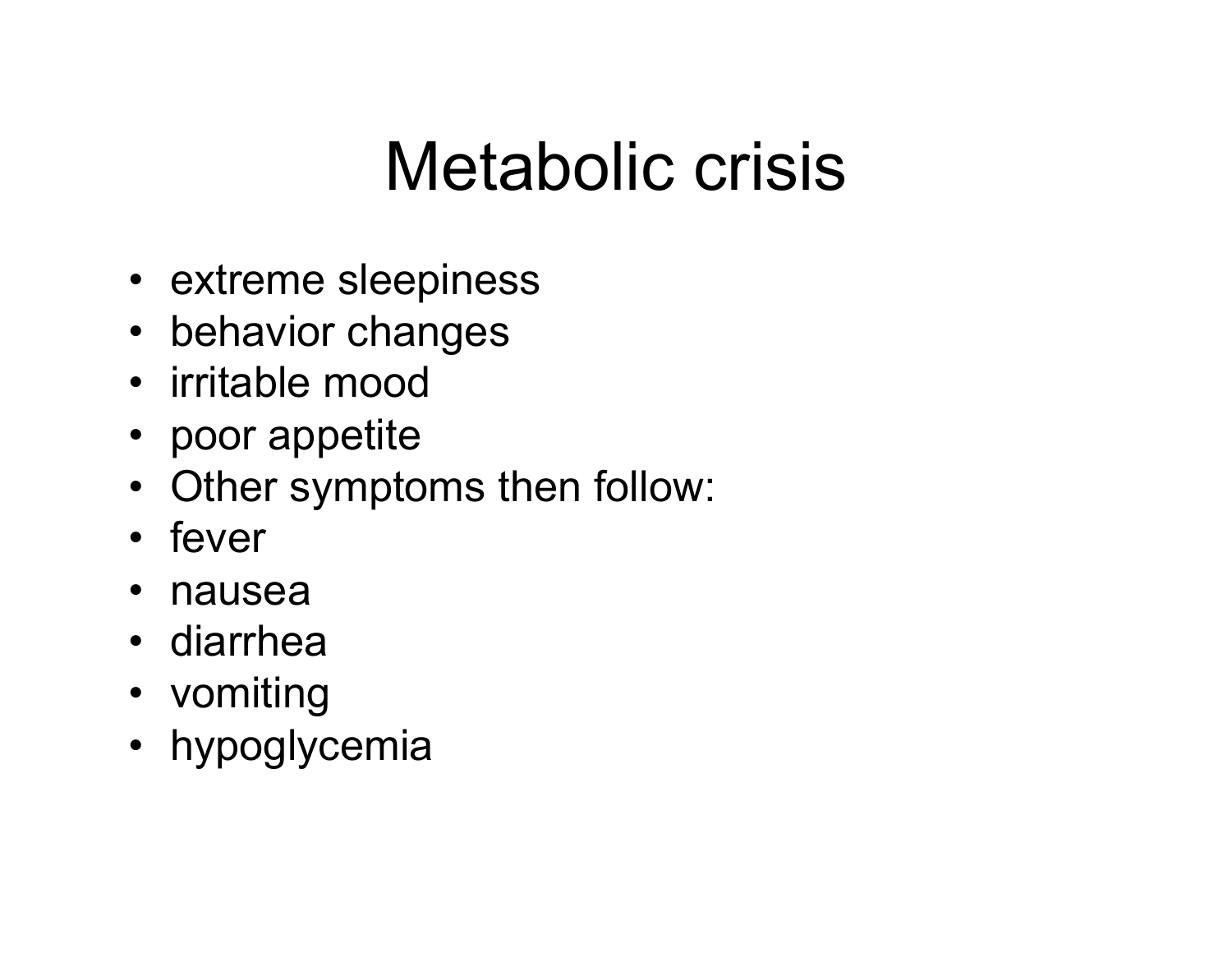## Metabolic crisis

- extreme sleepiness
- behavior changes
- irritable mood
- poor appetite
- Other symptoms then follow:
- fever
- nausea
- diarrhea
- vomiting
- hypoglycemia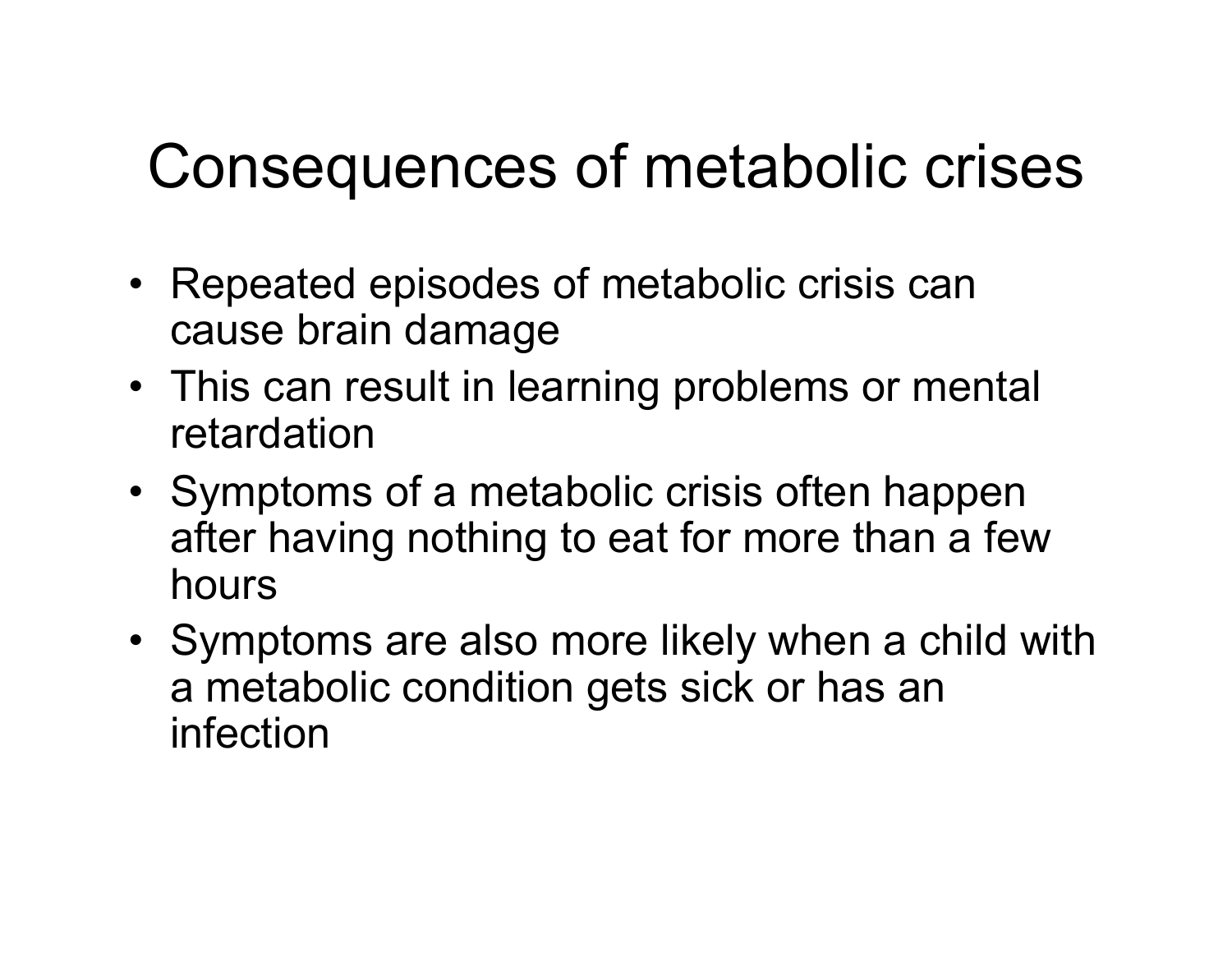#### Consequences of metabolic crises

- Repeated episodes of metabolic crisis can cause brain damage
- This can result in learning problems or mental retardation
- Symptoms of a metabolic crisis often happen after having nothing to eat for more than a few hours
- Symptoms are also more likely when a child with a metabolic condition gets sick or has an infection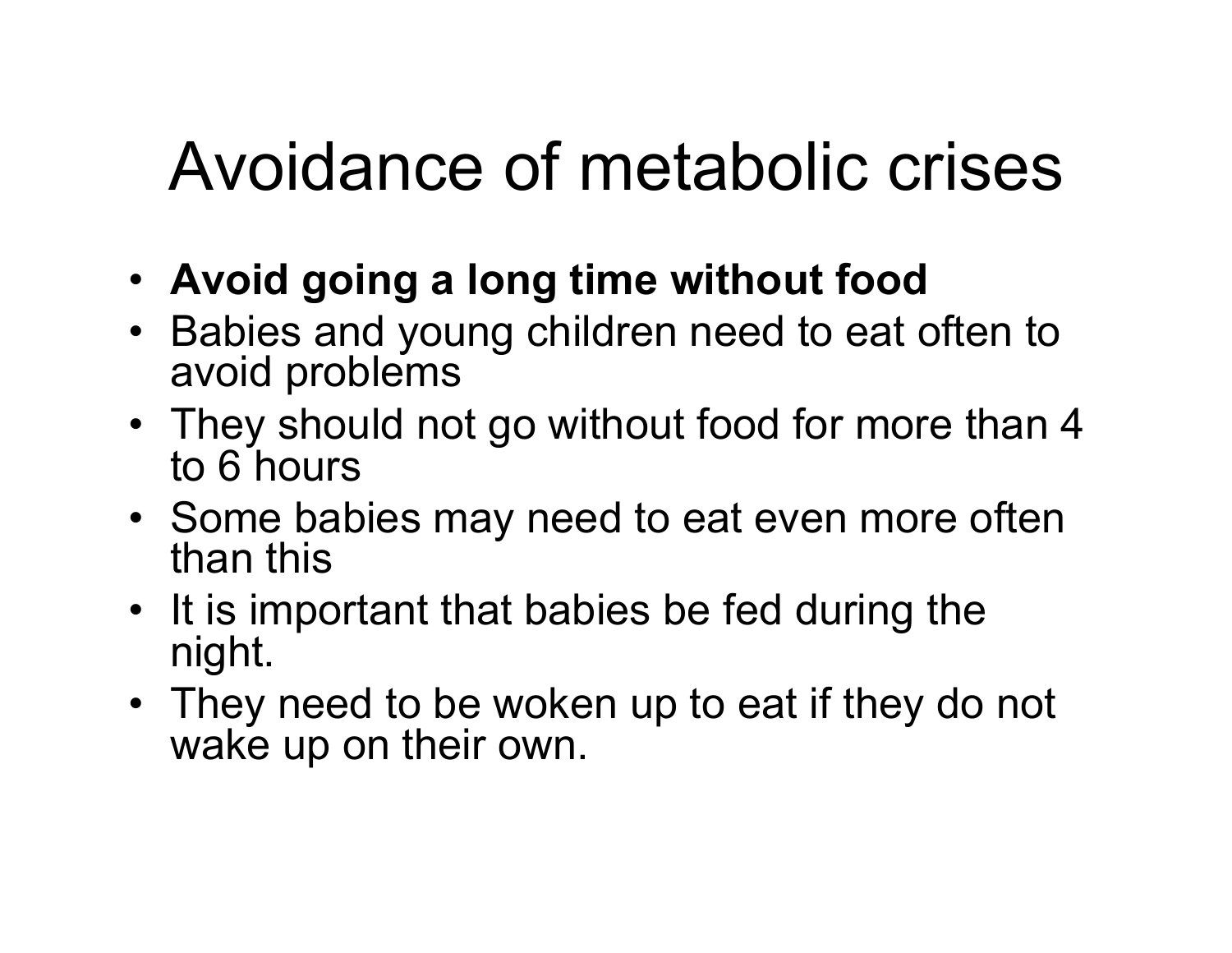## Avoidance of metabolic crises

- **Avoid going a long time without food**
- Babies and young children need to eat often to avoid problems
- They should not go without food for more than 4 to 6 hours
- Some babies may need to eat even more often than this
- It is important that babies be fed during the night.
- They need to be woken up to eat if they do not wake up on their own.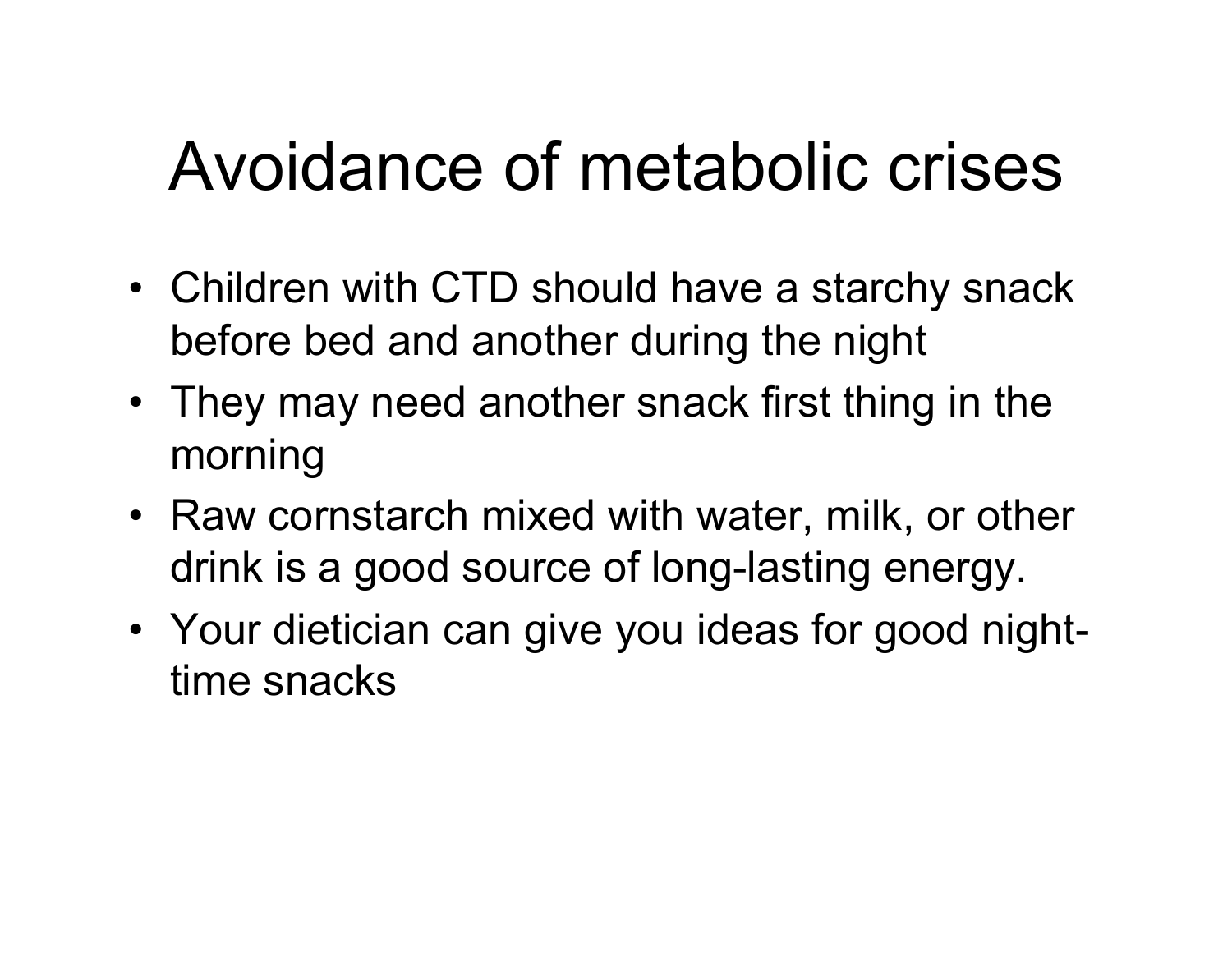## Avoidance of metabolic crises

- Children with CTD should have a starchy snack before bed and another during the night
- They may need another snack first thing in the morning
- Raw cornstarch mixed with water, milk, or other drink is a good source of long-lasting energy.
- Your dietician can give you ideas for good nighttime snacks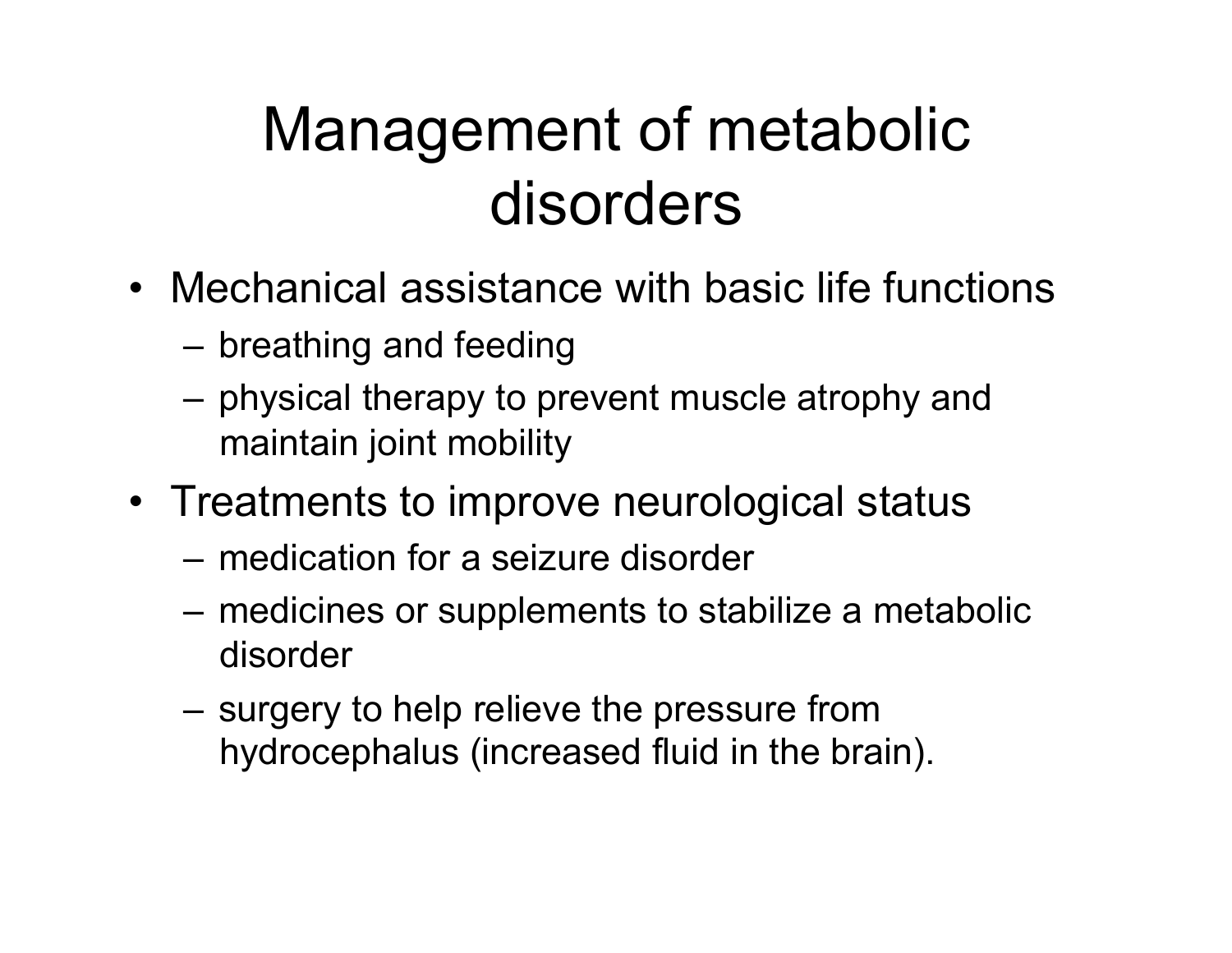#### Management of metabolic disorders

- Mechanical assistance with basic life functions
	- breathing and feeding
	- physical therapy to prevent muscle atrophy and maintain joint mobility
- Treatments to improve neurological status
	- medication for a seizure disorder
	- medicines or supplements to stabilize a metabolic disorder
	- surgery to help relieve the pressure from hydrocephalus (increased fluid in the brain).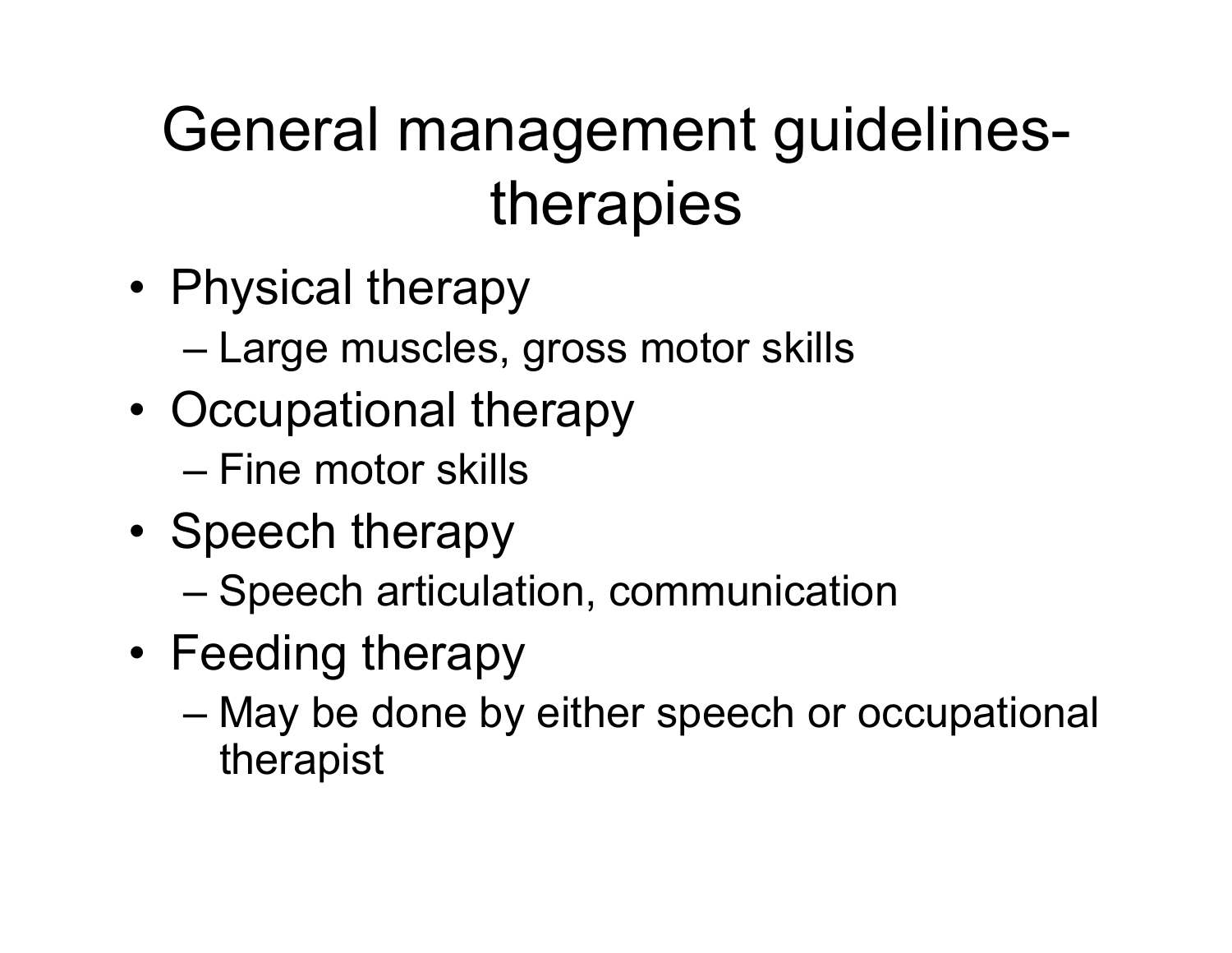### General management guidelinestherapies

- Physical therapy
	- Large muscles, gross motor skills
- Occupational therapy
	- Fine motor skills
- Speech therapy
	- Speech articulation, communication
- Feeding therapy
	- May be done by either speech or occupational therapist